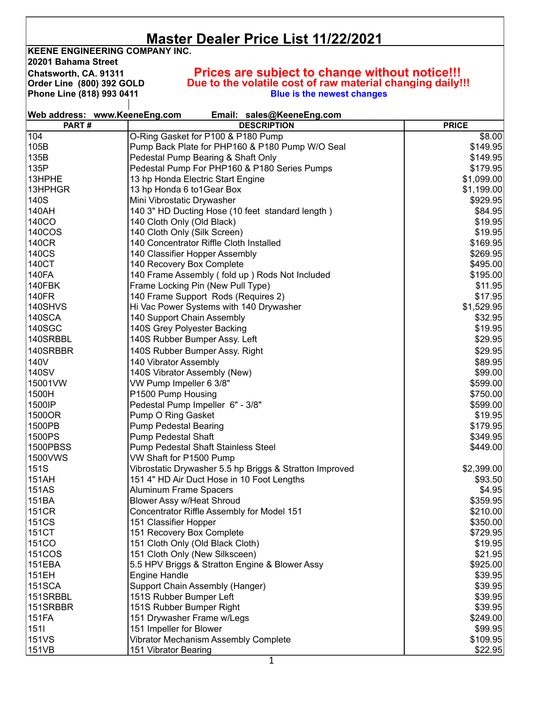|  |  |  |  |  | Master Dealer Price List 11/22/2021 |  |
|--|--|--|--|--|-------------------------------------|--|
|--|--|--|--|--|-------------------------------------|--|

**KEENE ENGINEERING COMPANY INC.**

**20201 Bahama Street**

## **Chatsworth, CA. 91311 Prices are subject to change without notice!!!** Order Line (800) 392 GOLD **Due to the volatile cost of raw material changing daily!!! Phone Line (818) 993 0411** Blue is the newest changes

|                 | Web address: www.KeeneEng.com<br>Email: sales@KeeneEng.com |              |
|-----------------|------------------------------------------------------------|--------------|
| PART#           | <b>DESCRIPTION</b>                                         | <b>PRICE</b> |
| 104             | O-Ring Gasket for P100 & P180 Pump                         | \$8.00       |
| 105B            | Pump Back Plate for PHP160 & P180 Pump W/O Seal            | \$149.95     |
| 135B            | Pedestal Pump Bearing & Shaft Only                         | \$149.95     |
| 135P            | Pedestal Pump For PHP160 & P180 Series Pumps               | \$179.95     |
| 13HPHE          | 13 hp Honda Electric Start Engine                          | \$1,099.00   |
| 13HPHGR         | 13 hp Honda 6 to 1 Gear Box                                | \$1,199.00   |
| 140S            | Mini Vibrostatic Drywasher                                 | \$929.95     |
| 140AH           | 140 3" HD Ducting Hose (10 feet standard length)           | \$84.95      |
| 140CO           | 140 Cloth Only (Old Black)                                 | \$19.95      |
| 140COS          | 140 Cloth Only (Silk Screen)                               | \$19.95      |
| 140CR           | 140 Concentrator Riffle Cloth Installed                    | \$169.95     |
| 140CS           | 140 Classifier Hopper Assembly                             | \$269.95     |
| 140CT           | 140 Recovery Box Complete                                  | \$495.00     |
| 140FA           | 140 Frame Assembly (fold up) Rods Not Included             | \$195.00     |
| 140FBK          | Frame Locking Pin (New Pull Type)                          | \$11.95      |
| 140FR           | 140 Frame Support Rods (Requires 2)                        | \$17.95      |
| 140SHVS         | Hi Vac Power Systems with 140 Drywasher                    | \$1,529.95   |
| <b>140SCA</b>   | 140 Support Chain Assembly                                 | \$32.95      |
| 140SGC          | 140S Grey Polyester Backing                                | \$19.95      |
| 140SRBBL        | 140S Rubber Bumper Assy. Left                              | \$29.95      |
| 140SRBBR        | 140S Rubber Bumper Assy. Right                             | \$29.95      |
| 140V            | 140 Vibrator Assembly                                      | \$89.95      |
| 140SV           | 140S Vibrator Assembly (New)                               | \$99.00      |
| 15001VW         | VW Pump Impeller 6 3/8"                                    | \$599.00     |
| 1500H           | P1500 Pump Housing                                         | \$750.00     |
| 1500IP          | Pedestal Pump Impeller 6" - 3/8"                           | \$599.00     |
| 1500OR          | Pump O Ring Gasket                                         | \$19.95      |
| 1500PB          | <b>Pump Pedestal Bearing</b>                               | \$179.95     |
| 1500PS          | <b>Pump Pedestal Shaft</b>                                 | \$349.95     |
| <b>1500PBSS</b> | Pump Pedestal Shaft Stainless Steel                        | \$449.00     |
| 1500VWS         | VW Shaft for P1500 Pump                                    |              |
| 151S            | Vibrostatic Drywasher 5.5 hp Briggs & Stratton Improved    | \$2,399.00   |
| 151AH           | 151 4" HD Air Duct Hose in 10 Foot Lengths                 | \$93.50      |
| <b>151AS</b>    | Aluminum Frame Spacers                                     | \$4.95       |
| 151BA           | <b>Blower Assy w/Heat Shroud</b>                           | \$359.95     |
| 151CR           | Concentrator Riffle Assembly for Model 151                 | \$210.00     |
| <b>151CS</b>    | 151 Classifier Hopper                                      | \$350.00     |
| 151CT           | 151 Recovery Box Complete                                  | \$729.95     |
| 151CO           | 151 Cloth Only (Old Black Cloth)                           | \$19.95      |
| <b>151COS</b>   | 151 Cloth Only (New Silksceen)                             | \$21.95      |
| 151EBA          | 5.5 HPV Briggs & Stratton Engine & Blower Assy             | \$925.00     |
| 151EH           | <b>Engine Handle</b>                                       | \$39.95      |
| <b>151SCA</b>   | Support Chain Assembly (Hanger)                            | \$39.95      |
| 151SRBBL        | 151S Rubber Bumper Left                                    | \$39.95      |
| 151SRBBR        | 151S Rubber Bumper Right                                   | \$39.95      |
| <b>151FA</b>    | 151 Drywasher Frame w/Legs                                 | \$249.00     |
| 1511            | 151 Impeller for Blower                                    | \$99.95      |
| 151VS           | Vibrator Mechanism Assembly Complete                       | \$109.95     |
| 151VB           | 151 Vibrator Bearing                                       | \$22.95      |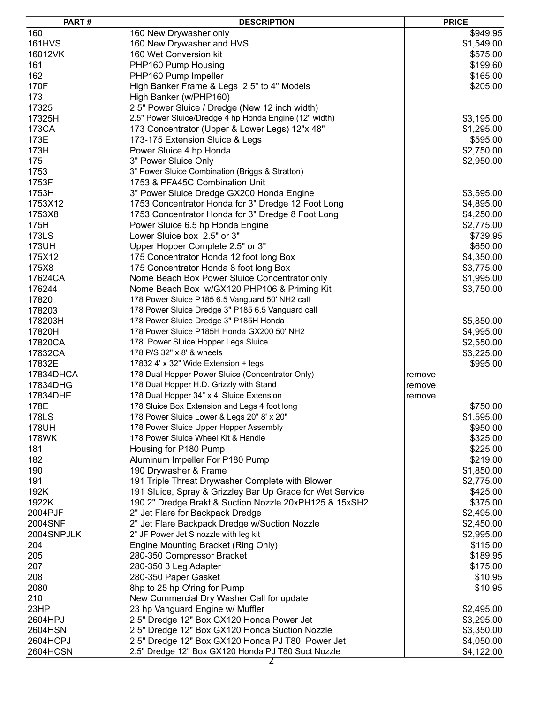| 160<br>160 New Drywasher only<br>\$949.95<br><b>161HVS</b><br>160 New Drywasher and HVS<br>\$1,549.00<br>160 Wet Conversion kit<br>16012VK<br>\$575.00<br>161<br>PHP160 Pump Housing<br>\$199.60<br>162<br>PHP160 Pump Impeller<br>\$165.00<br>High Banker Frame & Legs 2.5" to 4" Models<br>170F<br>\$205.00<br>173<br>High Banker (w/PHP160)<br>17325<br>2.5" Power Sluice / Dredge (New 12 inch width)<br>2.5" Power Sluice/Dredge 4 hp Honda Engine (12" width)<br>17325H<br>\$3,195.00<br>173CA<br>173 Concentrator (Upper & Lower Legs) 12"x 48"<br>\$1,295.00<br>173E<br>173-175 Extension Sluice & Legs<br>\$595.00<br>173H<br>Power Sluice 4 hp Honda<br>\$2,750.00<br>175<br>3" Power Sluice Only<br>\$2,950.00<br>3" Power Sluice Combination (Briggs & Stratton)<br>1753<br>1753F<br>1753 & PFA45C Combination Unit<br>1753H<br>3" Power Sluice Dredge GX200 Honda Engine<br>\$3,595.00<br>1753X12<br>1753 Concentrator Honda for 3" Dredge 12 Foot Long<br>\$4,895.00<br>1753X8<br>1753 Concentrator Honda for 3" Dredge 8 Foot Long<br>\$4,250.00<br>175H<br>Power Sluice 6.5 hp Honda Engine<br>\$2,775.00<br>173LS<br>Lower Sluice box 2.5" or 3"<br>\$739.95<br>173UH<br>Upper Hopper Complete 2.5" or 3"<br>\$650.00<br>175X12<br>175 Concentrator Honda 12 foot long Box<br>\$4,350.00<br>175X8<br>175 Concentrator Honda 8 foot long Box<br>\$3,775.00<br>17624CA<br>Nome Beach Box Power Sluice Concentrator only<br>\$1,995.00<br>176244<br>Nome Beach Box w/GX120 PHP106 & Priming Kit<br>\$3,750.00<br>17820<br>178 Power Sluice P185 6.5 Vanguard 50' NH2 call<br>178203<br>178 Power Sluice Dredge 3" P185 6.5 Vanguard call<br>178 Power Sluice Dredge 3" P185H Honda<br>178203H<br>\$5,850.00<br>178 Power Sluice P185H Honda GX200 50' NH2<br>17820H<br>\$4,995.00<br>178 Power Sluice Hopper Legs Sluice<br>17820CA<br>\$2,550.00<br>178 P/S 32" x 8' & wheels<br>17832CA<br>\$3,225.00<br>17832E<br>17832 4' x 32" Wide Extension + legs<br>\$995.00<br>178 Dual Hopper Power Sluice (Concentrator Only)<br>17834DHCA<br>remove<br>178 Dual Hopper H.D. Grizzly with Stand<br>17834DHG<br>remove<br>178 Dual Hopper 34" x 4' Sluice Extension<br>17834DHE<br>remove<br>178 Sluice Box Extension and Legs 4 foot long<br>178E<br>\$750.00<br>178LS<br>178 Power Sluice Lower & Legs 20" 8' x 20"<br><b>178UH</b><br>178 Power Sluice Upper Hopper Assembly<br>\$950.00<br>178 Power Sluice Wheel Kit & Handle<br>178WK<br>\$325.00<br>181<br>Housing for P180 Pump<br>\$225.00<br>182<br>\$219.00<br>Aluminum Impeller For P180 Pump<br>190 Drywasher & Frame<br>190<br>\$1,850.00<br>191<br>191 Triple Threat Drywasher Complete with Blower<br>\$2,775.00<br>192K<br>191 Sluice, Spray & Grizzley Bar Up Grade for Wet Service<br>\$425.00<br>1922K<br>\$375.00<br>190 2" Dredge Brakt & Suction Nozzle 20xPH125 & 15xSH2.<br>2004PJF<br>2" Jet Flare for Backpack Dredge<br>\$2,495.00<br>2004SNF<br>2" Jet Flare Backpack Dredge w/Suction Nozzle<br>\$2,450.00<br>2" JF Power Jet S nozzle with leg kit<br>2004SNPJLK<br>\$2,995.00<br>204<br>Engine Mounting Bracket (Ring Only)<br>\$115.00<br>205<br>280-350 Compressor Bracket<br>\$189.95<br>207<br>280-350 3 Leg Adapter<br>\$175.00<br>208<br>280-350 Paper Gasket<br>\$10.95<br>8hp to 25 hp O'ring for Pump<br>\$10.95<br>New Commercial Dry Washer Call for update<br>210<br>23HP<br>23 hp Vanguard Engine w/ Muffler<br>\$2,495.00<br>2.5" Dredge 12" Box GX120 Honda Power Jet<br>2604HPJ<br>\$3,295.00<br>2.5" Dredge 12" Box GX120 Honda Suction Nozzle<br>2604HSN<br>\$3,350.00 | PART#    | <b>DESCRIPTION</b>                               | <b>PRICE</b> |
|-----------------------------------------------------------------------------------------------------------------------------------------------------------------------------------------------------------------------------------------------------------------------------------------------------------------------------------------------------------------------------------------------------------------------------------------------------------------------------------------------------------------------------------------------------------------------------------------------------------------------------------------------------------------------------------------------------------------------------------------------------------------------------------------------------------------------------------------------------------------------------------------------------------------------------------------------------------------------------------------------------------------------------------------------------------------------------------------------------------------------------------------------------------------------------------------------------------------------------------------------------------------------------------------------------------------------------------------------------------------------------------------------------------------------------------------------------------------------------------------------------------------------------------------------------------------------------------------------------------------------------------------------------------------------------------------------------------------------------------------------------------------------------------------------------------------------------------------------------------------------------------------------------------------------------------------------------------------------------------------------------------------------------------------------------------------------------------------------------------------------------------------------------------------------------------------------------------------------------------------------------------------------------------------------------------------------------------------------------------------------------------------------------------------------------------------------------------------------------------------------------------------------------------------------------------------------------------------------------------------------------------------------------------------------------------------------------------------------------------------------------------------------------------------------------------------------------------------------------------------------------------------------------------------------------------------------------------------------------------------------------------------------------------------------------------------------------------------------------------------------------------------------------------------------------------------------------------------------------------------------------------------------------------------------------------------------------------------------------------------------------------------------------------------------------------------------------------------------------------------------------------------------------------------------------------------------------------|----------|--------------------------------------------------|--------------|
|                                                                                                                                                                                                                                                                                                                                                                                                                                                                                                                                                                                                                                                                                                                                                                                                                                                                                                                                                                                                                                                                                                                                                                                                                                                                                                                                                                                                                                                                                                                                                                                                                                                                                                                                                                                                                                                                                                                                                                                                                                                                                                                                                                                                                                                                                                                                                                                                                                                                                                                                                                                                                                                                                                                                                                                                                                                                                                                                                                                                                                                                                                                                                                                                                                                                                                                                                                                                                                                                                                                                                                                   |          |                                                  |              |
|                                                                                                                                                                                                                                                                                                                                                                                                                                                                                                                                                                                                                                                                                                                                                                                                                                                                                                                                                                                                                                                                                                                                                                                                                                                                                                                                                                                                                                                                                                                                                                                                                                                                                                                                                                                                                                                                                                                                                                                                                                                                                                                                                                                                                                                                                                                                                                                                                                                                                                                                                                                                                                                                                                                                                                                                                                                                                                                                                                                                                                                                                                                                                                                                                                                                                                                                                                                                                                                                                                                                                                                   |          |                                                  |              |
|                                                                                                                                                                                                                                                                                                                                                                                                                                                                                                                                                                                                                                                                                                                                                                                                                                                                                                                                                                                                                                                                                                                                                                                                                                                                                                                                                                                                                                                                                                                                                                                                                                                                                                                                                                                                                                                                                                                                                                                                                                                                                                                                                                                                                                                                                                                                                                                                                                                                                                                                                                                                                                                                                                                                                                                                                                                                                                                                                                                                                                                                                                                                                                                                                                                                                                                                                                                                                                                                                                                                                                                   |          |                                                  |              |
|                                                                                                                                                                                                                                                                                                                                                                                                                                                                                                                                                                                                                                                                                                                                                                                                                                                                                                                                                                                                                                                                                                                                                                                                                                                                                                                                                                                                                                                                                                                                                                                                                                                                                                                                                                                                                                                                                                                                                                                                                                                                                                                                                                                                                                                                                                                                                                                                                                                                                                                                                                                                                                                                                                                                                                                                                                                                                                                                                                                                                                                                                                                                                                                                                                                                                                                                                                                                                                                                                                                                                                                   |          |                                                  |              |
|                                                                                                                                                                                                                                                                                                                                                                                                                                                                                                                                                                                                                                                                                                                                                                                                                                                                                                                                                                                                                                                                                                                                                                                                                                                                                                                                                                                                                                                                                                                                                                                                                                                                                                                                                                                                                                                                                                                                                                                                                                                                                                                                                                                                                                                                                                                                                                                                                                                                                                                                                                                                                                                                                                                                                                                                                                                                                                                                                                                                                                                                                                                                                                                                                                                                                                                                                                                                                                                                                                                                                                                   |          |                                                  |              |
|                                                                                                                                                                                                                                                                                                                                                                                                                                                                                                                                                                                                                                                                                                                                                                                                                                                                                                                                                                                                                                                                                                                                                                                                                                                                                                                                                                                                                                                                                                                                                                                                                                                                                                                                                                                                                                                                                                                                                                                                                                                                                                                                                                                                                                                                                                                                                                                                                                                                                                                                                                                                                                                                                                                                                                                                                                                                                                                                                                                                                                                                                                                                                                                                                                                                                                                                                                                                                                                                                                                                                                                   |          |                                                  |              |
|                                                                                                                                                                                                                                                                                                                                                                                                                                                                                                                                                                                                                                                                                                                                                                                                                                                                                                                                                                                                                                                                                                                                                                                                                                                                                                                                                                                                                                                                                                                                                                                                                                                                                                                                                                                                                                                                                                                                                                                                                                                                                                                                                                                                                                                                                                                                                                                                                                                                                                                                                                                                                                                                                                                                                                                                                                                                                                                                                                                                                                                                                                                                                                                                                                                                                                                                                                                                                                                                                                                                                                                   |          |                                                  |              |
|                                                                                                                                                                                                                                                                                                                                                                                                                                                                                                                                                                                                                                                                                                                                                                                                                                                                                                                                                                                                                                                                                                                                                                                                                                                                                                                                                                                                                                                                                                                                                                                                                                                                                                                                                                                                                                                                                                                                                                                                                                                                                                                                                                                                                                                                                                                                                                                                                                                                                                                                                                                                                                                                                                                                                                                                                                                                                                                                                                                                                                                                                                                                                                                                                                                                                                                                                                                                                                                                                                                                                                                   |          |                                                  |              |
|                                                                                                                                                                                                                                                                                                                                                                                                                                                                                                                                                                                                                                                                                                                                                                                                                                                                                                                                                                                                                                                                                                                                                                                                                                                                                                                                                                                                                                                                                                                                                                                                                                                                                                                                                                                                                                                                                                                                                                                                                                                                                                                                                                                                                                                                                                                                                                                                                                                                                                                                                                                                                                                                                                                                                                                                                                                                                                                                                                                                                                                                                                                                                                                                                                                                                                                                                                                                                                                                                                                                                                                   |          |                                                  |              |
|                                                                                                                                                                                                                                                                                                                                                                                                                                                                                                                                                                                                                                                                                                                                                                                                                                                                                                                                                                                                                                                                                                                                                                                                                                                                                                                                                                                                                                                                                                                                                                                                                                                                                                                                                                                                                                                                                                                                                                                                                                                                                                                                                                                                                                                                                                                                                                                                                                                                                                                                                                                                                                                                                                                                                                                                                                                                                                                                                                                                                                                                                                                                                                                                                                                                                                                                                                                                                                                                                                                                                                                   |          |                                                  |              |
|                                                                                                                                                                                                                                                                                                                                                                                                                                                                                                                                                                                                                                                                                                                                                                                                                                                                                                                                                                                                                                                                                                                                                                                                                                                                                                                                                                                                                                                                                                                                                                                                                                                                                                                                                                                                                                                                                                                                                                                                                                                                                                                                                                                                                                                                                                                                                                                                                                                                                                                                                                                                                                                                                                                                                                                                                                                                                                                                                                                                                                                                                                                                                                                                                                                                                                                                                                                                                                                                                                                                                                                   |          |                                                  |              |
|                                                                                                                                                                                                                                                                                                                                                                                                                                                                                                                                                                                                                                                                                                                                                                                                                                                                                                                                                                                                                                                                                                                                                                                                                                                                                                                                                                                                                                                                                                                                                                                                                                                                                                                                                                                                                                                                                                                                                                                                                                                                                                                                                                                                                                                                                                                                                                                                                                                                                                                                                                                                                                                                                                                                                                                                                                                                                                                                                                                                                                                                                                                                                                                                                                                                                                                                                                                                                                                                                                                                                                                   |          |                                                  |              |
|                                                                                                                                                                                                                                                                                                                                                                                                                                                                                                                                                                                                                                                                                                                                                                                                                                                                                                                                                                                                                                                                                                                                                                                                                                                                                                                                                                                                                                                                                                                                                                                                                                                                                                                                                                                                                                                                                                                                                                                                                                                                                                                                                                                                                                                                                                                                                                                                                                                                                                                                                                                                                                                                                                                                                                                                                                                                                                                                                                                                                                                                                                                                                                                                                                                                                                                                                                                                                                                                                                                                                                                   |          |                                                  |              |
| \$1,595.00                                                                                                                                                                                                                                                                                                                                                                                                                                                                                                                                                                                                                                                                                                                                                                                                                                                                                                                                                                                                                                                                                                                                                                                                                                                                                                                                                                                                                                                                                                                                                                                                                                                                                                                                                                                                                                                                                                                                                                                                                                                                                                                                                                                                                                                                                                                                                                                                                                                                                                                                                                                                                                                                                                                                                                                                                                                                                                                                                                                                                                                                                                                                                                                                                                                                                                                                                                                                                                                                                                                                                                        |          |                                                  |              |
|                                                                                                                                                                                                                                                                                                                                                                                                                                                                                                                                                                                                                                                                                                                                                                                                                                                                                                                                                                                                                                                                                                                                                                                                                                                                                                                                                                                                                                                                                                                                                                                                                                                                                                                                                                                                                                                                                                                                                                                                                                                                                                                                                                                                                                                                                                                                                                                                                                                                                                                                                                                                                                                                                                                                                                                                                                                                                                                                                                                                                                                                                                                                                                                                                                                                                                                                                                                                                                                                                                                                                                                   |          |                                                  |              |
|                                                                                                                                                                                                                                                                                                                                                                                                                                                                                                                                                                                                                                                                                                                                                                                                                                                                                                                                                                                                                                                                                                                                                                                                                                                                                                                                                                                                                                                                                                                                                                                                                                                                                                                                                                                                                                                                                                                                                                                                                                                                                                                                                                                                                                                                                                                                                                                                                                                                                                                                                                                                                                                                                                                                                                                                                                                                                                                                                                                                                                                                                                                                                                                                                                                                                                                                                                                                                                                                                                                                                                                   |          |                                                  |              |
|                                                                                                                                                                                                                                                                                                                                                                                                                                                                                                                                                                                                                                                                                                                                                                                                                                                                                                                                                                                                                                                                                                                                                                                                                                                                                                                                                                                                                                                                                                                                                                                                                                                                                                                                                                                                                                                                                                                                                                                                                                                                                                                                                                                                                                                                                                                                                                                                                                                                                                                                                                                                                                                                                                                                                                                                                                                                                                                                                                                                                                                                                                                                                                                                                                                                                                                                                                                                                                                                                                                                                                                   |          |                                                  |              |
|                                                                                                                                                                                                                                                                                                                                                                                                                                                                                                                                                                                                                                                                                                                                                                                                                                                                                                                                                                                                                                                                                                                                                                                                                                                                                                                                                                                                                                                                                                                                                                                                                                                                                                                                                                                                                                                                                                                                                                                                                                                                                                                                                                                                                                                                                                                                                                                                                                                                                                                                                                                                                                                                                                                                                                                                                                                                                                                                                                                                                                                                                                                                                                                                                                                                                                                                                                                                                                                                                                                                                                                   |          |                                                  |              |
|                                                                                                                                                                                                                                                                                                                                                                                                                                                                                                                                                                                                                                                                                                                                                                                                                                                                                                                                                                                                                                                                                                                                                                                                                                                                                                                                                                                                                                                                                                                                                                                                                                                                                                                                                                                                                                                                                                                                                                                                                                                                                                                                                                                                                                                                                                                                                                                                                                                                                                                                                                                                                                                                                                                                                                                                                                                                                                                                                                                                                                                                                                                                                                                                                                                                                                                                                                                                                                                                                                                                                                                   |          |                                                  |              |
|                                                                                                                                                                                                                                                                                                                                                                                                                                                                                                                                                                                                                                                                                                                                                                                                                                                                                                                                                                                                                                                                                                                                                                                                                                                                                                                                                                                                                                                                                                                                                                                                                                                                                                                                                                                                                                                                                                                                                                                                                                                                                                                                                                                                                                                                                                                                                                                                                                                                                                                                                                                                                                                                                                                                                                                                                                                                                                                                                                                                                                                                                                                                                                                                                                                                                                                                                                                                                                                                                                                                                                                   |          |                                                  |              |
|                                                                                                                                                                                                                                                                                                                                                                                                                                                                                                                                                                                                                                                                                                                                                                                                                                                                                                                                                                                                                                                                                                                                                                                                                                                                                                                                                                                                                                                                                                                                                                                                                                                                                                                                                                                                                                                                                                                                                                                                                                                                                                                                                                                                                                                                                                                                                                                                                                                                                                                                                                                                                                                                                                                                                                                                                                                                                                                                                                                                                                                                                                                                                                                                                                                                                                                                                                                                                                                                                                                                                                                   |          |                                                  |              |
|                                                                                                                                                                                                                                                                                                                                                                                                                                                                                                                                                                                                                                                                                                                                                                                                                                                                                                                                                                                                                                                                                                                                                                                                                                                                                                                                                                                                                                                                                                                                                                                                                                                                                                                                                                                                                                                                                                                                                                                                                                                                                                                                                                                                                                                                                                                                                                                                                                                                                                                                                                                                                                                                                                                                                                                                                                                                                                                                                                                                                                                                                                                                                                                                                                                                                                                                                                                                                                                                                                                                                                                   |          |                                                  |              |
|                                                                                                                                                                                                                                                                                                                                                                                                                                                                                                                                                                                                                                                                                                                                                                                                                                                                                                                                                                                                                                                                                                                                                                                                                                                                                                                                                                                                                                                                                                                                                                                                                                                                                                                                                                                                                                                                                                                                                                                                                                                                                                                                                                                                                                                                                                                                                                                                                                                                                                                                                                                                                                                                                                                                                                                                                                                                                                                                                                                                                                                                                                                                                                                                                                                                                                                                                                                                                                                                                                                                                                                   |          |                                                  |              |
|                                                                                                                                                                                                                                                                                                                                                                                                                                                                                                                                                                                                                                                                                                                                                                                                                                                                                                                                                                                                                                                                                                                                                                                                                                                                                                                                                                                                                                                                                                                                                                                                                                                                                                                                                                                                                                                                                                                                                                                                                                                                                                                                                                                                                                                                                                                                                                                                                                                                                                                                                                                                                                                                                                                                                                                                                                                                                                                                                                                                                                                                                                                                                                                                                                                                                                                                                                                                                                                                                                                                                                                   |          |                                                  |              |
|                                                                                                                                                                                                                                                                                                                                                                                                                                                                                                                                                                                                                                                                                                                                                                                                                                                                                                                                                                                                                                                                                                                                                                                                                                                                                                                                                                                                                                                                                                                                                                                                                                                                                                                                                                                                                                                                                                                                                                                                                                                                                                                                                                                                                                                                                                                                                                                                                                                                                                                                                                                                                                                                                                                                                                                                                                                                                                                                                                                                                                                                                                                                                                                                                                                                                                                                                                                                                                                                                                                                                                                   |          |                                                  |              |
|                                                                                                                                                                                                                                                                                                                                                                                                                                                                                                                                                                                                                                                                                                                                                                                                                                                                                                                                                                                                                                                                                                                                                                                                                                                                                                                                                                                                                                                                                                                                                                                                                                                                                                                                                                                                                                                                                                                                                                                                                                                                                                                                                                                                                                                                                                                                                                                                                                                                                                                                                                                                                                                                                                                                                                                                                                                                                                                                                                                                                                                                                                                                                                                                                                                                                                                                                                                                                                                                                                                                                                                   |          |                                                  |              |
|                                                                                                                                                                                                                                                                                                                                                                                                                                                                                                                                                                                                                                                                                                                                                                                                                                                                                                                                                                                                                                                                                                                                                                                                                                                                                                                                                                                                                                                                                                                                                                                                                                                                                                                                                                                                                                                                                                                                                                                                                                                                                                                                                                                                                                                                                                                                                                                                                                                                                                                                                                                                                                                                                                                                                                                                                                                                                                                                                                                                                                                                                                                                                                                                                                                                                                                                                                                                                                                                                                                                                                                   |          |                                                  |              |
|                                                                                                                                                                                                                                                                                                                                                                                                                                                                                                                                                                                                                                                                                                                                                                                                                                                                                                                                                                                                                                                                                                                                                                                                                                                                                                                                                                                                                                                                                                                                                                                                                                                                                                                                                                                                                                                                                                                                                                                                                                                                                                                                                                                                                                                                                                                                                                                                                                                                                                                                                                                                                                                                                                                                                                                                                                                                                                                                                                                                                                                                                                                                                                                                                                                                                                                                                                                                                                                                                                                                                                                   |          |                                                  |              |
|                                                                                                                                                                                                                                                                                                                                                                                                                                                                                                                                                                                                                                                                                                                                                                                                                                                                                                                                                                                                                                                                                                                                                                                                                                                                                                                                                                                                                                                                                                                                                                                                                                                                                                                                                                                                                                                                                                                                                                                                                                                                                                                                                                                                                                                                                                                                                                                                                                                                                                                                                                                                                                                                                                                                                                                                                                                                                                                                                                                                                                                                                                                                                                                                                                                                                                                                                                                                                                                                                                                                                                                   |          |                                                  |              |
|                                                                                                                                                                                                                                                                                                                                                                                                                                                                                                                                                                                                                                                                                                                                                                                                                                                                                                                                                                                                                                                                                                                                                                                                                                                                                                                                                                                                                                                                                                                                                                                                                                                                                                                                                                                                                                                                                                                                                                                                                                                                                                                                                                                                                                                                                                                                                                                                                                                                                                                                                                                                                                                                                                                                                                                                                                                                                                                                                                                                                                                                                                                                                                                                                                                                                                                                                                                                                                                                                                                                                                                   |          |                                                  |              |
|                                                                                                                                                                                                                                                                                                                                                                                                                                                                                                                                                                                                                                                                                                                                                                                                                                                                                                                                                                                                                                                                                                                                                                                                                                                                                                                                                                                                                                                                                                                                                                                                                                                                                                                                                                                                                                                                                                                                                                                                                                                                                                                                                                                                                                                                                                                                                                                                                                                                                                                                                                                                                                                                                                                                                                                                                                                                                                                                                                                                                                                                                                                                                                                                                                                                                                                                                                                                                                                                                                                                                                                   |          |                                                  |              |
|                                                                                                                                                                                                                                                                                                                                                                                                                                                                                                                                                                                                                                                                                                                                                                                                                                                                                                                                                                                                                                                                                                                                                                                                                                                                                                                                                                                                                                                                                                                                                                                                                                                                                                                                                                                                                                                                                                                                                                                                                                                                                                                                                                                                                                                                                                                                                                                                                                                                                                                                                                                                                                                                                                                                                                                                                                                                                                                                                                                                                                                                                                                                                                                                                                                                                                                                                                                                                                                                                                                                                                                   |          |                                                  |              |
|                                                                                                                                                                                                                                                                                                                                                                                                                                                                                                                                                                                                                                                                                                                                                                                                                                                                                                                                                                                                                                                                                                                                                                                                                                                                                                                                                                                                                                                                                                                                                                                                                                                                                                                                                                                                                                                                                                                                                                                                                                                                                                                                                                                                                                                                                                                                                                                                                                                                                                                                                                                                                                                                                                                                                                                                                                                                                                                                                                                                                                                                                                                                                                                                                                                                                                                                                                                                                                                                                                                                                                                   |          |                                                  |              |
|                                                                                                                                                                                                                                                                                                                                                                                                                                                                                                                                                                                                                                                                                                                                                                                                                                                                                                                                                                                                                                                                                                                                                                                                                                                                                                                                                                                                                                                                                                                                                                                                                                                                                                                                                                                                                                                                                                                                                                                                                                                                                                                                                                                                                                                                                                                                                                                                                                                                                                                                                                                                                                                                                                                                                                                                                                                                                                                                                                                                                                                                                                                                                                                                                                                                                                                                                                                                                                                                                                                                                                                   |          |                                                  |              |
|                                                                                                                                                                                                                                                                                                                                                                                                                                                                                                                                                                                                                                                                                                                                                                                                                                                                                                                                                                                                                                                                                                                                                                                                                                                                                                                                                                                                                                                                                                                                                                                                                                                                                                                                                                                                                                                                                                                                                                                                                                                                                                                                                                                                                                                                                                                                                                                                                                                                                                                                                                                                                                                                                                                                                                                                                                                                                                                                                                                                                                                                                                                                                                                                                                                                                                                                                                                                                                                                                                                                                                                   |          |                                                  |              |
|                                                                                                                                                                                                                                                                                                                                                                                                                                                                                                                                                                                                                                                                                                                                                                                                                                                                                                                                                                                                                                                                                                                                                                                                                                                                                                                                                                                                                                                                                                                                                                                                                                                                                                                                                                                                                                                                                                                                                                                                                                                                                                                                                                                                                                                                                                                                                                                                                                                                                                                                                                                                                                                                                                                                                                                                                                                                                                                                                                                                                                                                                                                                                                                                                                                                                                                                                                                                                                                                                                                                                                                   |          |                                                  |              |
|                                                                                                                                                                                                                                                                                                                                                                                                                                                                                                                                                                                                                                                                                                                                                                                                                                                                                                                                                                                                                                                                                                                                                                                                                                                                                                                                                                                                                                                                                                                                                                                                                                                                                                                                                                                                                                                                                                                                                                                                                                                                                                                                                                                                                                                                                                                                                                                                                                                                                                                                                                                                                                                                                                                                                                                                                                                                                                                                                                                                                                                                                                                                                                                                                                                                                                                                                                                                                                                                                                                                                                                   |          |                                                  |              |
|                                                                                                                                                                                                                                                                                                                                                                                                                                                                                                                                                                                                                                                                                                                                                                                                                                                                                                                                                                                                                                                                                                                                                                                                                                                                                                                                                                                                                                                                                                                                                                                                                                                                                                                                                                                                                                                                                                                                                                                                                                                                                                                                                                                                                                                                                                                                                                                                                                                                                                                                                                                                                                                                                                                                                                                                                                                                                                                                                                                                                                                                                                                                                                                                                                                                                                                                                                                                                                                                                                                                                                                   |          |                                                  |              |
|                                                                                                                                                                                                                                                                                                                                                                                                                                                                                                                                                                                                                                                                                                                                                                                                                                                                                                                                                                                                                                                                                                                                                                                                                                                                                                                                                                                                                                                                                                                                                                                                                                                                                                                                                                                                                                                                                                                                                                                                                                                                                                                                                                                                                                                                                                                                                                                                                                                                                                                                                                                                                                                                                                                                                                                                                                                                                                                                                                                                                                                                                                                                                                                                                                                                                                                                                                                                                                                                                                                                                                                   |          |                                                  |              |
|                                                                                                                                                                                                                                                                                                                                                                                                                                                                                                                                                                                                                                                                                                                                                                                                                                                                                                                                                                                                                                                                                                                                                                                                                                                                                                                                                                                                                                                                                                                                                                                                                                                                                                                                                                                                                                                                                                                                                                                                                                                                                                                                                                                                                                                                                                                                                                                                                                                                                                                                                                                                                                                                                                                                                                                                                                                                                                                                                                                                                                                                                                                                                                                                                                                                                                                                                                                                                                                                                                                                                                                   |          |                                                  |              |
|                                                                                                                                                                                                                                                                                                                                                                                                                                                                                                                                                                                                                                                                                                                                                                                                                                                                                                                                                                                                                                                                                                                                                                                                                                                                                                                                                                                                                                                                                                                                                                                                                                                                                                                                                                                                                                                                                                                                                                                                                                                                                                                                                                                                                                                                                                                                                                                                                                                                                                                                                                                                                                                                                                                                                                                                                                                                                                                                                                                                                                                                                                                                                                                                                                                                                                                                                                                                                                                                                                                                                                                   |          |                                                  |              |
|                                                                                                                                                                                                                                                                                                                                                                                                                                                                                                                                                                                                                                                                                                                                                                                                                                                                                                                                                                                                                                                                                                                                                                                                                                                                                                                                                                                                                                                                                                                                                                                                                                                                                                                                                                                                                                                                                                                                                                                                                                                                                                                                                                                                                                                                                                                                                                                                                                                                                                                                                                                                                                                                                                                                                                                                                                                                                                                                                                                                                                                                                                                                                                                                                                                                                                                                                                                                                                                                                                                                                                                   |          |                                                  |              |
|                                                                                                                                                                                                                                                                                                                                                                                                                                                                                                                                                                                                                                                                                                                                                                                                                                                                                                                                                                                                                                                                                                                                                                                                                                                                                                                                                                                                                                                                                                                                                                                                                                                                                                                                                                                                                                                                                                                                                                                                                                                                                                                                                                                                                                                                                                                                                                                                                                                                                                                                                                                                                                                                                                                                                                                                                                                                                                                                                                                                                                                                                                                                                                                                                                                                                                                                                                                                                                                                                                                                                                                   |          |                                                  |              |
|                                                                                                                                                                                                                                                                                                                                                                                                                                                                                                                                                                                                                                                                                                                                                                                                                                                                                                                                                                                                                                                                                                                                                                                                                                                                                                                                                                                                                                                                                                                                                                                                                                                                                                                                                                                                                                                                                                                                                                                                                                                                                                                                                                                                                                                                                                                                                                                                                                                                                                                                                                                                                                                                                                                                                                                                                                                                                                                                                                                                                                                                                                                                                                                                                                                                                                                                                                                                                                                                                                                                                                                   |          |                                                  |              |
|                                                                                                                                                                                                                                                                                                                                                                                                                                                                                                                                                                                                                                                                                                                                                                                                                                                                                                                                                                                                                                                                                                                                                                                                                                                                                                                                                                                                                                                                                                                                                                                                                                                                                                                                                                                                                                                                                                                                                                                                                                                                                                                                                                                                                                                                                                                                                                                                                                                                                                                                                                                                                                                                                                                                                                                                                                                                                                                                                                                                                                                                                                                                                                                                                                                                                                                                                                                                                                                                                                                                                                                   |          |                                                  |              |
|                                                                                                                                                                                                                                                                                                                                                                                                                                                                                                                                                                                                                                                                                                                                                                                                                                                                                                                                                                                                                                                                                                                                                                                                                                                                                                                                                                                                                                                                                                                                                                                                                                                                                                                                                                                                                                                                                                                                                                                                                                                                                                                                                                                                                                                                                                                                                                                                                                                                                                                                                                                                                                                                                                                                                                                                                                                                                                                                                                                                                                                                                                                                                                                                                                                                                                                                                                                                                                                                                                                                                                                   |          |                                                  |              |
|                                                                                                                                                                                                                                                                                                                                                                                                                                                                                                                                                                                                                                                                                                                                                                                                                                                                                                                                                                                                                                                                                                                                                                                                                                                                                                                                                                                                                                                                                                                                                                                                                                                                                                                                                                                                                                                                                                                                                                                                                                                                                                                                                                                                                                                                                                                                                                                                                                                                                                                                                                                                                                                                                                                                                                                                                                                                                                                                                                                                                                                                                                                                                                                                                                                                                                                                                                                                                                                                                                                                                                                   |          |                                                  |              |
|                                                                                                                                                                                                                                                                                                                                                                                                                                                                                                                                                                                                                                                                                                                                                                                                                                                                                                                                                                                                                                                                                                                                                                                                                                                                                                                                                                                                                                                                                                                                                                                                                                                                                                                                                                                                                                                                                                                                                                                                                                                                                                                                                                                                                                                                                                                                                                                                                                                                                                                                                                                                                                                                                                                                                                                                                                                                                                                                                                                                                                                                                                                                                                                                                                                                                                                                                                                                                                                                                                                                                                                   |          |                                                  |              |
|                                                                                                                                                                                                                                                                                                                                                                                                                                                                                                                                                                                                                                                                                                                                                                                                                                                                                                                                                                                                                                                                                                                                                                                                                                                                                                                                                                                                                                                                                                                                                                                                                                                                                                                                                                                                                                                                                                                                                                                                                                                                                                                                                                                                                                                                                                                                                                                                                                                                                                                                                                                                                                                                                                                                                                                                                                                                                                                                                                                                                                                                                                                                                                                                                                                                                                                                                                                                                                                                                                                                                                                   |          |                                                  |              |
|                                                                                                                                                                                                                                                                                                                                                                                                                                                                                                                                                                                                                                                                                                                                                                                                                                                                                                                                                                                                                                                                                                                                                                                                                                                                                                                                                                                                                                                                                                                                                                                                                                                                                                                                                                                                                                                                                                                                                                                                                                                                                                                                                                                                                                                                                                                                                                                                                                                                                                                                                                                                                                                                                                                                                                                                                                                                                                                                                                                                                                                                                                                                                                                                                                                                                                                                                                                                                                                                                                                                                                                   |          |                                                  |              |
|                                                                                                                                                                                                                                                                                                                                                                                                                                                                                                                                                                                                                                                                                                                                                                                                                                                                                                                                                                                                                                                                                                                                                                                                                                                                                                                                                                                                                                                                                                                                                                                                                                                                                                                                                                                                                                                                                                                                                                                                                                                                                                                                                                                                                                                                                                                                                                                                                                                                                                                                                                                                                                                                                                                                                                                                                                                                                                                                                                                                                                                                                                                                                                                                                                                                                                                                                                                                                                                                                                                                                                                   |          |                                                  |              |
|                                                                                                                                                                                                                                                                                                                                                                                                                                                                                                                                                                                                                                                                                                                                                                                                                                                                                                                                                                                                                                                                                                                                                                                                                                                                                                                                                                                                                                                                                                                                                                                                                                                                                                                                                                                                                                                                                                                                                                                                                                                                                                                                                                                                                                                                                                                                                                                                                                                                                                                                                                                                                                                                                                                                                                                                                                                                                                                                                                                                                                                                                                                                                                                                                                                                                                                                                                                                                                                                                                                                                                                   |          |                                                  |              |
|                                                                                                                                                                                                                                                                                                                                                                                                                                                                                                                                                                                                                                                                                                                                                                                                                                                                                                                                                                                                                                                                                                                                                                                                                                                                                                                                                                                                                                                                                                                                                                                                                                                                                                                                                                                                                                                                                                                                                                                                                                                                                                                                                                                                                                                                                                                                                                                                                                                                                                                                                                                                                                                                                                                                                                                                                                                                                                                                                                                                                                                                                                                                                                                                                                                                                                                                                                                                                                                                                                                                                                                   |          |                                                  |              |
|                                                                                                                                                                                                                                                                                                                                                                                                                                                                                                                                                                                                                                                                                                                                                                                                                                                                                                                                                                                                                                                                                                                                                                                                                                                                                                                                                                                                                                                                                                                                                                                                                                                                                                                                                                                                                                                                                                                                                                                                                                                                                                                                                                                                                                                                                                                                                                                                                                                                                                                                                                                                                                                                                                                                                                                                                                                                                                                                                                                                                                                                                                                                                                                                                                                                                                                                                                                                                                                                                                                                                                                   |          |                                                  |              |
|                                                                                                                                                                                                                                                                                                                                                                                                                                                                                                                                                                                                                                                                                                                                                                                                                                                                                                                                                                                                                                                                                                                                                                                                                                                                                                                                                                                                                                                                                                                                                                                                                                                                                                                                                                                                                                                                                                                                                                                                                                                                                                                                                                                                                                                                                                                                                                                                                                                                                                                                                                                                                                                                                                                                                                                                                                                                                                                                                                                                                                                                                                                                                                                                                                                                                                                                                                                                                                                                                                                                                                                   | 2080     |                                                  |              |
|                                                                                                                                                                                                                                                                                                                                                                                                                                                                                                                                                                                                                                                                                                                                                                                                                                                                                                                                                                                                                                                                                                                                                                                                                                                                                                                                                                                                                                                                                                                                                                                                                                                                                                                                                                                                                                                                                                                                                                                                                                                                                                                                                                                                                                                                                                                                                                                                                                                                                                                                                                                                                                                                                                                                                                                                                                                                                                                                                                                                                                                                                                                                                                                                                                                                                                                                                                                                                                                                                                                                                                                   |          |                                                  |              |
|                                                                                                                                                                                                                                                                                                                                                                                                                                                                                                                                                                                                                                                                                                                                                                                                                                                                                                                                                                                                                                                                                                                                                                                                                                                                                                                                                                                                                                                                                                                                                                                                                                                                                                                                                                                                                                                                                                                                                                                                                                                                                                                                                                                                                                                                                                                                                                                                                                                                                                                                                                                                                                                                                                                                                                                                                                                                                                                                                                                                                                                                                                                                                                                                                                                                                                                                                                                                                                                                                                                                                                                   |          |                                                  |              |
|                                                                                                                                                                                                                                                                                                                                                                                                                                                                                                                                                                                                                                                                                                                                                                                                                                                                                                                                                                                                                                                                                                                                                                                                                                                                                                                                                                                                                                                                                                                                                                                                                                                                                                                                                                                                                                                                                                                                                                                                                                                                                                                                                                                                                                                                                                                                                                                                                                                                                                                                                                                                                                                                                                                                                                                                                                                                                                                                                                                                                                                                                                                                                                                                                                                                                                                                                                                                                                                                                                                                                                                   |          |                                                  |              |
|                                                                                                                                                                                                                                                                                                                                                                                                                                                                                                                                                                                                                                                                                                                                                                                                                                                                                                                                                                                                                                                                                                                                                                                                                                                                                                                                                                                                                                                                                                                                                                                                                                                                                                                                                                                                                                                                                                                                                                                                                                                                                                                                                                                                                                                                                                                                                                                                                                                                                                                                                                                                                                                                                                                                                                                                                                                                                                                                                                                                                                                                                                                                                                                                                                                                                                                                                                                                                                                                                                                                                                                   |          |                                                  |              |
|                                                                                                                                                                                                                                                                                                                                                                                                                                                                                                                                                                                                                                                                                                                                                                                                                                                                                                                                                                                                                                                                                                                                                                                                                                                                                                                                                                                                                                                                                                                                                                                                                                                                                                                                                                                                                                                                                                                                                                                                                                                                                                                                                                                                                                                                                                                                                                                                                                                                                                                                                                                                                                                                                                                                                                                                                                                                                                                                                                                                                                                                                                                                                                                                                                                                                                                                                                                                                                                                                                                                                                                   | 2604HCPJ | 2.5" Dredge 12" Box GX120 Honda PJ T80 Power Jet | \$4,050.00]  |
| 2.5" Dredge 12" Box GX120 Honda PJ T80 Suct Nozzle<br>\$4,122.00]                                                                                                                                                                                                                                                                                                                                                                                                                                                                                                                                                                                                                                                                                                                                                                                                                                                                                                                                                                                                                                                                                                                                                                                                                                                                                                                                                                                                                                                                                                                                                                                                                                                                                                                                                                                                                                                                                                                                                                                                                                                                                                                                                                                                                                                                                                                                                                                                                                                                                                                                                                                                                                                                                                                                                                                                                                                                                                                                                                                                                                                                                                                                                                                                                                                                                                                                                                                                                                                                                                                 | 2604HCSN |                                                  |              |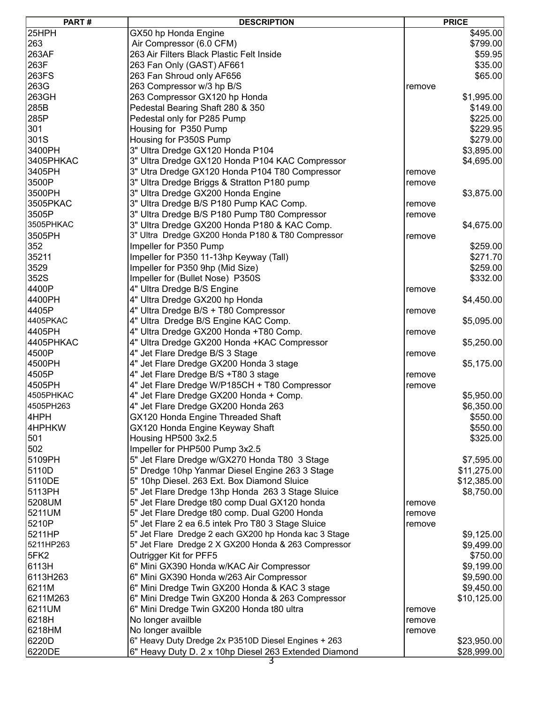| 25HPH<br>GX50 hp Honda Engine<br>\$495.00<br>263<br>Air Compressor (6.0 CFM)<br>\$799.00<br>263 Air Filters Black Plastic Felt Inside<br>\$59.95<br>\$35.00<br>263 Fan Only (GAST) AF661<br>263 Fan Shroud only AF656<br>\$65.00<br>263 Compressor w/3 hp B/S<br>remove<br>263 Compressor GX120 hp Honda<br>\$1,995.00<br>Pedestal Bearing Shaft 280 & 350<br>\$149.00<br>Pedestal only for P285 Pump<br>\$225.00<br>301<br>Housing for P350 Pump<br>\$229.95<br>Housing for P350S Pump<br>301S<br>\$279.00<br>3" Ultra Dredge GX120 Honda P104<br>\$3,895.00<br>3" Ultra Dredge GX120 Honda P104 KAC Compressor<br>\$4,695.00<br>3" Utra Dredge GX120 Honda P104 T80 Compressor<br>remove<br>3" Ultra Dredge Briggs & Stratton P180 pump<br>remove<br>3" Ultra Dredge GX200 Honda Engine<br>\$3,875.00<br>3" Ultra Dredge B/S P180 Pump KAC Comp.<br>remove<br>3" Ultra Dredge B/S P180 Pump T80 Compressor<br>remove |  |
|------------------------------------------------------------------------------------------------------------------------------------------------------------------------------------------------------------------------------------------------------------------------------------------------------------------------------------------------------------------------------------------------------------------------------------------------------------------------------------------------------------------------------------------------------------------------------------------------------------------------------------------------------------------------------------------------------------------------------------------------------------------------------------------------------------------------------------------------------------------------------------------------------------------------|--|
|                                                                                                                                                                                                                                                                                                                                                                                                                                                                                                                                                                                                                                                                                                                                                                                                                                                                                                                        |  |
| 263AF<br>263F<br>263FS<br>263G<br>263GH<br>285B<br>285P<br>3400PH<br>3405PHKAC<br>3405PH<br>3500P<br>3500PH<br>3505PKAC<br>3505P                                                                                                                                                                                                                                                                                                                                                                                                                                                                                                                                                                                                                                                                                                                                                                                       |  |
|                                                                                                                                                                                                                                                                                                                                                                                                                                                                                                                                                                                                                                                                                                                                                                                                                                                                                                                        |  |
|                                                                                                                                                                                                                                                                                                                                                                                                                                                                                                                                                                                                                                                                                                                                                                                                                                                                                                                        |  |
|                                                                                                                                                                                                                                                                                                                                                                                                                                                                                                                                                                                                                                                                                                                                                                                                                                                                                                                        |  |
|                                                                                                                                                                                                                                                                                                                                                                                                                                                                                                                                                                                                                                                                                                                                                                                                                                                                                                                        |  |
|                                                                                                                                                                                                                                                                                                                                                                                                                                                                                                                                                                                                                                                                                                                                                                                                                                                                                                                        |  |
|                                                                                                                                                                                                                                                                                                                                                                                                                                                                                                                                                                                                                                                                                                                                                                                                                                                                                                                        |  |
|                                                                                                                                                                                                                                                                                                                                                                                                                                                                                                                                                                                                                                                                                                                                                                                                                                                                                                                        |  |
|                                                                                                                                                                                                                                                                                                                                                                                                                                                                                                                                                                                                                                                                                                                                                                                                                                                                                                                        |  |
|                                                                                                                                                                                                                                                                                                                                                                                                                                                                                                                                                                                                                                                                                                                                                                                                                                                                                                                        |  |
|                                                                                                                                                                                                                                                                                                                                                                                                                                                                                                                                                                                                                                                                                                                                                                                                                                                                                                                        |  |
|                                                                                                                                                                                                                                                                                                                                                                                                                                                                                                                                                                                                                                                                                                                                                                                                                                                                                                                        |  |
|                                                                                                                                                                                                                                                                                                                                                                                                                                                                                                                                                                                                                                                                                                                                                                                                                                                                                                                        |  |
|                                                                                                                                                                                                                                                                                                                                                                                                                                                                                                                                                                                                                                                                                                                                                                                                                                                                                                                        |  |
|                                                                                                                                                                                                                                                                                                                                                                                                                                                                                                                                                                                                                                                                                                                                                                                                                                                                                                                        |  |
|                                                                                                                                                                                                                                                                                                                                                                                                                                                                                                                                                                                                                                                                                                                                                                                                                                                                                                                        |  |
|                                                                                                                                                                                                                                                                                                                                                                                                                                                                                                                                                                                                                                                                                                                                                                                                                                                                                                                        |  |
|                                                                                                                                                                                                                                                                                                                                                                                                                                                                                                                                                                                                                                                                                                                                                                                                                                                                                                                        |  |
| 3505PHKAC<br>3" Ultra Dredge GX200 Honda P180 & KAC Comp.<br>\$4,675.00                                                                                                                                                                                                                                                                                                                                                                                                                                                                                                                                                                                                                                                                                                                                                                                                                                                |  |
| 3" Ultra Dredge GX200 Honda P180 & T80 Compressor<br>3505PH<br>remove                                                                                                                                                                                                                                                                                                                                                                                                                                                                                                                                                                                                                                                                                                                                                                                                                                                  |  |
| 352<br>Impeller for P350 Pump<br>\$259.00                                                                                                                                                                                                                                                                                                                                                                                                                                                                                                                                                                                                                                                                                                                                                                                                                                                                              |  |
| 35211<br>Impeller for P350 11-13hp Keyway (Tall)<br>\$271.70                                                                                                                                                                                                                                                                                                                                                                                                                                                                                                                                                                                                                                                                                                                                                                                                                                                           |  |
| 3529<br>Impeller for P350 9hp (Mid Size)<br>\$259.00                                                                                                                                                                                                                                                                                                                                                                                                                                                                                                                                                                                                                                                                                                                                                                                                                                                                   |  |
| 352S<br>Impeller for (Bullet Nose) P350S<br>\$332.00                                                                                                                                                                                                                                                                                                                                                                                                                                                                                                                                                                                                                                                                                                                                                                                                                                                                   |  |
| 4400P<br>4" Ultra Dredge B/S Engine<br>remove                                                                                                                                                                                                                                                                                                                                                                                                                                                                                                                                                                                                                                                                                                                                                                                                                                                                          |  |
| 4400PH<br>4" Ultra Dredge GX200 hp Honda<br>\$4,450.00                                                                                                                                                                                                                                                                                                                                                                                                                                                                                                                                                                                                                                                                                                                                                                                                                                                                 |  |
| 4405P <br>4" Ultra Dredge B/S + T80 Compressor<br>remove                                                                                                                                                                                                                                                                                                                                                                                                                                                                                                                                                                                                                                                                                                                                                                                                                                                               |  |
| 4405PKAC<br>4" Ultra Dredge B/S Engine KAC Comp.<br>\$5,095.00                                                                                                                                                                                                                                                                                                                                                                                                                                                                                                                                                                                                                                                                                                                                                                                                                                                         |  |
| 4405PH<br>4" Ultra Dredge GX200 Honda +T80 Comp.<br>remove                                                                                                                                                                                                                                                                                                                                                                                                                                                                                                                                                                                                                                                                                                                                                                                                                                                             |  |
| 4" Ultra Dredge GX200 Honda +KAC Compressor<br>4405PHKAC<br>\$5,250.00                                                                                                                                                                                                                                                                                                                                                                                                                                                                                                                                                                                                                                                                                                                                                                                                                                                 |  |
| 4500P<br>4" Jet Flare Dredge B/S 3 Stage<br>remove                                                                                                                                                                                                                                                                                                                                                                                                                                                                                                                                                                                                                                                                                                                                                                                                                                                                     |  |
| 4" Jet Flare Dredge GX200 Honda 3 stage<br>4500PH<br>\$5,175.00                                                                                                                                                                                                                                                                                                                                                                                                                                                                                                                                                                                                                                                                                                                                                                                                                                                        |  |
| 4505P<br>4" Jet Flare Dredge B/S +T80 3 stage<br>remove                                                                                                                                                                                                                                                                                                                                                                                                                                                                                                                                                                                                                                                                                                                                                                                                                                                                |  |
| 4505PH<br>4" Jet Flare Dredge W/P185CH + T80 Compressor                                                                                                                                                                                                                                                                                                                                                                                                                                                                                                                                                                                                                                                                                                                                                                                                                                                                |  |
| remove<br>4505PHKAC<br>4" Jet Flare Dredge GX200 Honda + Comp.<br>\$5,950.00                                                                                                                                                                                                                                                                                                                                                                                                                                                                                                                                                                                                                                                                                                                                                                                                                                           |  |
| 4505PH263<br>4" Jet Flare Dredge GX200 Honda 263                                                                                                                                                                                                                                                                                                                                                                                                                                                                                                                                                                                                                                                                                                                                                                                                                                                                       |  |
| \$6,350.00                                                                                                                                                                                                                                                                                                                                                                                                                                                                                                                                                                                                                                                                                                                                                                                                                                                                                                             |  |
| 4HPH<br>GX120 Honda Engine Threaded Shaft<br>\$550.00                                                                                                                                                                                                                                                                                                                                                                                                                                                                                                                                                                                                                                                                                                                                                                                                                                                                  |  |
| 4HPHKW<br>GX120 Honda Engine Keyway Shaft<br>\$550.00                                                                                                                                                                                                                                                                                                                                                                                                                                                                                                                                                                                                                                                                                                                                                                                                                                                                  |  |
| \$325.00<br>501<br>Housing HP500 3x2.5                                                                                                                                                                                                                                                                                                                                                                                                                                                                                                                                                                                                                                                                                                                                                                                                                                                                                 |  |
| 502<br>Impeller for PHP500 Pump 3x2.5                                                                                                                                                                                                                                                                                                                                                                                                                                                                                                                                                                                                                                                                                                                                                                                                                                                                                  |  |
| 5" Jet Flare Dredge w/GX270 Honda T80 3 Stage<br>\$7,595.00<br>5109PH                                                                                                                                                                                                                                                                                                                                                                                                                                                                                                                                                                                                                                                                                                                                                                                                                                                  |  |
| 5110D<br>5" Dredge 10hp Yanmar Diesel Engine 263 3 Stage<br>\$11,275.00                                                                                                                                                                                                                                                                                                                                                                                                                                                                                                                                                                                                                                                                                                                                                                                                                                                |  |
| 5" 10hp Diesel. 263 Ext. Box Diamond Sluice<br>5110DE<br>\$12,385.00                                                                                                                                                                                                                                                                                                                                                                                                                                                                                                                                                                                                                                                                                                                                                                                                                                                   |  |
| 5113PH<br>5" Jet Flare Dredge 13hp Honda 263 3 Stage Sluice<br>\$8,750.00                                                                                                                                                                                                                                                                                                                                                                                                                                                                                                                                                                                                                                                                                                                                                                                                                                              |  |
| 5208UM<br>5" Jet Flare Dredge t80 comp Dual GX120 honda<br>remove                                                                                                                                                                                                                                                                                                                                                                                                                                                                                                                                                                                                                                                                                                                                                                                                                                                      |  |
| 5" Jet Flare Dredge t80 comp. Dual G200 Honda<br>5211UM<br>remove                                                                                                                                                                                                                                                                                                                                                                                                                                                                                                                                                                                                                                                                                                                                                                                                                                                      |  |
| 5" Jet Flare 2 ea 6.5 intek Pro T80 3 Stage Sluice<br>5210P<br>remove                                                                                                                                                                                                                                                                                                                                                                                                                                                                                                                                                                                                                                                                                                                                                                                                                                                  |  |
| 5" Jet Flare Dredge 2 each GX200 hp Honda kac 3 Stage<br>5211HP<br>\$9,125.00                                                                                                                                                                                                                                                                                                                                                                                                                                                                                                                                                                                                                                                                                                                                                                                                                                          |  |
| 5" Jet Flare Dredge 2 X GX200 Honda & 263 Compressor<br>5211HP263<br>\$9,499.00                                                                                                                                                                                                                                                                                                                                                                                                                                                                                                                                                                                                                                                                                                                                                                                                                                        |  |
| 5FK2<br>Outrigger Kit for PFF5<br>\$750.00                                                                                                                                                                                                                                                                                                                                                                                                                                                                                                                                                                                                                                                                                                                                                                                                                                                                             |  |
| 6113H<br>6" Mini GX390 Honda w/KAC Air Compressor<br>\$9,199.00                                                                                                                                                                                                                                                                                                                                                                                                                                                                                                                                                                                                                                                                                                                                                                                                                                                        |  |
| 6113H263<br>6" Mini GX390 Honda w/263 Air Compressor<br>\$9,590.00                                                                                                                                                                                                                                                                                                                                                                                                                                                                                                                                                                                                                                                                                                                                                                                                                                                     |  |
| 6211M<br>6" Mini Dredge Twin GX200 Honda & KAC 3 stage<br>\$9,450.00                                                                                                                                                                                                                                                                                                                                                                                                                                                                                                                                                                                                                                                                                                                                                                                                                                                   |  |
| 6211M263<br>6" Mini Dredge Twin GX200 Honda & 263 Compressor<br>\$10,125.00                                                                                                                                                                                                                                                                                                                                                                                                                                                                                                                                                                                                                                                                                                                                                                                                                                            |  |
| 6211UM<br>6" Mini Dredge Twin GX200 Honda t80 ultra<br>remove                                                                                                                                                                                                                                                                                                                                                                                                                                                                                                                                                                                                                                                                                                                                                                                                                                                          |  |
| 6218H<br>No longer availble<br>remove                                                                                                                                                                                                                                                                                                                                                                                                                                                                                                                                                                                                                                                                                                                                                                                                                                                                                  |  |
| No longer availble<br>6218HM<br>remove                                                                                                                                                                                                                                                                                                                                                                                                                                                                                                                                                                                                                                                                                                                                                                                                                                                                                 |  |
| 6" Heavy Duty Dredge 2x P3510D Diesel Engines + 263<br>6220D<br>\$23,950.00                                                                                                                                                                                                                                                                                                                                                                                                                                                                                                                                                                                                                                                                                                                                                                                                                                            |  |
| 6220DE<br>6" Heavy Duty D. 2 x 10hp Diesel 263 Extended Diamond<br>\$28,999.00                                                                                                                                                                                                                                                                                                                                                                                                                                                                                                                                                                                                                                                                                                                                                                                                                                         |  |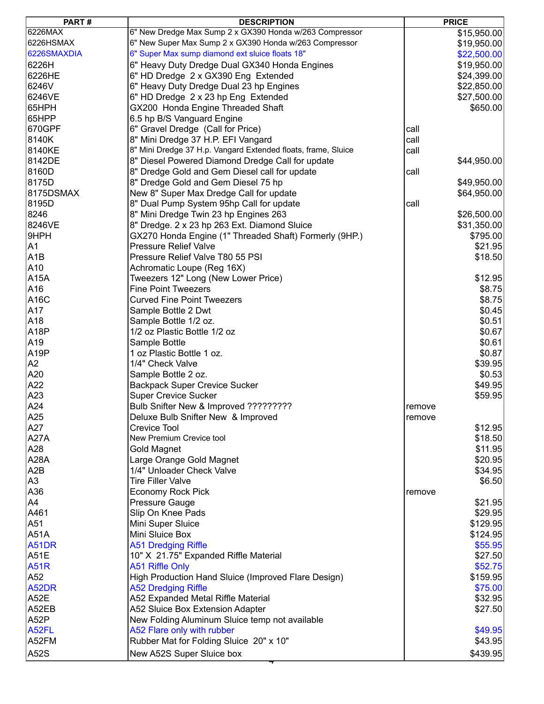| PART#            | <b>DESCRIPTION</b>                                            | <b>PRICE</b> |
|------------------|---------------------------------------------------------------|--------------|
| 6226MAX          | 6" New Dredge Max Sump 2 x GX390 Honda w/263 Compressor       | \$15,950.00  |
| 6226HSMAX        | 6" New Super Max Sump 2 x GX390 Honda w/263 Compressor        | \$19,950.00  |
| 6226SMAXDIA      | 6" Super Max sump diamond ext sluice floats 18"               | \$22,500.00  |
| 6226H            | 6" Heavy Duty Dredge Dual GX340 Honda Engines                 | \$19,950.00  |
| 6226HE           | 6" HD Dredge 2 x GX390 Eng Extended                           | \$24,399.00  |
| 6246V            | 6" Heavy Duty Dredge Dual 23 hp Engines                       | \$22,850.00  |
| 6246VE           | 6" HD Dredge 2 x 23 hp Eng Extended                           | \$27,500.00] |
| 65HPH            | GX200 Honda Engine Threaded Shaft                             | \$650.00     |
| 65HPP            | 6.5 hp B/S Vanguard Engine                                    |              |
| 670GPF           | 6" Gravel Dredge (Call for Price)                             | call         |
| 8140K            | 8" Mini Dredge 37 H.P. EFI Vangard                            | call         |
| 8140KE           | 8" Mini Dredge 37 H.p. Vangard Extended floats, frame, Sluice | call         |
| 8142DE           | 8" Diesel Powered Diamond Dredge Call for update              | \$44,950.00  |
| 8160D            | 8" Dredge Gold and Gem Diesel call for update                 | call         |
| 8175D            | 8" Dredge Gold and Gem Diesel 75 hp                           | \$49,950.00  |
| 8175DSMAX        | New 8" Super Max Dredge Call for update                       | \$64,950.00  |
| 8195D            | 8" Dual Pump System 95hp Call for update                      | call         |
| 8246             | 8" Mini Dredge Twin 23 hp Engines 263                         | \$26,500.00  |
| 8246VE           | 8" Dredge. 2 x 23 hp 263 Ext. Diamond Sluice                  | \$31,350.00  |
| 9HPH             | GX270 Honda Engine (1" Threaded Shaft) Formerly (9HP.)        | \$795.00     |
| A1               | <b>Pressure Relief Valve</b>                                  | \$21.95      |
| A1B              | Pressure Relief Valve T80 55 PSI                              | \$18.50      |
| A10              | Achromatic Loupe (Reg 16X)                                    |              |
| A15A             |                                                               | \$12.95      |
|                  | Tweezers 12" Long (New Lower Price)                           |              |
| A16              | <b>Fine Point Tweezers</b>                                    | \$8.75       |
| <b>A16C</b>      | <b>Curved Fine Point Tweezers</b>                             | \$8.75       |
| A17              | Sample Bottle 2 Dwt                                           | \$0.45]      |
| A18              | Sample Bottle 1/2 oz.                                         | \$0.51       |
| A18P             | 1/2 oz Plastic Bottle 1/2 oz                                  | \$0.67       |
| A19              | Sample Bottle                                                 | \$0.61       |
| A19P             | 1 oz Plastic Bottle 1 oz.                                     | \$0.87       |
| A2               | 1/4" Check Valve                                              | \$39.95      |
| A20              | Sample Bottle 2 oz.                                           | \$0.53]      |
| A22              | <b>Backpack Super Crevice Sucker</b>                          | \$49.95      |
| A23              | <b>Super Crevice Sucker</b>                                   | \$59.95      |
| A24              | Bulb Snifter New & Improved ?????????                         | remove       |
| A25              | Deluxe Bulb Snifter New & Improved                            | remove       |
| A27              | Crevice Tool                                                  | \$12.95      |
| A27A             | New Premium Crevice tool                                      | \$18.50      |
| A28              | Gold Magnet                                                   | \$11.95      |
| A28A             | Large Orange Gold Magnet                                      | \$20.95      |
| A <sub>2</sub> B | 1/4" Unloader Check Valve                                     | \$34.95      |
| A3               | <b>Tire Filler Valve</b>                                      | \$6.50       |
| A36              | <b>Economy Rock Pick</b>                                      | remove       |
| A4               | Pressure Gauge                                                | \$21.95      |
| A461             | Slip On Knee Pads                                             | \$29.95      |
| A51              | Mini Super Sluice                                             | \$129.95     |
| A51A             | Mini Sluice Box                                               | \$124.95     |
| A51DR            | <b>A51 Dredging Riffle</b>                                    | \$55.95      |
| <b>A51E</b>      | 10" X 21.75" Expanded Riffle Material                         | \$27.50      |
| <b>A51R</b>      | <b>A51 Riffle Only</b>                                        | \$52.75      |
| A52              | High Production Hand Sluice (Improved Flare Design)           | \$159.95     |
| A52DR            | <b>A52 Dredging Riffle</b>                                    | \$75.00      |
| A52E             | A52 Expanded Metal Riffle Material                            | \$32.95      |
| A52EB            | A52 Sluice Box Extension Adapter                              | \$27.50      |
| A52P             | New Folding Aluminum Sluice temp not available                |              |
| A52FL            | A52 Flare only with rubber                                    | \$49.95      |
| A52FM            | Rubber Mat for Folding Sluice 20" x 10"                       | \$43.95      |
| A52S             | New A52S Super Sluice box                                     | \$439.95     |
|                  |                                                               |              |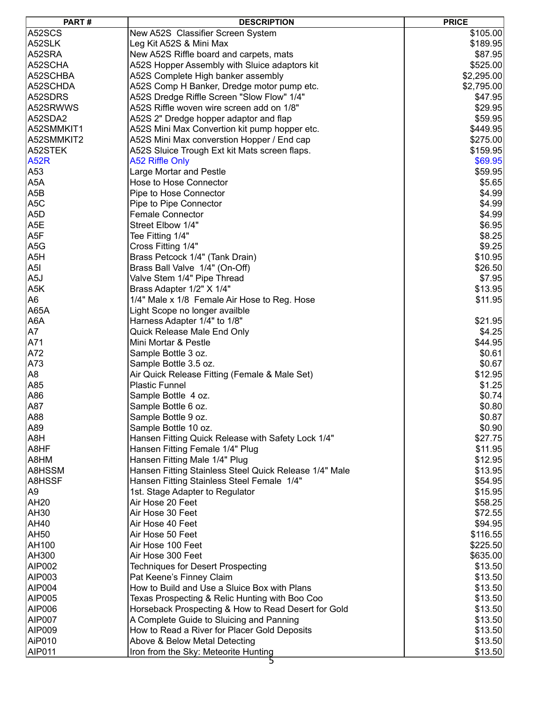| PART#                              | <b>DESCRIPTION</b>                                                     | <b>PRICE</b>       |
|------------------------------------|------------------------------------------------------------------------|--------------------|
| A52SCS                             | New A52S Classifier Screen System                                      | \$105.00           |
| A52SLK                             | Leg Kit A52S & Mini Max                                                | \$189.95           |
| A52SRA                             | New A52S Riffle board and carpets, mats                                | \$87.95            |
| A52SCHA                            | A52S Hopper Assembly with Sluice adaptors kit                          | \$525.00           |
| A52SCHBA                           | A52S Complete High banker assembly                                     | \$2,295.00         |
| A52SCHDA                           | A52S Comp H Banker, Dredge motor pump etc.                             | \$2,795.00         |
| A52SDRS                            | A52S Dredge Riffle Screen "Slow Flow" 1/4"                             | \$47.95            |
| A52SRWWS                           | A52S Riffle woven wire screen add on 1/8"                              | \$29.95            |
| A52SDA2                            | A52S 2" Dredge hopper adaptor and flap                                 | \$59.95            |
| A52SMMKIT1                         | A52S Mini Max Convertion kit pump hopper etc.                          | \$449.95           |
| A52SMMKIT2                         | A52S Mini Max converstion Hopper / End cap                             | \$275.00           |
| A52STEK                            | A52S Sluice Trough Ext kit Mats screen flaps.                          | \$159.95           |
| <b>A52R</b>                        | <b>A52 Riffle Only</b>                                                 | \$69.95            |
| A53                                | Large Mortar and Pestle                                                | \$59.95            |
| A5A                                | Hose to Hose Connector                                                 | \$5.65             |
| A5B                                | Pipe to Hose Connector                                                 | \$4.99             |
| A5C                                | Pipe to Pipe Connector                                                 | \$4.99             |
| A <sub>5</sub> D                   | <b>Female Connector</b>                                                | \$4.99             |
| A5E                                | Street Elbow 1/4"                                                      | \$6.95             |
| A5F                                | Tee Fitting 1/4"                                                       | \$8.25             |
| A5G                                | Cross Fitting 1/4"                                                     | \$9.25             |
| A5H                                | Brass Petcock 1/4" (Tank Drain)                                        | \$10.95            |
| A5I)                               | Brass Ball Valve 1/4" (On-Off)                                         | \$26.50            |
| A5J                                | Valve Stem 1/4" Pipe Thread                                            | \$7.95             |
| A5K                                | Brass Adapter 1/2" X 1/4"                                              | \$13.95            |
| A6                                 | 1/4" Male x 1/8 Female Air Hose to Reg. Hose                           | \$11.95            |
| A65A                               | Light Scope no longer availble                                         |                    |
| A6A                                | Harness Adapter 1/4" to 1/8"                                           | \$21.95            |
| A7                                 | Quick Release Male End Only                                            | \$4.25             |
| A71                                | Mini Mortar & Pestle                                                   | \$44.95            |
| A72                                | Sample Bottle 3 oz.                                                    | \$0.61             |
| A73                                |                                                                        | \$0.67             |
| A8                                 | Sample Bottle 3.5 oz.<br>Air Quick Release Fitting (Female & Male Set) | \$12.95            |
| A85                                | <b>Plastic Funnel</b>                                                  | \$1.25             |
| A86                                | Sample Bottle 4 oz.                                                    | \$0.74             |
| A87                                | Sample Bottle 6 oz.                                                    | \$0.80             |
| A88                                | Sample Bottle 9 oz.                                                    | \$0.87             |
| A89                                | Sample Bottle 10 oz.                                                   | \$0.90             |
| A8H                                | Hansen Fitting Quick Release with Safety Lock 1/4"                     | \$27.75            |
| A8HF                               | Hansen Fitting Female 1/4" Plug                                        | \$11.95            |
| A8HM                               | Hansen Fitting Male 1/4" Plug                                          | \$12.95            |
| A8HSSM                             | Hansen Fitting Stainless Steel Quick Release 1/4" Male                 | \$13.95            |
| A8HSSF                             |                                                                        |                    |
|                                    | Hansen Fitting Stainless Steel Female 1/4"                             | \$54.95<br>\$15.95 |
| A <sub>9</sub><br>AH <sub>20</sub> | 1st. Stage Adapter to Regulator<br>Air Hose 20 Feet                    | \$58.25            |
| <b>AH30</b>                        | Air Hose 30 Feet                                                       | \$72.55            |
| AH40                               | Air Hose 40 Feet                                                       | \$94.95            |
| AH50                               | Air Hose 50 Feet                                                       | \$116.55           |
| AH100                              | Air Hose 100 Feet                                                      | \$225.50           |
| AH300                              | Air Hose 300 Feet                                                      |                    |
|                                    |                                                                        | \$635.00           |
| AIP002                             | <b>Techniques for Desert Prospecting</b>                               | \$13.50            |
| AIP003                             | Pat Keene's Finney Claim                                               | \$13.50            |
| AIP004                             | How to Build and Use a Sluice Box with Plans                           | \$13.50            |
| AIP005                             | Texas Prospecting & Relic Hunting with Boo Coo                         | \$13.50            |
| AIP006                             | Horseback Prospecting & How to Read Desert for Gold                    | \$13.50            |
| AIP007                             | A Complete Guide to Sluicing and Panning                               | \$13.50            |
| AIP009                             | How to Read a River for Placer Gold Deposits                           | \$13.50            |
| AiP010                             | Above & Below Metal Detecting                                          | \$13.50            |
| AIP011                             | Iron from the Sky: Meteorite Hunting                                   | \$13.50            |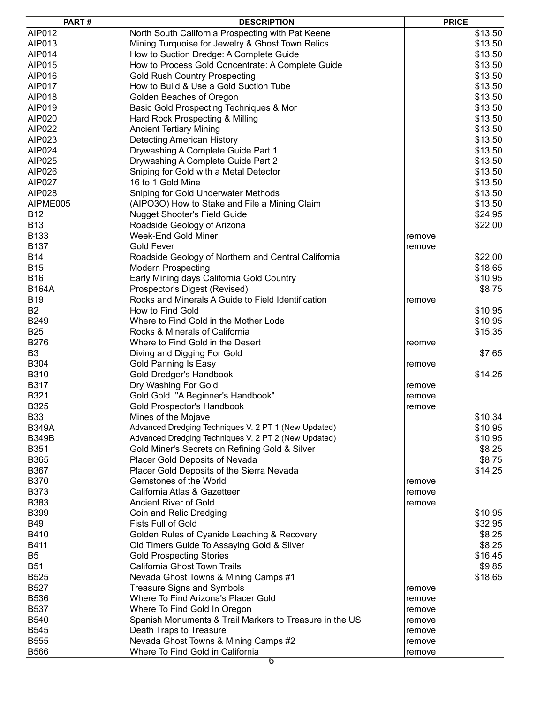| \$13.50<br>North South California Prospecting with Pat Keene<br>AIP013<br>\$13.50<br>Mining Turquoise for Jewelry & Ghost Town Relics<br>AIP014<br>How to Suction Dredge: A Complete Guide<br>\$13.50<br>AIP015<br>How to Process Gold Concentrate: A Complete Guide<br>\$13.50<br>AIP016<br>\$13.50<br><b>Gold Rush Country Prospecting</b><br>AIP017<br>How to Build & Use a Gold Suction Tube<br>\$13.50<br>AIP018<br>\$13.50<br>Golden Beaches of Oregon<br>AIP019<br>Basic Gold Prospecting Techniques & Mor<br>\$13.50<br>AIP020<br>\$13.50<br>Hard Rock Prospecting & Milling<br>AIP022<br>\$13.50<br><b>Ancient Tertiary Mining</b><br>AIP023<br><b>Detecting American History</b><br>\$13.50<br>AIP024<br>\$13.50<br>Drywashing A Complete Guide Part 1<br>AIP025<br>Drywashing A Complete Guide Part 2<br>\$13.50<br>AIP026<br>\$13.50<br>Sniping for Gold with a Metal Detector<br>AIP027<br>16 to 1 Gold Mine<br>\$13.50<br>AIP028<br>\$13.50<br>Sniping for Gold Underwater Methods<br>AIPME005<br>\$13.50<br>(AIPO3O) How to Stake and File a Mining Claim<br>B12<br><b>Nugget Shooter's Field Guide</b><br>\$24.95<br><b>B13</b><br>\$22.00<br>Roadside Geology of Arizona<br>B133<br>Week-End Gold Miner<br>remove<br><b>Gold Fever</b><br>remove<br>\$22.00<br>Roadside Geology of Northern and Central California<br><b>Modern Prospecting</b><br>\$18.65<br>Early Mining days California Gold Country<br>\$10.95<br>Prospector's Digest (Revised)<br>\$8.75<br>B19<br>Rocks and Minerals A Guide to Field Identification<br>remove<br>B <sub>2</sub><br>How to Find Gold<br>\$10.95<br>B249<br>Where to Find Gold in the Mother Lode<br>\$10.95<br><b>B25</b><br>\$15.35<br>Rocks & Minerals of California<br><b>B276</b><br>Where to Find Gold in the Desert<br>reomve<br>B <sub>3</sub><br>Diving and Digging For Gold<br>\$7.65<br>B304<br>Gold Panning Is Easy<br>remove<br>B310<br>Gold Dredger's Handbook<br>\$14.25<br>B317<br>Dry Washing For Gold<br>remove<br>B321<br>Gold Gold "A Beginner's Handbook"<br>remove<br>B325<br>Gold Prospector's Handbook<br>remove<br><b>B33</b><br>Mines of the Mojave<br>\$10.34]<br>Advanced Dredging Techniques V. 2 PT 1 (New Updated)<br>\$10.95<br><b>B349A</b><br>Advanced Dredging Techniques V. 2 PT 2 (New Updated)<br><b>B349B</b><br>\$10.95<br>B351<br>Gold Miner's Secrets on Refining Gold & Silver<br>\$8.25<br>\$8.75<br><b>B365</b><br>Placer Gold Deposits of Nevada<br>B367<br>Placer Gold Deposits of the Sierra Nevada<br>\$14.25<br><b>B370</b><br>Gemstones of the World<br>remove<br><b>B373</b><br>California Atlas & Gazetteer<br>remove<br>B383<br><b>Ancient River of Gold</b><br>remove<br>B399<br>Coin and Relic Dredging<br>B49<br><b>Fists Full of Gold</b><br>B410<br>Golden Rules of Cyanide Leaching & Recovery<br>B411<br>Old Timers Guide To Assaying Gold & Silver<br>B <sub>5</sub><br><b>Gold Prospecting Stories</b><br>California Ghost Town Trails<br>\$9.85<br>Nevada Ghost Towns & Mining Camps #1<br>\$18.65<br><b>Treasure Signs and Symbols</b><br>remove<br>Where To Find Arizona's Placer Gold<br>remove<br>Where To Find Gold In Oregon<br>remove<br>Spanish Monuments & Trail Markers to Treasure in the US<br>remove<br>Death Traps to Treasure<br>remove<br><b>B555</b><br>Nevada Ghost Towns & Mining Camps #2<br>remove | PART#        | <b>DESCRIPTION</b>               | <b>PRICE</b> |
|-----------------------------------------------------------------------------------------------------------------------------------------------------------------------------------------------------------------------------------------------------------------------------------------------------------------------------------------------------------------------------------------------------------------------------------------------------------------------------------------------------------------------------------------------------------------------------------------------------------------------------------------------------------------------------------------------------------------------------------------------------------------------------------------------------------------------------------------------------------------------------------------------------------------------------------------------------------------------------------------------------------------------------------------------------------------------------------------------------------------------------------------------------------------------------------------------------------------------------------------------------------------------------------------------------------------------------------------------------------------------------------------------------------------------------------------------------------------------------------------------------------------------------------------------------------------------------------------------------------------------------------------------------------------------------------------------------------------------------------------------------------------------------------------------------------------------------------------------------------------------------------------------------------------------------------------------------------------------------------------------------------------------------------------------------------------------------------------------------------------------------------------------------------------------------------------------------------------------------------------------------------------------------------------------------------------------------------------------------------------------------------------------------------------------------------------------------------------------------------------------------------------------------------------------------------------------------------------------------------------------------------------------------------------------------------------------------------------------------------------------------------------------------------------------------------------------------------------------------------------------------------------------------------------------------------------------------------------------------------------------------------------------------------------------------------------------------------------------------------------------------------------------------------------------------------------------------------------------------------------------------------------------------------------------------------------------------------------------|--------------|----------------------------------|--------------|
|                                                                                                                                                                                                                                                                                                                                                                                                                                                                                                                                                                                                                                                                                                                                                                                                                                                                                                                                                                                                                                                                                                                                                                                                                                                                                                                                                                                                                                                                                                                                                                                                                                                                                                                                                                                                                                                                                                                                                                                                                                                                                                                                                                                                                                                                                                                                                                                                                                                                                                                                                                                                                                                                                                                                                                                                                                                                                                                                                                                                                                                                                                                                                                                                                                                                                                                                               | AIP012       |                                  |              |
|                                                                                                                                                                                                                                                                                                                                                                                                                                                                                                                                                                                                                                                                                                                                                                                                                                                                                                                                                                                                                                                                                                                                                                                                                                                                                                                                                                                                                                                                                                                                                                                                                                                                                                                                                                                                                                                                                                                                                                                                                                                                                                                                                                                                                                                                                                                                                                                                                                                                                                                                                                                                                                                                                                                                                                                                                                                                                                                                                                                                                                                                                                                                                                                                                                                                                                                                               |              |                                  |              |
|                                                                                                                                                                                                                                                                                                                                                                                                                                                                                                                                                                                                                                                                                                                                                                                                                                                                                                                                                                                                                                                                                                                                                                                                                                                                                                                                                                                                                                                                                                                                                                                                                                                                                                                                                                                                                                                                                                                                                                                                                                                                                                                                                                                                                                                                                                                                                                                                                                                                                                                                                                                                                                                                                                                                                                                                                                                                                                                                                                                                                                                                                                                                                                                                                                                                                                                                               |              |                                  |              |
|                                                                                                                                                                                                                                                                                                                                                                                                                                                                                                                                                                                                                                                                                                                                                                                                                                                                                                                                                                                                                                                                                                                                                                                                                                                                                                                                                                                                                                                                                                                                                                                                                                                                                                                                                                                                                                                                                                                                                                                                                                                                                                                                                                                                                                                                                                                                                                                                                                                                                                                                                                                                                                                                                                                                                                                                                                                                                                                                                                                                                                                                                                                                                                                                                                                                                                                                               |              |                                  |              |
|                                                                                                                                                                                                                                                                                                                                                                                                                                                                                                                                                                                                                                                                                                                                                                                                                                                                                                                                                                                                                                                                                                                                                                                                                                                                                                                                                                                                                                                                                                                                                                                                                                                                                                                                                                                                                                                                                                                                                                                                                                                                                                                                                                                                                                                                                                                                                                                                                                                                                                                                                                                                                                                                                                                                                                                                                                                                                                                                                                                                                                                                                                                                                                                                                                                                                                                                               |              |                                  |              |
|                                                                                                                                                                                                                                                                                                                                                                                                                                                                                                                                                                                                                                                                                                                                                                                                                                                                                                                                                                                                                                                                                                                                                                                                                                                                                                                                                                                                                                                                                                                                                                                                                                                                                                                                                                                                                                                                                                                                                                                                                                                                                                                                                                                                                                                                                                                                                                                                                                                                                                                                                                                                                                                                                                                                                                                                                                                                                                                                                                                                                                                                                                                                                                                                                                                                                                                                               |              |                                  |              |
|                                                                                                                                                                                                                                                                                                                                                                                                                                                                                                                                                                                                                                                                                                                                                                                                                                                                                                                                                                                                                                                                                                                                                                                                                                                                                                                                                                                                                                                                                                                                                                                                                                                                                                                                                                                                                                                                                                                                                                                                                                                                                                                                                                                                                                                                                                                                                                                                                                                                                                                                                                                                                                                                                                                                                                                                                                                                                                                                                                                                                                                                                                                                                                                                                                                                                                                                               |              |                                  |              |
|                                                                                                                                                                                                                                                                                                                                                                                                                                                                                                                                                                                                                                                                                                                                                                                                                                                                                                                                                                                                                                                                                                                                                                                                                                                                                                                                                                                                                                                                                                                                                                                                                                                                                                                                                                                                                                                                                                                                                                                                                                                                                                                                                                                                                                                                                                                                                                                                                                                                                                                                                                                                                                                                                                                                                                                                                                                                                                                                                                                                                                                                                                                                                                                                                                                                                                                                               |              |                                  |              |
|                                                                                                                                                                                                                                                                                                                                                                                                                                                                                                                                                                                                                                                                                                                                                                                                                                                                                                                                                                                                                                                                                                                                                                                                                                                                                                                                                                                                                                                                                                                                                                                                                                                                                                                                                                                                                                                                                                                                                                                                                                                                                                                                                                                                                                                                                                                                                                                                                                                                                                                                                                                                                                                                                                                                                                                                                                                                                                                                                                                                                                                                                                                                                                                                                                                                                                                                               |              |                                  |              |
|                                                                                                                                                                                                                                                                                                                                                                                                                                                                                                                                                                                                                                                                                                                                                                                                                                                                                                                                                                                                                                                                                                                                                                                                                                                                                                                                                                                                                                                                                                                                                                                                                                                                                                                                                                                                                                                                                                                                                                                                                                                                                                                                                                                                                                                                                                                                                                                                                                                                                                                                                                                                                                                                                                                                                                                                                                                                                                                                                                                                                                                                                                                                                                                                                                                                                                                                               |              |                                  |              |
|                                                                                                                                                                                                                                                                                                                                                                                                                                                                                                                                                                                                                                                                                                                                                                                                                                                                                                                                                                                                                                                                                                                                                                                                                                                                                                                                                                                                                                                                                                                                                                                                                                                                                                                                                                                                                                                                                                                                                                                                                                                                                                                                                                                                                                                                                                                                                                                                                                                                                                                                                                                                                                                                                                                                                                                                                                                                                                                                                                                                                                                                                                                                                                                                                                                                                                                                               |              |                                  |              |
|                                                                                                                                                                                                                                                                                                                                                                                                                                                                                                                                                                                                                                                                                                                                                                                                                                                                                                                                                                                                                                                                                                                                                                                                                                                                                                                                                                                                                                                                                                                                                                                                                                                                                                                                                                                                                                                                                                                                                                                                                                                                                                                                                                                                                                                                                                                                                                                                                                                                                                                                                                                                                                                                                                                                                                                                                                                                                                                                                                                                                                                                                                                                                                                                                                                                                                                                               |              |                                  |              |
|                                                                                                                                                                                                                                                                                                                                                                                                                                                                                                                                                                                                                                                                                                                                                                                                                                                                                                                                                                                                                                                                                                                                                                                                                                                                                                                                                                                                                                                                                                                                                                                                                                                                                                                                                                                                                                                                                                                                                                                                                                                                                                                                                                                                                                                                                                                                                                                                                                                                                                                                                                                                                                                                                                                                                                                                                                                                                                                                                                                                                                                                                                                                                                                                                                                                                                                                               |              |                                  |              |
|                                                                                                                                                                                                                                                                                                                                                                                                                                                                                                                                                                                                                                                                                                                                                                                                                                                                                                                                                                                                                                                                                                                                                                                                                                                                                                                                                                                                                                                                                                                                                                                                                                                                                                                                                                                                                                                                                                                                                                                                                                                                                                                                                                                                                                                                                                                                                                                                                                                                                                                                                                                                                                                                                                                                                                                                                                                                                                                                                                                                                                                                                                                                                                                                                                                                                                                                               |              |                                  |              |
|                                                                                                                                                                                                                                                                                                                                                                                                                                                                                                                                                                                                                                                                                                                                                                                                                                                                                                                                                                                                                                                                                                                                                                                                                                                                                                                                                                                                                                                                                                                                                                                                                                                                                                                                                                                                                                                                                                                                                                                                                                                                                                                                                                                                                                                                                                                                                                                                                                                                                                                                                                                                                                                                                                                                                                                                                                                                                                                                                                                                                                                                                                                                                                                                                                                                                                                                               |              |                                  |              |
|                                                                                                                                                                                                                                                                                                                                                                                                                                                                                                                                                                                                                                                                                                                                                                                                                                                                                                                                                                                                                                                                                                                                                                                                                                                                                                                                                                                                                                                                                                                                                                                                                                                                                                                                                                                                                                                                                                                                                                                                                                                                                                                                                                                                                                                                                                                                                                                                                                                                                                                                                                                                                                                                                                                                                                                                                                                                                                                                                                                                                                                                                                                                                                                                                                                                                                                                               |              |                                  |              |
|                                                                                                                                                                                                                                                                                                                                                                                                                                                                                                                                                                                                                                                                                                                                                                                                                                                                                                                                                                                                                                                                                                                                                                                                                                                                                                                                                                                                                                                                                                                                                                                                                                                                                                                                                                                                                                                                                                                                                                                                                                                                                                                                                                                                                                                                                                                                                                                                                                                                                                                                                                                                                                                                                                                                                                                                                                                                                                                                                                                                                                                                                                                                                                                                                                                                                                                                               |              |                                  |              |
|                                                                                                                                                                                                                                                                                                                                                                                                                                                                                                                                                                                                                                                                                                                                                                                                                                                                                                                                                                                                                                                                                                                                                                                                                                                                                                                                                                                                                                                                                                                                                                                                                                                                                                                                                                                                                                                                                                                                                                                                                                                                                                                                                                                                                                                                                                                                                                                                                                                                                                                                                                                                                                                                                                                                                                                                                                                                                                                                                                                                                                                                                                                                                                                                                                                                                                                                               |              |                                  |              |
|                                                                                                                                                                                                                                                                                                                                                                                                                                                                                                                                                                                                                                                                                                                                                                                                                                                                                                                                                                                                                                                                                                                                                                                                                                                                                                                                                                                                                                                                                                                                                                                                                                                                                                                                                                                                                                                                                                                                                                                                                                                                                                                                                                                                                                                                                                                                                                                                                                                                                                                                                                                                                                                                                                                                                                                                                                                                                                                                                                                                                                                                                                                                                                                                                                                                                                                                               |              |                                  |              |
|                                                                                                                                                                                                                                                                                                                                                                                                                                                                                                                                                                                                                                                                                                                                                                                                                                                                                                                                                                                                                                                                                                                                                                                                                                                                                                                                                                                                                                                                                                                                                                                                                                                                                                                                                                                                                                                                                                                                                                                                                                                                                                                                                                                                                                                                                                                                                                                                                                                                                                                                                                                                                                                                                                                                                                                                                                                                                                                                                                                                                                                                                                                                                                                                                                                                                                                                               |              |                                  |              |
|                                                                                                                                                                                                                                                                                                                                                                                                                                                                                                                                                                                                                                                                                                                                                                                                                                                                                                                                                                                                                                                                                                                                                                                                                                                                                                                                                                                                                                                                                                                                                                                                                                                                                                                                                                                                                                                                                                                                                                                                                                                                                                                                                                                                                                                                                                                                                                                                                                                                                                                                                                                                                                                                                                                                                                                                                                                                                                                                                                                                                                                                                                                                                                                                                                                                                                                                               |              |                                  |              |
|                                                                                                                                                                                                                                                                                                                                                                                                                                                                                                                                                                                                                                                                                                                                                                                                                                                                                                                                                                                                                                                                                                                                                                                                                                                                                                                                                                                                                                                                                                                                                                                                                                                                                                                                                                                                                                                                                                                                                                                                                                                                                                                                                                                                                                                                                                                                                                                                                                                                                                                                                                                                                                                                                                                                                                                                                                                                                                                                                                                                                                                                                                                                                                                                                                                                                                                                               | <b>B137</b>  |                                  |              |
|                                                                                                                                                                                                                                                                                                                                                                                                                                                                                                                                                                                                                                                                                                                                                                                                                                                                                                                                                                                                                                                                                                                                                                                                                                                                                                                                                                                                                                                                                                                                                                                                                                                                                                                                                                                                                                                                                                                                                                                                                                                                                                                                                                                                                                                                                                                                                                                                                                                                                                                                                                                                                                                                                                                                                                                                                                                                                                                                                                                                                                                                                                                                                                                                                                                                                                                                               | B14          |                                  |              |
|                                                                                                                                                                                                                                                                                                                                                                                                                                                                                                                                                                                                                                                                                                                                                                                                                                                                                                                                                                                                                                                                                                                                                                                                                                                                                                                                                                                                                                                                                                                                                                                                                                                                                                                                                                                                                                                                                                                                                                                                                                                                                                                                                                                                                                                                                                                                                                                                                                                                                                                                                                                                                                                                                                                                                                                                                                                                                                                                                                                                                                                                                                                                                                                                                                                                                                                                               | <b>B</b> 15  |                                  |              |
|                                                                                                                                                                                                                                                                                                                                                                                                                                                                                                                                                                                                                                                                                                                                                                                                                                                                                                                                                                                                                                                                                                                                                                                                                                                                                                                                                                                                                                                                                                                                                                                                                                                                                                                                                                                                                                                                                                                                                                                                                                                                                                                                                                                                                                                                                                                                                                                                                                                                                                                                                                                                                                                                                                                                                                                                                                                                                                                                                                                                                                                                                                                                                                                                                                                                                                                                               | B16          |                                  |              |
|                                                                                                                                                                                                                                                                                                                                                                                                                                                                                                                                                                                                                                                                                                                                                                                                                                                                                                                                                                                                                                                                                                                                                                                                                                                                                                                                                                                                                                                                                                                                                                                                                                                                                                                                                                                                                                                                                                                                                                                                                                                                                                                                                                                                                                                                                                                                                                                                                                                                                                                                                                                                                                                                                                                                                                                                                                                                                                                                                                                                                                                                                                                                                                                                                                                                                                                                               | <b>B164A</b> |                                  |              |
|                                                                                                                                                                                                                                                                                                                                                                                                                                                                                                                                                                                                                                                                                                                                                                                                                                                                                                                                                                                                                                                                                                                                                                                                                                                                                                                                                                                                                                                                                                                                                                                                                                                                                                                                                                                                                                                                                                                                                                                                                                                                                                                                                                                                                                                                                                                                                                                                                                                                                                                                                                                                                                                                                                                                                                                                                                                                                                                                                                                                                                                                                                                                                                                                                                                                                                                                               |              |                                  |              |
|                                                                                                                                                                                                                                                                                                                                                                                                                                                                                                                                                                                                                                                                                                                                                                                                                                                                                                                                                                                                                                                                                                                                                                                                                                                                                                                                                                                                                                                                                                                                                                                                                                                                                                                                                                                                                                                                                                                                                                                                                                                                                                                                                                                                                                                                                                                                                                                                                                                                                                                                                                                                                                                                                                                                                                                                                                                                                                                                                                                                                                                                                                                                                                                                                                                                                                                                               |              |                                  |              |
|                                                                                                                                                                                                                                                                                                                                                                                                                                                                                                                                                                                                                                                                                                                                                                                                                                                                                                                                                                                                                                                                                                                                                                                                                                                                                                                                                                                                                                                                                                                                                                                                                                                                                                                                                                                                                                                                                                                                                                                                                                                                                                                                                                                                                                                                                                                                                                                                                                                                                                                                                                                                                                                                                                                                                                                                                                                                                                                                                                                                                                                                                                                                                                                                                                                                                                                                               |              |                                  |              |
|                                                                                                                                                                                                                                                                                                                                                                                                                                                                                                                                                                                                                                                                                                                                                                                                                                                                                                                                                                                                                                                                                                                                                                                                                                                                                                                                                                                                                                                                                                                                                                                                                                                                                                                                                                                                                                                                                                                                                                                                                                                                                                                                                                                                                                                                                                                                                                                                                                                                                                                                                                                                                                                                                                                                                                                                                                                                                                                                                                                                                                                                                                                                                                                                                                                                                                                                               |              |                                  |              |
|                                                                                                                                                                                                                                                                                                                                                                                                                                                                                                                                                                                                                                                                                                                                                                                                                                                                                                                                                                                                                                                                                                                                                                                                                                                                                                                                                                                                                                                                                                                                                                                                                                                                                                                                                                                                                                                                                                                                                                                                                                                                                                                                                                                                                                                                                                                                                                                                                                                                                                                                                                                                                                                                                                                                                                                                                                                                                                                                                                                                                                                                                                                                                                                                                                                                                                                                               |              |                                  |              |
|                                                                                                                                                                                                                                                                                                                                                                                                                                                                                                                                                                                                                                                                                                                                                                                                                                                                                                                                                                                                                                                                                                                                                                                                                                                                                                                                                                                                                                                                                                                                                                                                                                                                                                                                                                                                                                                                                                                                                                                                                                                                                                                                                                                                                                                                                                                                                                                                                                                                                                                                                                                                                                                                                                                                                                                                                                                                                                                                                                                                                                                                                                                                                                                                                                                                                                                                               |              |                                  |              |
|                                                                                                                                                                                                                                                                                                                                                                                                                                                                                                                                                                                                                                                                                                                                                                                                                                                                                                                                                                                                                                                                                                                                                                                                                                                                                                                                                                                                                                                                                                                                                                                                                                                                                                                                                                                                                                                                                                                                                                                                                                                                                                                                                                                                                                                                                                                                                                                                                                                                                                                                                                                                                                                                                                                                                                                                                                                                                                                                                                                                                                                                                                                                                                                                                                                                                                                                               |              |                                  |              |
|                                                                                                                                                                                                                                                                                                                                                                                                                                                                                                                                                                                                                                                                                                                                                                                                                                                                                                                                                                                                                                                                                                                                                                                                                                                                                                                                                                                                                                                                                                                                                                                                                                                                                                                                                                                                                                                                                                                                                                                                                                                                                                                                                                                                                                                                                                                                                                                                                                                                                                                                                                                                                                                                                                                                                                                                                                                                                                                                                                                                                                                                                                                                                                                                                                                                                                                                               |              |                                  |              |
|                                                                                                                                                                                                                                                                                                                                                                                                                                                                                                                                                                                                                                                                                                                                                                                                                                                                                                                                                                                                                                                                                                                                                                                                                                                                                                                                                                                                                                                                                                                                                                                                                                                                                                                                                                                                                                                                                                                                                                                                                                                                                                                                                                                                                                                                                                                                                                                                                                                                                                                                                                                                                                                                                                                                                                                                                                                                                                                                                                                                                                                                                                                                                                                                                                                                                                                                               |              |                                  |              |
|                                                                                                                                                                                                                                                                                                                                                                                                                                                                                                                                                                                                                                                                                                                                                                                                                                                                                                                                                                                                                                                                                                                                                                                                                                                                                                                                                                                                                                                                                                                                                                                                                                                                                                                                                                                                                                                                                                                                                                                                                                                                                                                                                                                                                                                                                                                                                                                                                                                                                                                                                                                                                                                                                                                                                                                                                                                                                                                                                                                                                                                                                                                                                                                                                                                                                                                                               |              |                                  |              |
|                                                                                                                                                                                                                                                                                                                                                                                                                                                                                                                                                                                                                                                                                                                                                                                                                                                                                                                                                                                                                                                                                                                                                                                                                                                                                                                                                                                                                                                                                                                                                                                                                                                                                                                                                                                                                                                                                                                                                                                                                                                                                                                                                                                                                                                                                                                                                                                                                                                                                                                                                                                                                                                                                                                                                                                                                                                                                                                                                                                                                                                                                                                                                                                                                                                                                                                                               |              |                                  |              |
|                                                                                                                                                                                                                                                                                                                                                                                                                                                                                                                                                                                                                                                                                                                                                                                                                                                                                                                                                                                                                                                                                                                                                                                                                                                                                                                                                                                                                                                                                                                                                                                                                                                                                                                                                                                                                                                                                                                                                                                                                                                                                                                                                                                                                                                                                                                                                                                                                                                                                                                                                                                                                                                                                                                                                                                                                                                                                                                                                                                                                                                                                                                                                                                                                                                                                                                                               |              |                                  |              |
|                                                                                                                                                                                                                                                                                                                                                                                                                                                                                                                                                                                                                                                                                                                                                                                                                                                                                                                                                                                                                                                                                                                                                                                                                                                                                                                                                                                                                                                                                                                                                                                                                                                                                                                                                                                                                                                                                                                                                                                                                                                                                                                                                                                                                                                                                                                                                                                                                                                                                                                                                                                                                                                                                                                                                                                                                                                                                                                                                                                                                                                                                                                                                                                                                                                                                                                                               |              |                                  |              |
|                                                                                                                                                                                                                                                                                                                                                                                                                                                                                                                                                                                                                                                                                                                                                                                                                                                                                                                                                                                                                                                                                                                                                                                                                                                                                                                                                                                                                                                                                                                                                                                                                                                                                                                                                                                                                                                                                                                                                                                                                                                                                                                                                                                                                                                                                                                                                                                                                                                                                                                                                                                                                                                                                                                                                                                                                                                                                                                                                                                                                                                                                                                                                                                                                                                                                                                                               |              |                                  |              |
|                                                                                                                                                                                                                                                                                                                                                                                                                                                                                                                                                                                                                                                                                                                                                                                                                                                                                                                                                                                                                                                                                                                                                                                                                                                                                                                                                                                                                                                                                                                                                                                                                                                                                                                                                                                                                                                                                                                                                                                                                                                                                                                                                                                                                                                                                                                                                                                                                                                                                                                                                                                                                                                                                                                                                                                                                                                                                                                                                                                                                                                                                                                                                                                                                                                                                                                                               |              |                                  |              |
|                                                                                                                                                                                                                                                                                                                                                                                                                                                                                                                                                                                                                                                                                                                                                                                                                                                                                                                                                                                                                                                                                                                                                                                                                                                                                                                                                                                                                                                                                                                                                                                                                                                                                                                                                                                                                                                                                                                                                                                                                                                                                                                                                                                                                                                                                                                                                                                                                                                                                                                                                                                                                                                                                                                                                                                                                                                                                                                                                                                                                                                                                                                                                                                                                                                                                                                                               |              |                                  |              |
|                                                                                                                                                                                                                                                                                                                                                                                                                                                                                                                                                                                                                                                                                                                                                                                                                                                                                                                                                                                                                                                                                                                                                                                                                                                                                                                                                                                                                                                                                                                                                                                                                                                                                                                                                                                                                                                                                                                                                                                                                                                                                                                                                                                                                                                                                                                                                                                                                                                                                                                                                                                                                                                                                                                                                                                                                                                                                                                                                                                                                                                                                                                                                                                                                                                                                                                                               |              |                                  |              |
|                                                                                                                                                                                                                                                                                                                                                                                                                                                                                                                                                                                                                                                                                                                                                                                                                                                                                                                                                                                                                                                                                                                                                                                                                                                                                                                                                                                                                                                                                                                                                                                                                                                                                                                                                                                                                                                                                                                                                                                                                                                                                                                                                                                                                                                                                                                                                                                                                                                                                                                                                                                                                                                                                                                                                                                                                                                                                                                                                                                                                                                                                                                                                                                                                                                                                                                                               |              |                                  |              |
| \$10.95<br>\$32.95<br>\$8.25<br>\$8.25<br>\$16.45]                                                                                                                                                                                                                                                                                                                                                                                                                                                                                                                                                                                                                                                                                                                                                                                                                                                                                                                                                                                                                                                                                                                                                                                                                                                                                                                                                                                                                                                                                                                                                                                                                                                                                                                                                                                                                                                                                                                                                                                                                                                                                                                                                                                                                                                                                                                                                                                                                                                                                                                                                                                                                                                                                                                                                                                                                                                                                                                                                                                                                                                                                                                                                                                                                                                                                            |              |                                  |              |
|                                                                                                                                                                                                                                                                                                                                                                                                                                                                                                                                                                                                                                                                                                                                                                                                                                                                                                                                                                                                                                                                                                                                                                                                                                                                                                                                                                                                                                                                                                                                                                                                                                                                                                                                                                                                                                                                                                                                                                                                                                                                                                                                                                                                                                                                                                                                                                                                                                                                                                                                                                                                                                                                                                                                                                                                                                                                                                                                                                                                                                                                                                                                                                                                                                                                                                                                               |              |                                  |              |
|                                                                                                                                                                                                                                                                                                                                                                                                                                                                                                                                                                                                                                                                                                                                                                                                                                                                                                                                                                                                                                                                                                                                                                                                                                                                                                                                                                                                                                                                                                                                                                                                                                                                                                                                                                                                                                                                                                                                                                                                                                                                                                                                                                                                                                                                                                                                                                                                                                                                                                                                                                                                                                                                                                                                                                                                                                                                                                                                                                                                                                                                                                                                                                                                                                                                                                                                               |              |                                  |              |
|                                                                                                                                                                                                                                                                                                                                                                                                                                                                                                                                                                                                                                                                                                                                                                                                                                                                                                                                                                                                                                                                                                                                                                                                                                                                                                                                                                                                                                                                                                                                                                                                                                                                                                                                                                                                                                                                                                                                                                                                                                                                                                                                                                                                                                                                                                                                                                                                                                                                                                                                                                                                                                                                                                                                                                                                                                                                                                                                                                                                                                                                                                                                                                                                                                                                                                                                               |              |                                  |              |
|                                                                                                                                                                                                                                                                                                                                                                                                                                                                                                                                                                                                                                                                                                                                                                                                                                                                                                                                                                                                                                                                                                                                                                                                                                                                                                                                                                                                                                                                                                                                                                                                                                                                                                                                                                                                                                                                                                                                                                                                                                                                                                                                                                                                                                                                                                                                                                                                                                                                                                                                                                                                                                                                                                                                                                                                                                                                                                                                                                                                                                                                                                                                                                                                                                                                                                                                               |              |                                  |              |
|                                                                                                                                                                                                                                                                                                                                                                                                                                                                                                                                                                                                                                                                                                                                                                                                                                                                                                                                                                                                                                                                                                                                                                                                                                                                                                                                                                                                                                                                                                                                                                                                                                                                                                                                                                                                                                                                                                                                                                                                                                                                                                                                                                                                                                                                                                                                                                                                                                                                                                                                                                                                                                                                                                                                                                                                                                                                                                                                                                                                                                                                                                                                                                                                                                                                                                                                               |              |                                  |              |
|                                                                                                                                                                                                                                                                                                                                                                                                                                                                                                                                                                                                                                                                                                                                                                                                                                                                                                                                                                                                                                                                                                                                                                                                                                                                                                                                                                                                                                                                                                                                                                                                                                                                                                                                                                                                                                                                                                                                                                                                                                                                                                                                                                                                                                                                                                                                                                                                                                                                                                                                                                                                                                                                                                                                                                                                                                                                                                                                                                                                                                                                                                                                                                                                                                                                                                                                               |              |                                  |              |
|                                                                                                                                                                                                                                                                                                                                                                                                                                                                                                                                                                                                                                                                                                                                                                                                                                                                                                                                                                                                                                                                                                                                                                                                                                                                                                                                                                                                                                                                                                                                                                                                                                                                                                                                                                                                                                                                                                                                                                                                                                                                                                                                                                                                                                                                                                                                                                                                                                                                                                                                                                                                                                                                                                                                                                                                                                                                                                                                                                                                                                                                                                                                                                                                                                                                                                                                               |              |                                  |              |
|                                                                                                                                                                                                                                                                                                                                                                                                                                                                                                                                                                                                                                                                                                                                                                                                                                                                                                                                                                                                                                                                                                                                                                                                                                                                                                                                                                                                                                                                                                                                                                                                                                                                                                                                                                                                                                                                                                                                                                                                                                                                                                                                                                                                                                                                                                                                                                                                                                                                                                                                                                                                                                                                                                                                                                                                                                                                                                                                                                                                                                                                                                                                                                                                                                                                                                                                               | B51          |                                  |              |
|                                                                                                                                                                                                                                                                                                                                                                                                                                                                                                                                                                                                                                                                                                                                                                                                                                                                                                                                                                                                                                                                                                                                                                                                                                                                                                                                                                                                                                                                                                                                                                                                                                                                                                                                                                                                                                                                                                                                                                                                                                                                                                                                                                                                                                                                                                                                                                                                                                                                                                                                                                                                                                                                                                                                                                                                                                                                                                                                                                                                                                                                                                                                                                                                                                                                                                                                               | <b>B525</b>  |                                  |              |
|                                                                                                                                                                                                                                                                                                                                                                                                                                                                                                                                                                                                                                                                                                                                                                                                                                                                                                                                                                                                                                                                                                                                                                                                                                                                                                                                                                                                                                                                                                                                                                                                                                                                                                                                                                                                                                                                                                                                                                                                                                                                                                                                                                                                                                                                                                                                                                                                                                                                                                                                                                                                                                                                                                                                                                                                                                                                                                                                                                                                                                                                                                                                                                                                                                                                                                                                               | <b>B527</b>  |                                  |              |
|                                                                                                                                                                                                                                                                                                                                                                                                                                                                                                                                                                                                                                                                                                                                                                                                                                                                                                                                                                                                                                                                                                                                                                                                                                                                                                                                                                                                                                                                                                                                                                                                                                                                                                                                                                                                                                                                                                                                                                                                                                                                                                                                                                                                                                                                                                                                                                                                                                                                                                                                                                                                                                                                                                                                                                                                                                                                                                                                                                                                                                                                                                                                                                                                                                                                                                                                               | <b>B536</b>  |                                  |              |
|                                                                                                                                                                                                                                                                                                                                                                                                                                                                                                                                                                                                                                                                                                                                                                                                                                                                                                                                                                                                                                                                                                                                                                                                                                                                                                                                                                                                                                                                                                                                                                                                                                                                                                                                                                                                                                                                                                                                                                                                                                                                                                                                                                                                                                                                                                                                                                                                                                                                                                                                                                                                                                                                                                                                                                                                                                                                                                                                                                                                                                                                                                                                                                                                                                                                                                                                               | <b>B537</b>  |                                  |              |
|                                                                                                                                                                                                                                                                                                                                                                                                                                                                                                                                                                                                                                                                                                                                                                                                                                                                                                                                                                                                                                                                                                                                                                                                                                                                                                                                                                                                                                                                                                                                                                                                                                                                                                                                                                                                                                                                                                                                                                                                                                                                                                                                                                                                                                                                                                                                                                                                                                                                                                                                                                                                                                                                                                                                                                                                                                                                                                                                                                                                                                                                                                                                                                                                                                                                                                                                               | <b>B540</b>  |                                  |              |
|                                                                                                                                                                                                                                                                                                                                                                                                                                                                                                                                                                                                                                                                                                                                                                                                                                                                                                                                                                                                                                                                                                                                                                                                                                                                                                                                                                                                                                                                                                                                                                                                                                                                                                                                                                                                                                                                                                                                                                                                                                                                                                                                                                                                                                                                                                                                                                                                                                                                                                                                                                                                                                                                                                                                                                                                                                                                                                                                                                                                                                                                                                                                                                                                                                                                                                                                               | <b>B545</b>  |                                  |              |
|                                                                                                                                                                                                                                                                                                                                                                                                                                                                                                                                                                                                                                                                                                                                                                                                                                                                                                                                                                                                                                                                                                                                                                                                                                                                                                                                                                                                                                                                                                                                                                                                                                                                                                                                                                                                                                                                                                                                                                                                                                                                                                                                                                                                                                                                                                                                                                                                                                                                                                                                                                                                                                                                                                                                                                                                                                                                                                                                                                                                                                                                                                                                                                                                                                                                                                                                               |              |                                  |              |
|                                                                                                                                                                                                                                                                                                                                                                                                                                                                                                                                                                                                                                                                                                                                                                                                                                                                                                                                                                                                                                                                                                                                                                                                                                                                                                                                                                                                                                                                                                                                                                                                                                                                                                                                                                                                                                                                                                                                                                                                                                                                                                                                                                                                                                                                                                                                                                                                                                                                                                                                                                                                                                                                                                                                                                                                                                                                                                                                                                                                                                                                                                                                                                                                                                                                                                                                               | B566         | Where To Find Gold in California | remove       |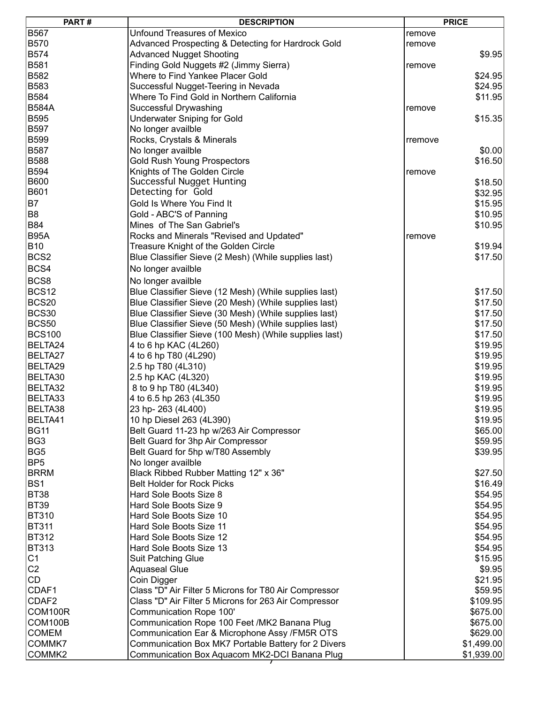| PART#             | <b>DESCRIPTION</b>                                     | <b>PRICE</b>      |
|-------------------|--------------------------------------------------------|-------------------|
| B567              | Unfound Treasures of Mexico                            | remove            |
| B570              | Advanced Prospecting & Detecting for Hardrock Gold     | remove            |
| B574              | <b>Advanced Nugget Shooting</b>                        | \$9.95            |
| B581              | Finding Gold Nuggets #2 (Jimmy Sierra)                 | remove            |
| B582              | Where to Find Yankee Placer Gold                       | \$24.95           |
| B583              | Successful Nugget-Teering in Nevada                    | \$24.95           |
| B584              | Where To Find Gold in Northern California              | \$11.95           |
| <b>B584A</b>      | Successful Drywashing                                  | remove            |
| B595              | <b>Underwater Sniping for Gold</b>                     | \$15.35           |
| B597              | No longer availble                                     |                   |
| B599              | Rocks, Crystals & Minerals                             | rremove           |
| B587              | No longer availble                                     | \$0.00            |
| B588              | <b>Gold Rush Young Prospectors</b>                     | \$16.50           |
| B594              | Knights of The Golden Circle                           | remove            |
| B600              | Successful Nugget Hunting                              | \$18.50           |
| B601              | Detecting for Gold                                     | \$32.95           |
| B7                | Gold Is Where You Find It                              | \$15.95           |
| B8                | Gold - ABC'S of Panning                                | \$10.95           |
| B84               | Mines of The San Gabriel's                             | \$10.95           |
| <b>B95A</b>       | Rocks and Minerals "Revised and Updated"               |                   |
| B10               |                                                        | remove<br>\$19.94 |
|                   | Treasure Knight of the Golden Circle                   |                   |
| BCS <sub>2</sub>  | Blue Classifier Sieve (2 Mesh) (While supplies last)   | \$17.50           |
| BCS4              | No longer availble                                     |                   |
| BCS8              | No longer availble                                     |                   |
| BCS12             | Blue Classifier Sieve (12 Mesh) (While supplies last)  | \$17.50           |
| BCS <sub>20</sub> | Blue Classifier Sieve (20 Mesh) (While supplies last)  | \$17.50           |
| BCS30             | Blue Classifier Sieve (30 Mesh) (While supplies last)  | \$17.50           |
| BCS50             | Blue Classifier Sieve (50 Mesh) (While supplies last)  | \$17.50           |
| <b>BCS100</b>     | Blue Classifier Sieve (100 Mesh) (While supplies last) | \$17.50           |
| BELTA24           | 4 to 6 hp KAC (4L260)                                  | \$19.95           |
| BELTA27           | 4 to 6 hp T80 (4L290)                                  | \$19.95           |
| BELTA29           | 2.5 hp T80 (4L310)                                     | \$19.95           |
| BELTA30           | 2.5 hp KAC (4L320)                                     | \$19.95           |
| BELTA32           | 8 to 9 hp T80 (4L340)                                  | \$19.95           |
| BELTA33           | 4 to 6.5 hp 263 (4L350                                 | \$19.95           |
| BELTA38           | 23 hp-263 (4L400)                                      | \$19.95           |
| BELTA41           | 10 hp Diesel 263 (4L390)                               | \$19.95           |
| BG11              | Belt Guard 11-23 hp w/263 Air Compressor               | \$65.00           |
| BG3               | Belt Guard for 3hp Air Compressor                      | \$59.95           |
| BG5               | Belt Guard for 5hp w/T80 Assembly                      | \$39.95           |
| BP5               | No longer availble                                     |                   |
| <b>BRRM</b>       | Black Ribbed Rubber Matting 12" x 36"                  | \$27.50           |
| BS1               | <b>Belt Holder for Rock Picks</b>                      | \$16.49]          |
| <b>BT38</b>       | Hard Sole Boots Size 8                                 | \$54.95           |
| <b>BT39</b>       | Hard Sole Boots Size 9                                 | \$54.95           |
| <b>BT310</b>      | Hard Sole Boots Size 10                                | \$54.95           |
| <b>BT311</b>      | Hard Sole Boots Size 11                                | \$54.95           |
| BT312             | Hard Sole Boots Size 12                                | \$54.95           |
| <b>BT313</b>      | Hard Sole Boots Size 13                                | \$54.95           |
| C1                | Suit Patching Glue                                     | \$15.95           |
| C <sub>2</sub>    | <b>Aquaseal Glue</b>                                   | \$9.95            |
| CD                | Coin Digger                                            | \$21.95]          |
| CDAF1             | Class "D" Air Filter 5 Microns for T80 Air Compressor  | \$59.95           |
| CDAF2             | Class "D" Air Filter 5 Microns for 263 Air Compressor  | \$109.95          |
| COM100R           | <b>Communication Rope 100'</b>                         | \$675.00          |
| COM100B           | Communication Rope 100 Feet /MK2 Banana Plug           | \$675.00          |
| <b>COMEM</b>      | Communication Ear & Microphone Assy /FM5R OTS          | \$629.00          |
| COMMK7            | Communication Box MK7 Portable Battery for 2 Divers    | \$1,499.00        |
| COMMK2            | Communication Box Aquacom MK2-DCI Banana Plug          | \$1,939.00        |
|                   |                                                        |                   |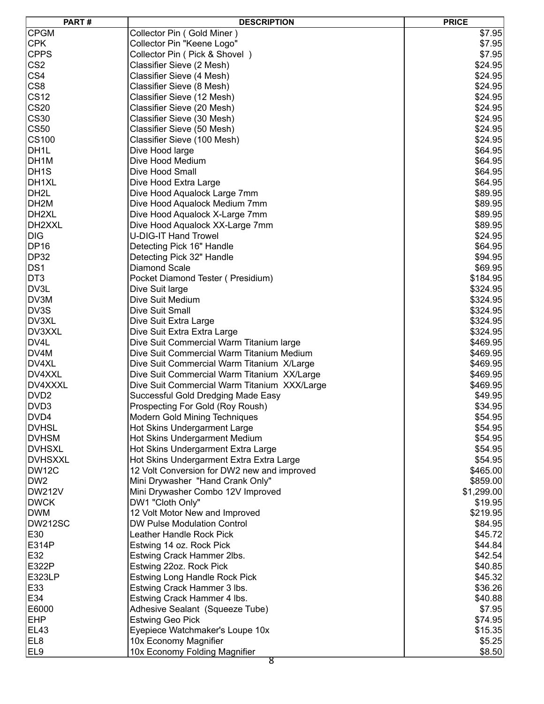| <b>CPGM</b><br>Collector Pin (Gold Miner)<br>\$7.95<br> CPK<br>Collector Pin "Keene Logo"<br>\$7.95<br><b>CPPS</b><br>\$7.95<br>Collector Pin ( Pick & Shovel )<br>CS2<br>\$24.95<br>Classifier Sieve (2 Mesh)<br> CS4<br>\$24.95<br>Classifier Sieve (4 Mesh)<br>CS8<br>\$24.95<br>Classifier Sieve (8 Mesh)<br> CS12<br>\$24.95<br>Classifier Sieve (12 Mesh)<br> CS20<br>\$24.95<br>Classifier Sieve (20 Mesh)<br> CS30<br>\$24.95<br>Classifier Sieve (30 Mesh)<br> CS50<br>\$24.95<br>Classifier Sieve (50 Mesh)<br>CS100<br>Classifier Sieve (100 Mesh)<br>DH1L<br>Dive Hood large<br>DH1M<br>Dive Hood Medium<br>\$64.95<br>DH1S<br>Dive Hood Small<br>\$64.95<br>DH1XL<br>Dive Hood Extra Large<br>\$64.95<br>DH2L<br>\$89.95<br>Dive Hood Aqualock Large 7mm<br>DH2M<br>\$89.95<br>Dive Hood Aqualock Medium 7mm<br>DH2XL<br>\$89.95<br>Dive Hood Aqualock X-Large 7mm<br>DH2XXL<br>\$89.95<br>Dive Hood Aqualock XX-Large 7mm<br>DIG<br><b>U-DIG-IT Hand Trowel</b><br>\$24.95<br><b>DP16</b><br>\$64.95<br>Detecting Pick 16" Handle<br><b>DP32</b><br>\$94.95<br>Detecting Pick 32" Handle<br>DS1<br>Diamond Scale<br>\$69.95<br>DT3<br>Pocket Diamond Tester (Presidium)<br>DV3L<br>Dive Suit large<br>\$324.95<br>DV3M<br>Dive Suit Medium<br>\$324.95<br>DV3S<br>Dive Suit Small<br>\$324.95<br>DV3XL<br>\$324.95<br>Dive Suit Extra Large<br>DV3XXL<br>\$324.95<br>Dive Suit Extra Extra Large<br>DV4L<br>Dive Suit Commercial Warm Titanium large<br>\$469.95<br>Dive Suit Commercial Warm Titanium Medium<br>DV4M<br>\$469.95<br>DV4XL<br>Dive Suit Commercial Warm Titanium X/Large<br>\$469.95<br>DV4XXL<br>Dive Suit Commercial Warm Titanium XX/Large<br>\$469.95<br>DV4XXXL<br>Dive Suit Commercial Warm Titanium XXX/Large<br>\$469.95<br>DVD <sub>2</sub><br>\$49.95<br>Successful Gold Dredging Made Easy<br>DVD3<br>\$34.95<br>Prospecting For Gold (Roy Roush)<br>DVD4<br>\$54.95<br>Modern Gold Mining Techniques<br> DVHSL<br>Hot Skins Undergarment Large<br>DVHSM<br>Hot Skins Undergarment Medium<br> DVHSXL<br>Hot Skins Undergarment Extra Large<br>\$54.95<br><b>DVHSXXL</b><br>Hot Skins Undergarment Extra Extra Large<br>DW12C<br>12 Volt Conversion for DW2 new and improved<br>\$465.00<br>DW <sub>2</sub><br>\$859.00<br>Mini Drywasher "Hand Crank Only"<br><b>DW212V</b><br>\$1,299.00<br>Mini Drywasher Combo 12V Improved<br><b>DWCK</b><br>DW1 "Cloth Only"<br>\$19.95<br>\$219.95<br>DWM <br>12 Volt Motor New and Improved<br>DW212SC<br>DW Pulse Modulation Control<br>\$84.95<br>E30<br>\$45.72]<br>Leather Handle Rock Pick<br>E314P<br>\$44.84]<br>Estwing 14 oz. Rock Pick<br>\$42.54]<br>E32<br>Estwing Crack Hammer 2lbs.<br>E322P<br>\$40.85<br>Estwing 22oz. Rock Pick<br>E323LP<br>\$45.32]<br><b>Estwing Long Handle Rock Pick</b><br>E33 <br>Estwing Crack Hammer 3 lbs.<br>E34<br>Estwing Crack Hammer 4 lbs.<br>Adhesive Sealant (Squeeze Tube)<br> EHP<br><b>Estwing Geo Pick</b> | PART# | <b>DESCRIPTION</b>              | <b>PRICE</b> |
|---------------------------------------------------------------------------------------------------------------------------------------------------------------------------------------------------------------------------------------------------------------------------------------------------------------------------------------------------------------------------------------------------------------------------------------------------------------------------------------------------------------------------------------------------------------------------------------------------------------------------------------------------------------------------------------------------------------------------------------------------------------------------------------------------------------------------------------------------------------------------------------------------------------------------------------------------------------------------------------------------------------------------------------------------------------------------------------------------------------------------------------------------------------------------------------------------------------------------------------------------------------------------------------------------------------------------------------------------------------------------------------------------------------------------------------------------------------------------------------------------------------------------------------------------------------------------------------------------------------------------------------------------------------------------------------------------------------------------------------------------------------------------------------------------------------------------------------------------------------------------------------------------------------------------------------------------------------------------------------------------------------------------------------------------------------------------------------------------------------------------------------------------------------------------------------------------------------------------------------------------------------------------------------------------------------------------------------------------------------------------------------------------------------------------------------------------------------------------------------------------------------------------------------------------------------------------------------------------------------------------------------------------------------------------------------------------------------------------------------------------------------------------------------------------------------------------------------------------------------------------------------------------------------------------------------------------|-------|---------------------------------|--------------|
|                                                                                                                                                                                                                                                                                                                                                                                                                                                                                                                                                                                                                                                                                                                                                                                                                                                                                                                                                                                                                                                                                                                                                                                                                                                                                                                                                                                                                                                                                                                                                                                                                                                                                                                                                                                                                                                                                                                                                                                                                                                                                                                                                                                                                                                                                                                                                                                                                                                                                                                                                                                                                                                                                                                                                                                                                                                                                                                                                   |       |                                 |              |
|                                                                                                                                                                                                                                                                                                                                                                                                                                                                                                                                                                                                                                                                                                                                                                                                                                                                                                                                                                                                                                                                                                                                                                                                                                                                                                                                                                                                                                                                                                                                                                                                                                                                                                                                                                                                                                                                                                                                                                                                                                                                                                                                                                                                                                                                                                                                                                                                                                                                                                                                                                                                                                                                                                                                                                                                                                                                                                                                                   |       |                                 |              |
|                                                                                                                                                                                                                                                                                                                                                                                                                                                                                                                                                                                                                                                                                                                                                                                                                                                                                                                                                                                                                                                                                                                                                                                                                                                                                                                                                                                                                                                                                                                                                                                                                                                                                                                                                                                                                                                                                                                                                                                                                                                                                                                                                                                                                                                                                                                                                                                                                                                                                                                                                                                                                                                                                                                                                                                                                                                                                                                                                   |       |                                 |              |
|                                                                                                                                                                                                                                                                                                                                                                                                                                                                                                                                                                                                                                                                                                                                                                                                                                                                                                                                                                                                                                                                                                                                                                                                                                                                                                                                                                                                                                                                                                                                                                                                                                                                                                                                                                                                                                                                                                                                                                                                                                                                                                                                                                                                                                                                                                                                                                                                                                                                                                                                                                                                                                                                                                                                                                                                                                                                                                                                                   |       |                                 |              |
|                                                                                                                                                                                                                                                                                                                                                                                                                                                                                                                                                                                                                                                                                                                                                                                                                                                                                                                                                                                                                                                                                                                                                                                                                                                                                                                                                                                                                                                                                                                                                                                                                                                                                                                                                                                                                                                                                                                                                                                                                                                                                                                                                                                                                                                                                                                                                                                                                                                                                                                                                                                                                                                                                                                                                                                                                                                                                                                                                   |       |                                 |              |
|                                                                                                                                                                                                                                                                                                                                                                                                                                                                                                                                                                                                                                                                                                                                                                                                                                                                                                                                                                                                                                                                                                                                                                                                                                                                                                                                                                                                                                                                                                                                                                                                                                                                                                                                                                                                                                                                                                                                                                                                                                                                                                                                                                                                                                                                                                                                                                                                                                                                                                                                                                                                                                                                                                                                                                                                                                                                                                                                                   |       |                                 |              |
|                                                                                                                                                                                                                                                                                                                                                                                                                                                                                                                                                                                                                                                                                                                                                                                                                                                                                                                                                                                                                                                                                                                                                                                                                                                                                                                                                                                                                                                                                                                                                                                                                                                                                                                                                                                                                                                                                                                                                                                                                                                                                                                                                                                                                                                                                                                                                                                                                                                                                                                                                                                                                                                                                                                                                                                                                                                                                                                                                   |       |                                 |              |
|                                                                                                                                                                                                                                                                                                                                                                                                                                                                                                                                                                                                                                                                                                                                                                                                                                                                                                                                                                                                                                                                                                                                                                                                                                                                                                                                                                                                                                                                                                                                                                                                                                                                                                                                                                                                                                                                                                                                                                                                                                                                                                                                                                                                                                                                                                                                                                                                                                                                                                                                                                                                                                                                                                                                                                                                                                                                                                                                                   |       |                                 |              |
|                                                                                                                                                                                                                                                                                                                                                                                                                                                                                                                                                                                                                                                                                                                                                                                                                                                                                                                                                                                                                                                                                                                                                                                                                                                                                                                                                                                                                                                                                                                                                                                                                                                                                                                                                                                                                                                                                                                                                                                                                                                                                                                                                                                                                                                                                                                                                                                                                                                                                                                                                                                                                                                                                                                                                                                                                                                                                                                                                   |       |                                 |              |
|                                                                                                                                                                                                                                                                                                                                                                                                                                                                                                                                                                                                                                                                                                                                                                                                                                                                                                                                                                                                                                                                                                                                                                                                                                                                                                                                                                                                                                                                                                                                                                                                                                                                                                                                                                                                                                                                                                                                                                                                                                                                                                                                                                                                                                                                                                                                                                                                                                                                                                                                                                                                                                                                                                                                                                                                                                                                                                                                                   |       |                                 |              |
|                                                                                                                                                                                                                                                                                                                                                                                                                                                                                                                                                                                                                                                                                                                                                                                                                                                                                                                                                                                                                                                                                                                                                                                                                                                                                                                                                                                                                                                                                                                                                                                                                                                                                                                                                                                                                                                                                                                                                                                                                                                                                                                                                                                                                                                                                                                                                                                                                                                                                                                                                                                                                                                                                                                                                                                                                                                                                                                                                   |       |                                 |              |
|                                                                                                                                                                                                                                                                                                                                                                                                                                                                                                                                                                                                                                                                                                                                                                                                                                                                                                                                                                                                                                                                                                                                                                                                                                                                                                                                                                                                                                                                                                                                                                                                                                                                                                                                                                                                                                                                                                                                                                                                                                                                                                                                                                                                                                                                                                                                                                                                                                                                                                                                                                                                                                                                                                                                                                                                                                                                                                                                                   |       |                                 | \$24.95      |
|                                                                                                                                                                                                                                                                                                                                                                                                                                                                                                                                                                                                                                                                                                                                                                                                                                                                                                                                                                                                                                                                                                                                                                                                                                                                                                                                                                                                                                                                                                                                                                                                                                                                                                                                                                                                                                                                                                                                                                                                                                                                                                                                                                                                                                                                                                                                                                                                                                                                                                                                                                                                                                                                                                                                                                                                                                                                                                                                                   |       |                                 | \$64.95      |
|                                                                                                                                                                                                                                                                                                                                                                                                                                                                                                                                                                                                                                                                                                                                                                                                                                                                                                                                                                                                                                                                                                                                                                                                                                                                                                                                                                                                                                                                                                                                                                                                                                                                                                                                                                                                                                                                                                                                                                                                                                                                                                                                                                                                                                                                                                                                                                                                                                                                                                                                                                                                                                                                                                                                                                                                                                                                                                                                                   |       |                                 |              |
|                                                                                                                                                                                                                                                                                                                                                                                                                                                                                                                                                                                                                                                                                                                                                                                                                                                                                                                                                                                                                                                                                                                                                                                                                                                                                                                                                                                                                                                                                                                                                                                                                                                                                                                                                                                                                                                                                                                                                                                                                                                                                                                                                                                                                                                                                                                                                                                                                                                                                                                                                                                                                                                                                                                                                                                                                                                                                                                                                   |       |                                 |              |
| E6000                                                                                                                                                                                                                                                                                                                                                                                                                                                                                                                                                                                                                                                                                                                                                                                                                                                                                                                                                                                                                                                                                                                                                                                                                                                                                                                                                                                                                                                                                                                                                                                                                                                                                                                                                                                                                                                                                                                                                                                                                                                                                                                                                                                                                                                                                                                                                                                                                                                                                                                                                                                                                                                                                                                                                                                                                                                                                                                                             |       |                                 |              |
|                                                                                                                                                                                                                                                                                                                                                                                                                                                                                                                                                                                                                                                                                                                                                                                                                                                                                                                                                                                                                                                                                                                                                                                                                                                                                                                                                                                                                                                                                                                                                                                                                                                                                                                                                                                                                                                                                                                                                                                                                                                                                                                                                                                                                                                                                                                                                                                                                                                                                                                                                                                                                                                                                                                                                                                                                                                                                                                                                   |       |                                 |              |
|                                                                                                                                                                                                                                                                                                                                                                                                                                                                                                                                                                                                                                                                                                                                                                                                                                                                                                                                                                                                                                                                                                                                                                                                                                                                                                                                                                                                                                                                                                                                                                                                                                                                                                                                                                                                                                                                                                                                                                                                                                                                                                                                                                                                                                                                                                                                                                                                                                                                                                                                                                                                                                                                                                                                                                                                                                                                                                                                                   |       |                                 |              |
|                                                                                                                                                                                                                                                                                                                                                                                                                                                                                                                                                                                                                                                                                                                                                                                                                                                                                                                                                                                                                                                                                                                                                                                                                                                                                                                                                                                                                                                                                                                                                                                                                                                                                                                                                                                                                                                                                                                                                                                                                                                                                                                                                                                                                                                                                                                                                                                                                                                                                                                                                                                                                                                                                                                                                                                                                                                                                                                                                   |       |                                 |              |
|                                                                                                                                                                                                                                                                                                                                                                                                                                                                                                                                                                                                                                                                                                                                                                                                                                                                                                                                                                                                                                                                                                                                                                                                                                                                                                                                                                                                                                                                                                                                                                                                                                                                                                                                                                                                                                                                                                                                                                                                                                                                                                                                                                                                                                                                                                                                                                                                                                                                                                                                                                                                                                                                                                                                                                                                                                                                                                                                                   |       |                                 |              |
|                                                                                                                                                                                                                                                                                                                                                                                                                                                                                                                                                                                                                                                                                                                                                                                                                                                                                                                                                                                                                                                                                                                                                                                                                                                                                                                                                                                                                                                                                                                                                                                                                                                                                                                                                                                                                                                                                                                                                                                                                                                                                                                                                                                                                                                                                                                                                                                                                                                                                                                                                                                                                                                                                                                                                                                                                                                                                                                                                   |       |                                 |              |
|                                                                                                                                                                                                                                                                                                                                                                                                                                                                                                                                                                                                                                                                                                                                                                                                                                                                                                                                                                                                                                                                                                                                                                                                                                                                                                                                                                                                                                                                                                                                                                                                                                                                                                                                                                                                                                                                                                                                                                                                                                                                                                                                                                                                                                                                                                                                                                                                                                                                                                                                                                                                                                                                                                                                                                                                                                                                                                                                                   |       |                                 |              |
|                                                                                                                                                                                                                                                                                                                                                                                                                                                                                                                                                                                                                                                                                                                                                                                                                                                                                                                                                                                                                                                                                                                                                                                                                                                                                                                                                                                                                                                                                                                                                                                                                                                                                                                                                                                                                                                                                                                                                                                                                                                                                                                                                                                                                                                                                                                                                                                                                                                                                                                                                                                                                                                                                                                                                                                                                                                                                                                                                   |       |                                 |              |
|                                                                                                                                                                                                                                                                                                                                                                                                                                                                                                                                                                                                                                                                                                                                                                                                                                                                                                                                                                                                                                                                                                                                                                                                                                                                                                                                                                                                                                                                                                                                                                                                                                                                                                                                                                                                                                                                                                                                                                                                                                                                                                                                                                                                                                                                                                                                                                                                                                                                                                                                                                                                                                                                                                                                                                                                                                                                                                                                                   |       |                                 |              |
|                                                                                                                                                                                                                                                                                                                                                                                                                                                                                                                                                                                                                                                                                                                                                                                                                                                                                                                                                                                                                                                                                                                                                                                                                                                                                                                                                                                                                                                                                                                                                                                                                                                                                                                                                                                                                                                                                                                                                                                                                                                                                                                                                                                                                                                                                                                                                                                                                                                                                                                                                                                                                                                                                                                                                                                                                                                                                                                                                   |       |                                 |              |
|                                                                                                                                                                                                                                                                                                                                                                                                                                                                                                                                                                                                                                                                                                                                                                                                                                                                                                                                                                                                                                                                                                                                                                                                                                                                                                                                                                                                                                                                                                                                                                                                                                                                                                                                                                                                                                                                                                                                                                                                                                                                                                                                                                                                                                                                                                                                                                                                                                                                                                                                                                                                                                                                                                                                                                                                                                                                                                                                                   |       |                                 | \$184.95     |
|                                                                                                                                                                                                                                                                                                                                                                                                                                                                                                                                                                                                                                                                                                                                                                                                                                                                                                                                                                                                                                                                                                                                                                                                                                                                                                                                                                                                                                                                                                                                                                                                                                                                                                                                                                                                                                                                                                                                                                                                                                                                                                                                                                                                                                                                                                                                                                                                                                                                                                                                                                                                                                                                                                                                                                                                                                                                                                                                                   |       |                                 |              |
|                                                                                                                                                                                                                                                                                                                                                                                                                                                                                                                                                                                                                                                                                                                                                                                                                                                                                                                                                                                                                                                                                                                                                                                                                                                                                                                                                                                                                                                                                                                                                                                                                                                                                                                                                                                                                                                                                                                                                                                                                                                                                                                                                                                                                                                                                                                                                                                                                                                                                                                                                                                                                                                                                                                                                                                                                                                                                                                                                   |       |                                 |              |
|                                                                                                                                                                                                                                                                                                                                                                                                                                                                                                                                                                                                                                                                                                                                                                                                                                                                                                                                                                                                                                                                                                                                                                                                                                                                                                                                                                                                                                                                                                                                                                                                                                                                                                                                                                                                                                                                                                                                                                                                                                                                                                                                                                                                                                                                                                                                                                                                                                                                                                                                                                                                                                                                                                                                                                                                                                                                                                                                                   |       |                                 |              |
|                                                                                                                                                                                                                                                                                                                                                                                                                                                                                                                                                                                                                                                                                                                                                                                                                                                                                                                                                                                                                                                                                                                                                                                                                                                                                                                                                                                                                                                                                                                                                                                                                                                                                                                                                                                                                                                                                                                                                                                                                                                                                                                                                                                                                                                                                                                                                                                                                                                                                                                                                                                                                                                                                                                                                                                                                                                                                                                                                   |       |                                 |              |
|                                                                                                                                                                                                                                                                                                                                                                                                                                                                                                                                                                                                                                                                                                                                                                                                                                                                                                                                                                                                                                                                                                                                                                                                                                                                                                                                                                                                                                                                                                                                                                                                                                                                                                                                                                                                                                                                                                                                                                                                                                                                                                                                                                                                                                                                                                                                                                                                                                                                                                                                                                                                                                                                                                                                                                                                                                                                                                                                                   |       |                                 |              |
|                                                                                                                                                                                                                                                                                                                                                                                                                                                                                                                                                                                                                                                                                                                                                                                                                                                                                                                                                                                                                                                                                                                                                                                                                                                                                                                                                                                                                                                                                                                                                                                                                                                                                                                                                                                                                                                                                                                                                                                                                                                                                                                                                                                                                                                                                                                                                                                                                                                                                                                                                                                                                                                                                                                                                                                                                                                                                                                                                   |       |                                 |              |
|                                                                                                                                                                                                                                                                                                                                                                                                                                                                                                                                                                                                                                                                                                                                                                                                                                                                                                                                                                                                                                                                                                                                                                                                                                                                                                                                                                                                                                                                                                                                                                                                                                                                                                                                                                                                                                                                                                                                                                                                                                                                                                                                                                                                                                                                                                                                                                                                                                                                                                                                                                                                                                                                                                                                                                                                                                                                                                                                                   |       |                                 |              |
|                                                                                                                                                                                                                                                                                                                                                                                                                                                                                                                                                                                                                                                                                                                                                                                                                                                                                                                                                                                                                                                                                                                                                                                                                                                                                                                                                                                                                                                                                                                                                                                                                                                                                                                                                                                                                                                                                                                                                                                                                                                                                                                                                                                                                                                                                                                                                                                                                                                                                                                                                                                                                                                                                                                                                                                                                                                                                                                                                   |       |                                 |              |
|                                                                                                                                                                                                                                                                                                                                                                                                                                                                                                                                                                                                                                                                                                                                                                                                                                                                                                                                                                                                                                                                                                                                                                                                                                                                                                                                                                                                                                                                                                                                                                                                                                                                                                                                                                                                                                                                                                                                                                                                                                                                                                                                                                                                                                                                                                                                                                                                                                                                                                                                                                                                                                                                                                                                                                                                                                                                                                                                                   |       |                                 |              |
|                                                                                                                                                                                                                                                                                                                                                                                                                                                                                                                                                                                                                                                                                                                                                                                                                                                                                                                                                                                                                                                                                                                                                                                                                                                                                                                                                                                                                                                                                                                                                                                                                                                                                                                                                                                                                                                                                                                                                                                                                                                                                                                                                                                                                                                                                                                                                                                                                                                                                                                                                                                                                                                                                                                                                                                                                                                                                                                                                   |       |                                 |              |
|                                                                                                                                                                                                                                                                                                                                                                                                                                                                                                                                                                                                                                                                                                                                                                                                                                                                                                                                                                                                                                                                                                                                                                                                                                                                                                                                                                                                                                                                                                                                                                                                                                                                                                                                                                                                                                                                                                                                                                                                                                                                                                                                                                                                                                                                                                                                                                                                                                                                                                                                                                                                                                                                                                                                                                                                                                                                                                                                                   |       |                                 |              |
|                                                                                                                                                                                                                                                                                                                                                                                                                                                                                                                                                                                                                                                                                                                                                                                                                                                                                                                                                                                                                                                                                                                                                                                                                                                                                                                                                                                                                                                                                                                                                                                                                                                                                                                                                                                                                                                                                                                                                                                                                                                                                                                                                                                                                                                                                                                                                                                                                                                                                                                                                                                                                                                                                                                                                                                                                                                                                                                                                   |       |                                 |              |
|                                                                                                                                                                                                                                                                                                                                                                                                                                                                                                                                                                                                                                                                                                                                                                                                                                                                                                                                                                                                                                                                                                                                                                                                                                                                                                                                                                                                                                                                                                                                                                                                                                                                                                                                                                                                                                                                                                                                                                                                                                                                                                                                                                                                                                                                                                                                                                                                                                                                                                                                                                                                                                                                                                                                                                                                                                                                                                                                                   |       |                                 |              |
|                                                                                                                                                                                                                                                                                                                                                                                                                                                                                                                                                                                                                                                                                                                                                                                                                                                                                                                                                                                                                                                                                                                                                                                                                                                                                                                                                                                                                                                                                                                                                                                                                                                                                                                                                                                                                                                                                                                                                                                                                                                                                                                                                                                                                                                                                                                                                                                                                                                                                                                                                                                                                                                                                                                                                                                                                                                                                                                                                   |       |                                 |              |
|                                                                                                                                                                                                                                                                                                                                                                                                                                                                                                                                                                                                                                                                                                                                                                                                                                                                                                                                                                                                                                                                                                                                                                                                                                                                                                                                                                                                                                                                                                                                                                                                                                                                                                                                                                                                                                                                                                                                                                                                                                                                                                                                                                                                                                                                                                                                                                                                                                                                                                                                                                                                                                                                                                                                                                                                                                                                                                                                                   |       |                                 | \$54.95      |
|                                                                                                                                                                                                                                                                                                                                                                                                                                                                                                                                                                                                                                                                                                                                                                                                                                                                                                                                                                                                                                                                                                                                                                                                                                                                                                                                                                                                                                                                                                                                                                                                                                                                                                                                                                                                                                                                                                                                                                                                                                                                                                                                                                                                                                                                                                                                                                                                                                                                                                                                                                                                                                                                                                                                                                                                                                                                                                                                                   |       |                                 | \$54.95      |
|                                                                                                                                                                                                                                                                                                                                                                                                                                                                                                                                                                                                                                                                                                                                                                                                                                                                                                                                                                                                                                                                                                                                                                                                                                                                                                                                                                                                                                                                                                                                                                                                                                                                                                                                                                                                                                                                                                                                                                                                                                                                                                                                                                                                                                                                                                                                                                                                                                                                                                                                                                                                                                                                                                                                                                                                                                                                                                                                                   |       |                                 | \$54.95      |
|                                                                                                                                                                                                                                                                                                                                                                                                                                                                                                                                                                                                                                                                                                                                                                                                                                                                                                                                                                                                                                                                                                                                                                                                                                                                                                                                                                                                                                                                                                                                                                                                                                                                                                                                                                                                                                                                                                                                                                                                                                                                                                                                                                                                                                                                                                                                                                                                                                                                                                                                                                                                                                                                                                                                                                                                                                                                                                                                                   |       |                                 |              |
|                                                                                                                                                                                                                                                                                                                                                                                                                                                                                                                                                                                                                                                                                                                                                                                                                                                                                                                                                                                                                                                                                                                                                                                                                                                                                                                                                                                                                                                                                                                                                                                                                                                                                                                                                                                                                                                                                                                                                                                                                                                                                                                                                                                                                                                                                                                                                                                                                                                                                                                                                                                                                                                                                                                                                                                                                                                                                                                                                   |       |                                 |              |
|                                                                                                                                                                                                                                                                                                                                                                                                                                                                                                                                                                                                                                                                                                                                                                                                                                                                                                                                                                                                                                                                                                                                                                                                                                                                                                                                                                                                                                                                                                                                                                                                                                                                                                                                                                                                                                                                                                                                                                                                                                                                                                                                                                                                                                                                                                                                                                                                                                                                                                                                                                                                                                                                                                                                                                                                                                                                                                                                                   |       |                                 |              |
|                                                                                                                                                                                                                                                                                                                                                                                                                                                                                                                                                                                                                                                                                                                                                                                                                                                                                                                                                                                                                                                                                                                                                                                                                                                                                                                                                                                                                                                                                                                                                                                                                                                                                                                                                                                                                                                                                                                                                                                                                                                                                                                                                                                                                                                                                                                                                                                                                                                                                                                                                                                                                                                                                                                                                                                                                                                                                                                                                   |       |                                 |              |
|                                                                                                                                                                                                                                                                                                                                                                                                                                                                                                                                                                                                                                                                                                                                                                                                                                                                                                                                                                                                                                                                                                                                                                                                                                                                                                                                                                                                                                                                                                                                                                                                                                                                                                                                                                                                                                                                                                                                                                                                                                                                                                                                                                                                                                                                                                                                                                                                                                                                                                                                                                                                                                                                                                                                                                                                                                                                                                                                                   |       |                                 |              |
|                                                                                                                                                                                                                                                                                                                                                                                                                                                                                                                                                                                                                                                                                                                                                                                                                                                                                                                                                                                                                                                                                                                                                                                                                                                                                                                                                                                                                                                                                                                                                                                                                                                                                                                                                                                                                                                                                                                                                                                                                                                                                                                                                                                                                                                                                                                                                                                                                                                                                                                                                                                                                                                                                                                                                                                                                                                                                                                                                   |       |                                 |              |
|                                                                                                                                                                                                                                                                                                                                                                                                                                                                                                                                                                                                                                                                                                                                                                                                                                                                                                                                                                                                                                                                                                                                                                                                                                                                                                                                                                                                                                                                                                                                                                                                                                                                                                                                                                                                                                                                                                                                                                                                                                                                                                                                                                                                                                                                                                                                                                                                                                                                                                                                                                                                                                                                                                                                                                                                                                                                                                                                                   |       |                                 |              |
|                                                                                                                                                                                                                                                                                                                                                                                                                                                                                                                                                                                                                                                                                                                                                                                                                                                                                                                                                                                                                                                                                                                                                                                                                                                                                                                                                                                                                                                                                                                                                                                                                                                                                                                                                                                                                                                                                                                                                                                                                                                                                                                                                                                                                                                                                                                                                                                                                                                                                                                                                                                                                                                                                                                                                                                                                                                                                                                                                   |       |                                 |              |
|                                                                                                                                                                                                                                                                                                                                                                                                                                                                                                                                                                                                                                                                                                                                                                                                                                                                                                                                                                                                                                                                                                                                                                                                                                                                                                                                                                                                                                                                                                                                                                                                                                                                                                                                                                                                                                                                                                                                                                                                                                                                                                                                                                                                                                                                                                                                                                                                                                                                                                                                                                                                                                                                                                                                                                                                                                                                                                                                                   |       |                                 |              |
|                                                                                                                                                                                                                                                                                                                                                                                                                                                                                                                                                                                                                                                                                                                                                                                                                                                                                                                                                                                                                                                                                                                                                                                                                                                                                                                                                                                                                                                                                                                                                                                                                                                                                                                                                                                                                                                                                                                                                                                                                                                                                                                                                                                                                                                                                                                                                                                                                                                                                                                                                                                                                                                                                                                                                                                                                                                                                                                                                   |       |                                 |              |
|                                                                                                                                                                                                                                                                                                                                                                                                                                                                                                                                                                                                                                                                                                                                                                                                                                                                                                                                                                                                                                                                                                                                                                                                                                                                                                                                                                                                                                                                                                                                                                                                                                                                                                                                                                                                                                                                                                                                                                                                                                                                                                                                                                                                                                                                                                                                                                                                                                                                                                                                                                                                                                                                                                                                                                                                                                                                                                                                                   |       |                                 |              |
|                                                                                                                                                                                                                                                                                                                                                                                                                                                                                                                                                                                                                                                                                                                                                                                                                                                                                                                                                                                                                                                                                                                                                                                                                                                                                                                                                                                                                                                                                                                                                                                                                                                                                                                                                                                                                                                                                                                                                                                                                                                                                                                                                                                                                                                                                                                                                                                                                                                                                                                                                                                                                                                                                                                                                                                                                                                                                                                                                   |       |                                 |              |
|                                                                                                                                                                                                                                                                                                                                                                                                                                                                                                                                                                                                                                                                                                                                                                                                                                                                                                                                                                                                                                                                                                                                                                                                                                                                                                                                                                                                                                                                                                                                                                                                                                                                                                                                                                                                                                                                                                                                                                                                                                                                                                                                                                                                                                                                                                                                                                                                                                                                                                                                                                                                                                                                                                                                                                                                                                                                                                                                                   |       |                                 |              |
|                                                                                                                                                                                                                                                                                                                                                                                                                                                                                                                                                                                                                                                                                                                                                                                                                                                                                                                                                                                                                                                                                                                                                                                                                                                                                                                                                                                                                                                                                                                                                                                                                                                                                                                                                                                                                                                                                                                                                                                                                                                                                                                                                                                                                                                                                                                                                                                                                                                                                                                                                                                                                                                                                                                                                                                                                                                                                                                                                   |       |                                 | \$36.26      |
|                                                                                                                                                                                                                                                                                                                                                                                                                                                                                                                                                                                                                                                                                                                                                                                                                                                                                                                                                                                                                                                                                                                                                                                                                                                                                                                                                                                                                                                                                                                                                                                                                                                                                                                                                                                                                                                                                                                                                                                                                                                                                                                                                                                                                                                                                                                                                                                                                                                                                                                                                                                                                                                                                                                                                                                                                                                                                                                                                   |       |                                 | \$40.88]     |
|                                                                                                                                                                                                                                                                                                                                                                                                                                                                                                                                                                                                                                                                                                                                                                                                                                                                                                                                                                                                                                                                                                                                                                                                                                                                                                                                                                                                                                                                                                                                                                                                                                                                                                                                                                                                                                                                                                                                                                                                                                                                                                                                                                                                                                                                                                                                                                                                                                                                                                                                                                                                                                                                                                                                                                                                                                                                                                                                                   |       |                                 | \$7.95       |
|                                                                                                                                                                                                                                                                                                                                                                                                                                                                                                                                                                                                                                                                                                                                                                                                                                                                                                                                                                                                                                                                                                                                                                                                                                                                                                                                                                                                                                                                                                                                                                                                                                                                                                                                                                                                                                                                                                                                                                                                                                                                                                                                                                                                                                                                                                                                                                                                                                                                                                                                                                                                                                                                                                                                                                                                                                                                                                                                                   |       |                                 | \$74.95      |
|                                                                                                                                                                                                                                                                                                                                                                                                                                                                                                                                                                                                                                                                                                                                                                                                                                                                                                                                                                                                                                                                                                                                                                                                                                                                                                                                                                                                                                                                                                                                                                                                                                                                                                                                                                                                                                                                                                                                                                                                                                                                                                                                                                                                                                                                                                                                                                                                                                                                                                                                                                                                                                                                                                                                                                                                                                                                                                                                                   | EL43  | Eyepiece Watchmaker's Loupe 10x | \$15.35      |
| EL8<br>10x Economy Magnifier                                                                                                                                                                                                                                                                                                                                                                                                                                                                                                                                                                                                                                                                                                                                                                                                                                                                                                                                                                                                                                                                                                                                                                                                                                                                                                                                                                                                                                                                                                                                                                                                                                                                                                                                                                                                                                                                                                                                                                                                                                                                                                                                                                                                                                                                                                                                                                                                                                                                                                                                                                                                                                                                                                                                                                                                                                                                                                                      |       |                                 | \$5.25       |
| EL9<br>10x Economy Folding Magnifier<br>\$8.50                                                                                                                                                                                                                                                                                                                                                                                                                                                                                                                                                                                                                                                                                                                                                                                                                                                                                                                                                                                                                                                                                                                                                                                                                                                                                                                                                                                                                                                                                                                                                                                                                                                                                                                                                                                                                                                                                                                                                                                                                                                                                                                                                                                                                                                                                                                                                                                                                                                                                                                                                                                                                                                                                                                                                                                                                                                                                                    |       |                                 |              |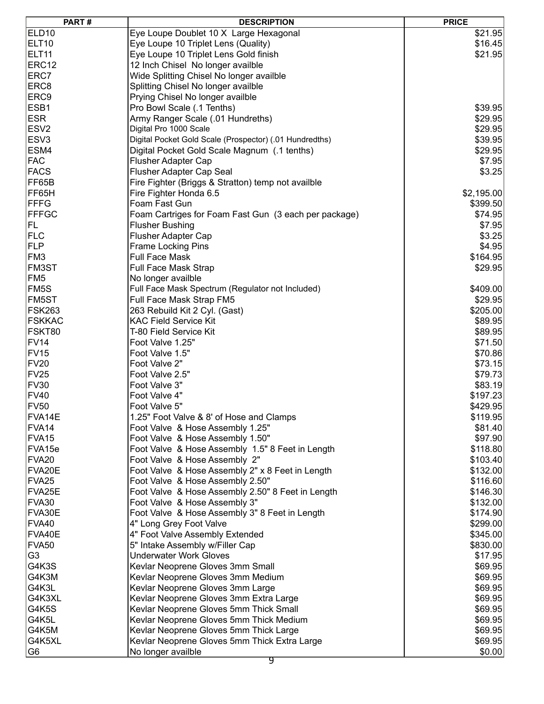| PART#             | <b>DESCRIPTION</b>                                      | <b>PRICE</b> |
|-------------------|---------------------------------------------------------|--------------|
| ELD <sub>10</sub> | Eye Loupe Doublet 10 X Large Hexagonal                  | \$21.95      |
| ELT <sub>10</sub> | Eye Loupe 10 Triplet Lens (Quality)                     | \$16.45      |
| ELT11             | Eye Loupe 10 Triplet Lens Gold finish                   | \$21.95      |
| ERC12             | 12 Inch Chisel No longer availble                       |              |
| ERC7              | Wide Splitting Chisel No longer availble                |              |
| ERC8              | Splitting Chisel No longer availble                     |              |
| ERC9              | Prying Chisel No longer availble                        |              |
| ESB1              |                                                         | \$39.95      |
|                   | Pro Bowl Scale (.1 Tenths)                              |              |
| ESR]              | Army Ranger Scale (.01 Hundreths)                       | \$29.95      |
| ESV <sub>2</sub>  | Digital Pro 1000 Scale                                  | \$29.95      |
| ESV3              | Digital Pocket Gold Scale (Prospector) (.01 Hundredths) | \$39.95      |
| ESM4              | Digital Pocket Gold Scale Magnum (.1 tenths)            | \$29.95      |
| <b>FAC</b>        | Flusher Adapter Cap                                     | \$7.95       |
| <b>FACS</b>       | Flusher Adapter Cap Seal                                | \$3.25       |
| FF65B             | Fire Fighter (Briggs & Stratton) temp not availble      |              |
| FF65H             | Fire Fighter Honda 6.5                                  | \$2,195.00   |
| <b>FFFG</b>       | Foam Fast Gun                                           | \$399.50     |
| <b>FFFGC</b>      | Foam Cartriges for Foam Fast Gun (3 each per package)   | \$74.95      |
| FL                | <b>Flusher Bushing</b>                                  | \$7.95       |
| <b>FLC</b>        | Flusher Adapter Cap                                     | \$3.25       |
| FLP               | Frame Locking Pins                                      | \$4.95       |
| FM3               | <b>Full Face Mask</b>                                   | \$164.95     |
| <b>FM3ST</b>      | <b>Full Face Mask Strap</b>                             | \$29.95      |
| FM5               | No longer availble                                      |              |
| FM5S              | Full Face Mask Spectrum (Regulator not Included)        | \$409.00]    |
| FM5ST             | Full Face Mask Strap FM5                                | \$29.95      |
| FSK263            | 263 Rebuild Kit 2 Cyl. (Gast)                           | \$205.00     |
| <b>FSKKAC</b>     | <b>KAC Field Service Kit</b>                            | \$89.95      |
| FSKT80            |                                                         |              |
|                   | T-80 Field Service Kit                                  | \$89.95      |
| FV14              | Foot Valve 1.25"                                        | \$71.50      |
| FV15              | Foot Valve 1.5"                                         | \$70.86      |
| FV20              | Foot Valve 2"                                           | \$73.15      |
| FV25              | Foot Valve 2.5"                                         | \$79.73]     |
| FV30              | Foot Valve 3"                                           | \$83.19]     |
| FV40              | Foot Valve 4"                                           | \$197.23     |
| FV50              | Foot Valve 5"                                           | \$429.95     |
| FVA14E            | 1.25" Foot Valve & 8' of Hose and Clamps                | \$119.95     |
| FVA14             | Foot Valve & Hose Assembly 1.25"                        | \$81.40      |
| FVA15             | Foot Valve & Hose Assembly 1.50"                        | \$97.90      |
| FVA15e            | Foot Valve & Hose Assembly 1.5" 8 Feet in Length        | \$118.80     |
| FVA20             | Foot Valve & Hose Assembly 2"                           | \$103.40     |
| FVA20E            | Foot Valve & Hose Assembly 2" x 8 Feet in Length        | \$132.00     |
| FVA25             | Foot Valve & Hose Assembly 2.50"                        | \$116.60     |
| FVA25E            | Foot Valve & Hose Assembly 2.50" 8 Feet in Length       | \$146.30     |
| FVA30             | Foot Valve & Hose Assembly 3"                           | \$132.00     |
| FVA30E            | Foot Valve & Hose Assembly 3" 8 Feet in Length          | \$174.90     |
| FVA40             | 4" Long Grey Foot Valve                                 | \$299.00     |
| FVA40E            | 4" Foot Valve Assembly Extended                         | \$345.00     |
| FVA50             | 5" Intake Assembly w/Filler Cap                         | \$830.00     |
| G3                | <b>Underwater Work Gloves</b>                           | \$17.95      |
| G4K3S             | Kevlar Neoprene Gloves 3mm Small                        | \$69.95      |
|                   |                                                         |              |
| G4K3M             | Kevlar Neoprene Gloves 3mm Medium                       | \$69.95      |
| G4K3L             | Kevlar Neoprene Gloves 3mm Large                        | \$69.95      |
| G4K3XL            | Kevlar Neoprene Gloves 3mm Extra Large                  | \$69.95      |
| G4K5S             | Kevlar Neoprene Gloves 5mm Thick Small                  | \$69.95      |
| G4K5L             | Kevlar Neoprene Gloves 5mm Thick Medium                 | \$69.95      |
| G4K5M             | Kevlar Neoprene Gloves 5mm Thick Large                  | \$69.95      |
| G4K5XL            | Kevlar Neoprene Gloves 5mm Thick Extra Large            | \$69.95      |
| $\overline{G6}$   | No longer availble                                      | \$0.00]      |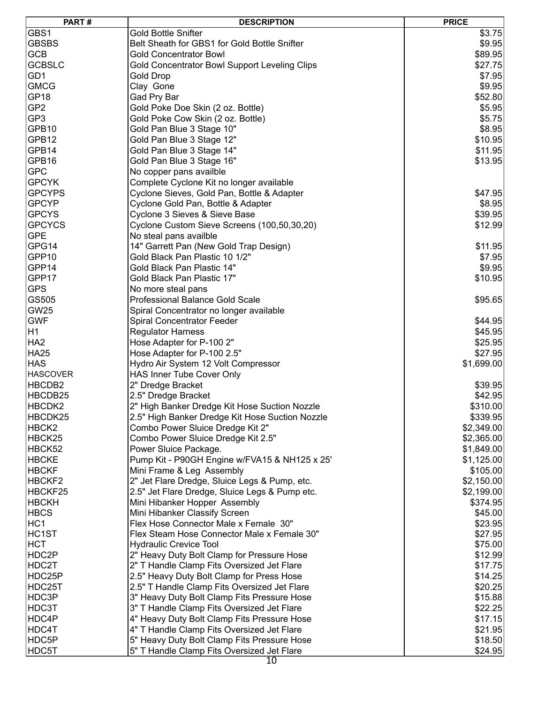| PART#             | <b>DESCRIPTION</b>                              | <b>PRICE</b> |
|-------------------|-------------------------------------------------|--------------|
| GBS1              | <b>Gold Bottle Snifter</b>                      | \$3.75       |
| <b>GBSBS</b>      | Belt Sheath for GBS1 for Gold Bottle Snifter    | \$9.95       |
| GCB               | <b>Gold Concentrator Bowl</b>                   | \$89.95      |
| <b>GCBSLC</b>     | Gold Concentrator Bowl Support Leveling Clips   | \$27.75      |
| GD1               | Gold Drop                                       | \$7.95       |
| GMCG              | Clay Gone                                       | \$9.95       |
|                   |                                                 |              |
| GP18              | Gad Pry Bar                                     | \$52.80      |
| GP <sub>2</sub>   | Gold Poke Doe Skin (2 oz. Bottle)               | \$5.95       |
| GP3               | Gold Poke Cow Skin (2 oz. Bottle)               | \$5.75       |
| GPB10             | Gold Pan Blue 3 Stage 10"                       | \$8.95       |
| GPB12             | Gold Pan Blue 3 Stage 12"                       | \$10.95      |
| GPB14             | Gold Pan Blue 3 Stage 14"                       | \$11.95      |
| GPB16             | Gold Pan Blue 3 Stage 16"                       | \$13.95      |
| GPC               | No copper pans availble                         |              |
| <b>GPCYK</b>      | Complete Cyclone Kit no longer available        |              |
| <b>GPCYPS</b>     | Cyclone Sieves, Gold Pan, Bottle & Adapter      | \$47.95      |
| <b>GPCYP</b>      | Cyclone Gold Pan, Bottle & Adapter              | \$8.95       |
| <b>GPCYS</b>      | Cyclone 3 Sieves & Sieve Base                   | \$39.95      |
| <b>GPCYCS</b>     | Cyclone Custom Sieve Screens (100,50,30,20)     | \$12.99      |
| <b>IGPE</b>       | No steal pans availble                          |              |
| GPG14             | 14" Garrett Pan (New Gold Trap Design)          | \$11.95      |
| GPP10             | Gold Black Pan Plastic 10 1/2"                  | \$7.95       |
| GPP14             | Gold Black Pan Plastic 14"                      | \$9.95       |
| GPP17             | Gold Black Pan Plastic 17"                      | \$10.95      |
| <b>GPS</b>        |                                                 |              |
|                   | No more steal pans                              |              |
| GS505             | <b>Professional Balance Gold Scale</b>          | \$95.65      |
| GW25              | Spiral Concentrator no longer available         |              |
| GWF               | <b>Spiral Concentrator Feeder</b>               | \$44.95      |
| H1                | <b>Regulator Harness</b>                        | \$45.95      |
| HA2               | Hose Adapter for P-100 2"                       | \$25.95      |
| <b>HA25</b>       | Hose Adapter for P-100 2.5"                     | \$27.95      |
| HAS               | Hydro Air System 12 Volt Compressor             | \$1,699.00   |
| <b>HASCOVER</b>   | HAS Inner Tube Cover Only                       |              |
| HBCDB2            | 2" Dredge Bracket                               | \$39.95      |
| HBCDB25           | 2.5" Dredge Bracket                             | \$42.95      |
| HBCDK2            | 2" High Banker Dredge Kit Hose Suction Nozzle   | \$310.00     |
| HBCDK25           | 2.5" High Banker Dredge Kit Hose Suction Nozzle | \$339.95     |
| HBCK <sub>2</sub> | Combo Power Sluice Dredge Kit 2"                | \$2,349.00   |
| HBCK25            | Combo Power Sluice Dredge Kit 2.5"              | \$2,365.00   |
| HBCK52            | Power Sluice Package.                           | \$1,849.00   |
| HBCKE             | Pump Kit - P90GH Engine w/FVA15 & NH125 x 25'   | \$1,125.00   |
| HBCKF             | Mini Frame & Leg Assembly                       | \$105.00     |
| HBCKF2            | 2" Jet Flare Dredge, Sluice Legs & Pump, etc.   | \$2,150.00   |
| HBCKF25           |                                                 |              |
|                   | 2.5" Jet Flare Dredge, Sluice Legs & Pump etc.  | \$2,199.00   |
| HBCKH             | Mini Hibanker Hopper Assembly                   | \$374.95     |
| HBCS              | Mini Hibanker Classify Screen                   | \$45.00]     |
| HC1               | Flex Hose Connector Male x Female 30"           | \$23.95      |
| HC1ST             | Flex Steam Hose Connector Male x Female 30"     | \$27.95      |
| HCT               | <b>Hydraulic Crevice Tool</b>                   | \$75.00      |
| HDC2P             | 2" Heavy Duty Bolt Clamp for Pressure Hose      | \$12.99      |
| HDC2T             | 2" T Handle Clamp Fits Oversized Jet Flare      | \$17.75      |
| HDC25P            | 2.5" Heavy Duty Bolt Clamp for Press Hose       | \$14.25      |
| HDC25T            | 2.5" T Handle Clamp Fits Oversized Jet Flare    | \$20.25]     |
| HDC3P             | 3" Heavy Duty Bolt Clamp Fits Pressure Hose     | \$15.88      |
| HDC3T             | 3" T Handle Clamp Fits Oversized Jet Flare      | \$22.25      |
| HDC4P             | 4" Heavy Duty Bolt Clamp Fits Pressure Hose     | \$17.15      |
| HDC4T             | 4" T Handle Clamp Fits Oversized Jet Flare      | \$21.95      |
| HDC5P             | 5" Heavy Duty Bolt Clamp Fits Pressure Hose     | \$18.50      |
| HDC5T             | 5" T Handle Clamp Fits Oversized Jet Flare      | \$24.95      |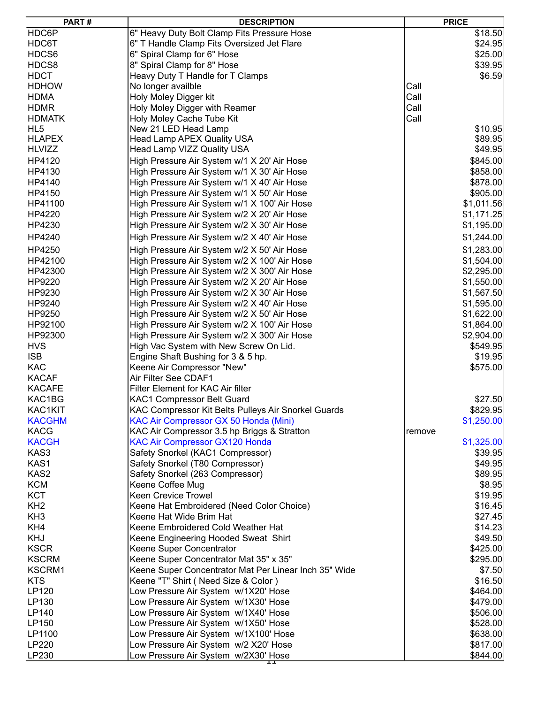| PART#         | <b>DESCRIPTION</b>                                    | <b>PRICE</b> |
|---------------|-------------------------------------------------------|--------------|
| HDC6P         | 6" Heavy Duty Bolt Clamp Fits Pressure Hose           | \$18.50      |
| HDC6T         | 6" T Handle Clamp Fits Oversized Jet Flare            | \$24.95      |
| HDCS6         | 6" Spiral Clamp for 6" Hose                           | \$25.00      |
| HDCS8         | 8" Spiral Clamp for 8" Hose                           | \$39.95      |
| HDCT          | Heavy Duty T Handle for T Clamps                      | \$6.59       |
| <b>HDHOW</b>  | No longer availble                                    | Call         |
| HDMA          | Holy Moley Digger kit                                 | Call         |
| HDMR          | Holy Moley Digger with Reamer                         | Call         |
| <b>HDMATK</b> | Holy Moley Cache Tube Kit                             | Call         |
| HL5           | New 21 LED Head Lamp                                  | \$10.95      |
| <b>HLAPEX</b> | Head Lamp APEX Quality USA                            | \$89.95      |
| <b>HLVIZZ</b> | Head Lamp VIZZ Quality USA                            | \$49.95      |
| HP4120        | High Pressure Air System w/1 X 20' Air Hose           | \$845.00     |
| HP4130        | High Pressure Air System w/1 X 30' Air Hose           | \$858.00     |
| HP4140        | High Pressure Air System w/1 X 40' Air Hose           | \$878.00     |
| HP4150        | High Pressure Air System w/1 X 50' Air Hose           | \$905.00     |
| HP41100       | High Pressure Air System w/1 X 100' Air Hose          | \$1,011.56]  |
| HP4220        | High Pressure Air System w/2 X 20' Air Hose           | \$1,171.25   |
| HP4230        | High Pressure Air System w/2 X 30' Air Hose           | \$1,195.00   |
|               |                                                       |              |
| HP4240        | High Pressure Air System w/2 X 40' Air Hose           | \$1,244.00   |
| HP4250        | High Pressure Air System w/2 X 50' Air Hose           | \$1,283.00   |
| HP42100       | High Pressure Air System w/2 X 100' Air Hose          | \$1,504.00   |
| HP42300       | High Pressure Air System w/2 X 300' Air Hose          | \$2,295.00   |
| HP9220        | High Pressure Air System w/2 X 20' Air Hose           | \$1,550.00   |
| HP9230        | High Pressure Air System w/2 X 30' Air Hose           | \$1,567.50   |
| HP9240        | High Pressure Air System w/2 X 40' Air Hose           | \$1,595.00   |
| HP9250        | High Pressure Air System w/2 X 50' Air Hose           | \$1,622.00   |
| HP92100       | High Pressure Air System w/2 X 100' Air Hose          | \$1,864.00   |
| HP92300       | High Pressure Air System w/2 X 300' Air Hose          | \$2,904.00   |
| HVS           | High Vac System with New Screw On Lid.                | \$549.95     |
| ISB           | Engine Shaft Bushing for 3 & 5 hp.                    | \$19.95      |
| KAC           | Keene Air Compressor "New"                            | \$575.00     |
| KACAF         | Air Filter See CDAF1                                  |              |
| KACAFE        | Filter Element for KAC Air filter                     |              |
| KAC1BG        | KAC1 Compressor Belt Guard                            | \$27.50      |
| KAC1KIT       | KAC Compressor Kit Belts Pulleys Air Snorkel Guards   | \$829.95     |
| <b>KACGHM</b> | KAC Air Compressor GX 50 Honda (Mini)                 | \$1,250.00   |
| <b>KACG</b>   | KAC Air Compressor 3.5 hp Briggs & Stratton           | remove       |
| <b>KACGH</b>  | <b>KAC Air Compressor GX120 Honda</b>                 | \$1,325.00   |
| KAS3          | Safety Snorkel (KAC1 Compressor)                      | \$39.95      |
| KAS1          | Safety Snorkel (T80 Compressor)                       | \$49.95      |
| KAS2          | Safety Snorkel (263 Compressor)                       | \$89.95      |
| KCM           | Keene Coffee Mug                                      | \$8.95       |
| KCT           | <b>Keen Crevice Trowel</b>                            | \$19.95      |
| KH2           | Keene Hat Embroidered (Need Color Choice)             | \$16.45]     |
| KH3           | Keene Hat Wide Brim Hat                               | \$27.45]     |
| KH4           | Keene Embroidered Cold Weather Hat                    | \$14.23      |
| KHJ           | Keene Engineering Hooded Sweat Shirt                  | \$49.50]     |
| KSCR          | Keene Super Concentrator                              | \$425.00]    |
| KSCRM         | Keene Super Concentrator Mat 35" x 35"                | \$295.00     |
| KSCRM1        | Keene Super Concentrator Mat Per Linear Inch 35" Wide | \$7.50       |
| KTS           | Keene "T" Shirt (Need Size & Color)                   | \$16.50      |
| LP120         | Low Pressure Air System w/1X20' Hose                  | \$464.00     |
| LP130         | Low Pressure Air System w/1X30' Hose                  | \$479.00     |
| LP140         | Low Pressure Air System w/1X40' Hose                  | \$506.00     |
| LP150         | Low Pressure Air System w/1X50' Hose                  | \$528.00     |
| LP1100        | Low Pressure Air System w/1X100' Hose                 | \$638.00     |
| LP220         | Low Pressure Air System w/2 X20' Hose                 | \$817.00     |
| LP230         | Low Pressure Air System w/2X30' Hose                  | \$844.00     |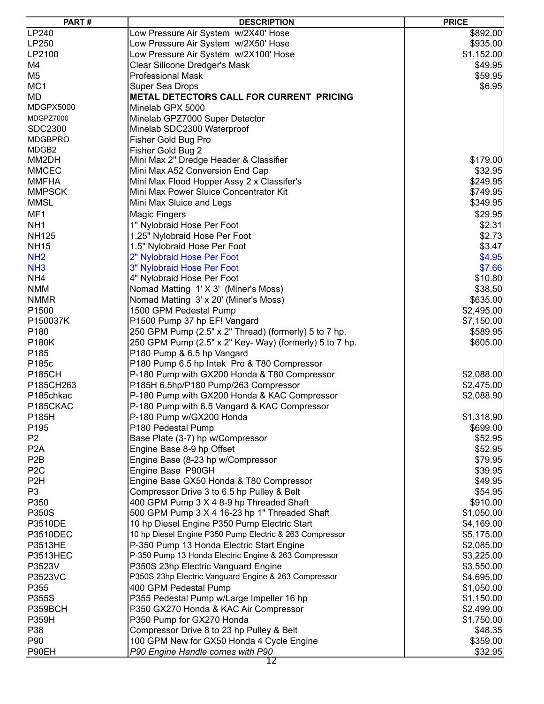| PART#             | <b>DESCRIPTION</b>                                      | <b>PRICE</b>         |
|-------------------|---------------------------------------------------------|----------------------|
| LP240             | Low Pressure Air System w/2X40' Hose                    | \$892.00             |
| LP250             | Low Pressure Air System w/2X50' Hose                    | \$935.00             |
| LP2100            | Low Pressure Air System w/2X100' Hose                   | \$1,152.00           |
| M4                | Clear Silicone Dredger's Mask                           | \$49.95              |
| M5                | <b>Professional Mask</b>                                | \$59.95              |
| MC1               | <b>Super Sea Drops</b>                                  | \$6.95               |
| MD                | METAL DETECTORS CALL FOR CURRENT PRICING                |                      |
| MDGPX5000         | Minelab GPX 5000                                        |                      |
| MDGPZ7000         | Minelab GPZ7000 Super Detector                          |                      |
| SDC2300           | Minelab SDC2300 Waterproof                              |                      |
| MDGBPRO           | Fisher Gold Bug Pro                                     |                      |
| MDGB2             | Fisher Gold Bug 2                                       |                      |
| MM2DH             | Mini Max 2" Dredge Header & Classifier                  | \$179.00             |
| <b>MMCEC</b>      | Mini Max A52 Conversion End Cap                         | \$32.95              |
| <b>MMFHA</b>      | Mini Max Flood Hopper Assy 2 x Classifer's              | \$249.95             |
| <b>MMPSCK</b>     | Mini Max Power Sluice Concentrator Kit                  |                      |
| <b>MMSL</b>       |                                                         | \$749.95<br>\$349.95 |
|                   | Mini Max Sluice and Legs                                |                      |
| MF1               | <b>Magic Fingers</b>                                    | \$29.95              |
| NH1               | 1" Nylobraid Hose Per Foot                              | \$2.31               |
| NH125             | 1.25" Nylobraid Hose Per Foot                           | \$2.73               |
| <b>NH15</b>       | 1.5" Nylobraid Hose Per Foot                            | \$3.47]              |
| NH <sub>2</sub>   | 2" Nylobraid Hose Per Foot                              | \$4.95               |
| NH <sub>3</sub>   | 3" Nylobraid Hose Per Foot                              | \$7.66               |
| NH4               | 4" Nylobraid Hose Per Foot                              | \$10.80              |
| NMM               | Nomad Matting 1' X 3' (Miner's Moss)                    | \$38.50              |
| NMMR              | Nomad Matting 3' x 20' (Miner's Moss)                   | \$635.00             |
| P <sub>1500</sub> | 1500 GPM Pedestal Pump                                  | \$2,495.00           |
| P150037K          | P1500 Pump 37 hp EF! Vangard                            | \$7,150.00           |
| P180              | 250 GPM Pump (2.5" x 2" Thread) (formerly) 5 to 7 hp.   | \$589.95             |
| P180K             | 250 GPM Pump (2.5" x 2" Key- Way) (formerly) 5 to 7 hp. | \$605.00             |
| P185              | P180 Pump & 6.5 hp Vangard                              |                      |
| P185c             | P180 Pump 6.5 hp Intek Pro & T80 Compressor             |                      |
| P185CH            | P-180 Pump with GX200 Honda & T80 Compressor            | \$2,088.00           |
| P185CH263         | P185H 6.5hp/P180 Pump/263 Compressor                    | \$2,475.00           |
| P185chkac         | P-180 Pump with GX200 Honda & KAC Compressor            | \$2,088.90           |
| P185CKAC          | P-180 Pump with 6.5 Vangard & KAC Compressor            |                      |
| P185H             | P-180 Pump w/GX200 Honda                                | \$1,318.90           |
| P195              | P180 Pedestal Pump                                      | \$699.00             |
| P2                | Base Plate (3-7) hp w/Compressor                        | \$52.95              |
| P2A               | Engine Base 8-9 hp Offset                               | \$52.95              |
| P2B               | Engine Base (8-23 hp w/Compressor                       | \$79.95              |
| P2C               | Engine Base P90GH                                       | \$39.95              |
| P2H               | Engine Base GX50 Honda & T80 Compressor                 | \$49.95              |
| P3                | Compressor Drive 3 to 6.5 hp Pulley & Belt              | \$54.95              |
| P350              | 400 GPM Pump 3 X 4 8-9 hp Threaded Shaft                | \$910.00             |
| P350S             | 500 GPM Pump 3 X 4 16-23 hp 1" Threaded Shaft           | \$1,050.00           |
| P3510DE           | 10 hp Diesel Engine P350 Pump Electric Start            | \$4,169.00]          |
| P3510DEC          | 10 hp Diesel Engine P350 Pump Electric & 263 Compressor | \$5,175.00           |
| P3513HE           | P-350 Pump 13 Honda Electric Start Engine               | \$2,085.00           |
| P3513HEC          | P-350 Pump 13 Honda Electric Engine & 263 Compressor    | \$3,225.00           |
| P3523V            | P350S 23hp Electric Vanguard Engine                     | \$3,550.00           |
| P3523VC           | P350S 23hp Electric Vanguard Engine & 263 Compressor    | \$4,695.00           |
| P355              | 400 GPM Pedestal Pump                                   | \$1,050.00           |
| P355S             |                                                         |                      |
|                   | P355 Pedestal Pump w/Large Impeller 16 hp               | \$1,150.00           |
| P359BCH           | P350 GX270 Honda & KAC Air Compressor                   | \$2,499.00           |
| P359H             | P350 Pump for GX270 Honda                               | \$1,750.00           |
| P38               | Compressor Drive 8 to 23 hp Pulley & Belt               | \$48.35              |
| P90               | 100 GPM New for GX50 Honda 4 Cycle Engine               | \$359.00             |
| P90EH             | P90 Engine Handle comes with P90                        | \$32.95              |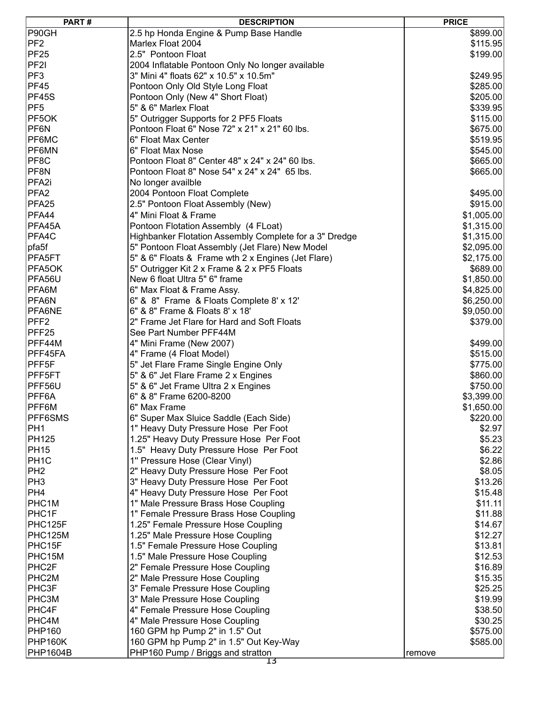| PART#             | <b>DESCRIPTION</b>                                                                      | <b>PRICE</b> |
|-------------------|-----------------------------------------------------------------------------------------|--------------|
| P90GH             | 2.5 hp Honda Engine & Pump Base Handle                                                  | \$899.00     |
| PF <sub>2</sub>   | Marlex Float 2004                                                                       | \$115.95     |
| PF25              | 2.5" Pontoon Float                                                                      | \$199.00     |
| PF2I              | 2004 Inflatable Pontoon Only No longer available                                        |              |
| PF3               | 3" Mini 4" floats 62" x 10.5" x 10.5m"                                                  | \$249.95     |
| PF45              | Pontoon Only Old Style Long Float                                                       | \$285.00     |
| PF45S             | Pontoon Only (New 4" Short Float)                                                       | \$205.00     |
| PF5               | 5" & 6" Marlex Float                                                                    |              |
|                   |                                                                                         | \$339.95     |
| PF5OK             | 5" Outrigger Supports for 2 PF5 Floats<br>Pontoon Float 6" Nose 72" x 21" x 21" 60 lbs. | \$115.00     |
| PF6N              |                                                                                         | \$675.00     |
| PF6MC             | 6" Float Max Center                                                                     | \$519.95     |
| PF6MN             | 6" Float Max Nose                                                                       | \$545.00     |
| PF8C              | Pontoon Float 8" Center 48" x 24" x 24" 60 lbs.                                         | \$665.00     |
| PF8N              | Pontoon Float 8" Nose 54" x 24" x 24" 65 lbs.                                           | \$665.00     |
| PFA2i             | No longer availble                                                                      |              |
| PFA <sub>2</sub>  | 2004 Pontoon Float Complete                                                             | \$495.00     |
| PFA <sub>25</sub> | 2.5" Pontoon Float Assembly (New)                                                       | \$915.00     |
| PFA44             | 4" Mini Float & Frame                                                                   | \$1,005.00   |
| PFA45A            | Pontoon Flotation Assembly (4 FLoat)                                                    | \$1,315.00   |
| PFA4C             | Highbanker Flotation Assembly Complete for a 3" Dredge                                  | \$1,315.00   |
| pfa5f             | 5" Pontoon Float Assembly (Jet Flare) New Model                                         | \$2,095.00   |
| PFA5FT            | 5" & 6" Floats & Frame wth 2 x Engines (Jet Flare)                                      | \$2,175.00   |
| PFA5OK            | 5" Outrigger Kit 2 x Frame & 2 x PF5 Floats                                             | \$689.00     |
| PFA56U            | New 6 float Ultra 5" 6" frame                                                           | \$1,850.00   |
| PFA6M             | 6" Max Float & Frame Assy.                                                              | \$4,825.00   |
| PFA6N             | 6" & 8" Frame & Floats Complete 8' x 12'                                                |              |
|                   |                                                                                         | \$6,250.00   |
| PFA6NE            | 6" & 8" Frame & Floats 8' x 18'                                                         | \$9,050.00   |
| PFF2              | 2" Frame Jet Flare for Hard and Soft Floats                                             | \$379.00     |
| PFF25             | See Part Number PFF44M                                                                  |              |
| PFF44M            | 4" Mini Frame (New 2007)                                                                | \$499.00     |
| PFF45FA           | 4" Frame (4 Float Model)                                                                | \$515.00     |
| PFF5F             | 5" Jet Flare Frame Single Engine Only                                                   | \$775.00     |
| PFF5FT            | 5" & 6" Jet Flare Frame 2 x Engines                                                     | \$860.00     |
| PFF56U            | 5" & 6" Jet Frame Ultra 2 x Engines                                                     | \$750.00     |
| PFF6A             | 6" & 8" Frame 6200-8200                                                                 | \$3,399.00   |
| PFF6M             | 6" Max Frame                                                                            | \$1,650.00   |
| PFF6SMS           | 6" Super Max Sluice Saddle (Each Side)                                                  | \$220.00     |
| PH1               | 1" Heavy Duty Pressure Hose Per Foot                                                    | \$2.97       |
| PH125             | 1.25" Heavy Duty Pressure Hose Per Foot                                                 | \$5.23       |
| PH15              | 1.5" Heavy Duty Pressure Hose Per Foot                                                  | \$6.22       |
| PH1C              | 1" Pressure Hose (Clear Vinyl)                                                          | \$2.86       |
| PH <sub>2</sub>   | 2" Heavy Duty Pressure Hose Per Foot                                                    | \$8.05       |
| PH3               | 3" Heavy Duty Pressure Hose Per Foot                                                    | \$13.26      |
| PH4               | 4" Heavy Duty Pressure Hose Per Foot                                                    | \$15.48      |
| PHC1M             | 1" Male Pressure Brass Hose Coupling                                                    | \$11.11      |
| PHC1F             |                                                                                         | \$11.88      |
|                   | 1" Female Pressure Brass Hose Coupling                                                  |              |
| PHC125F           | 1.25" Female Pressure Hose Coupling                                                     | \$14.67      |
| PHC125M           | 1.25" Male Pressure Hose Coupling                                                       | \$12.27      |
| PHC15F            | 1.5" Female Pressure Hose Coupling                                                      | \$13.81      |
| PHC15M            | 1.5" Male Pressure Hose Coupling                                                        | \$12.53      |
| PHC2F             | 2" Female Pressure Hose Coupling                                                        | \$16.89      |
| PHC2M             | 2" Male Pressure Hose Coupling                                                          | \$15.35      |
| PHC3F             | 3" Female Pressure Hose Coupling                                                        | \$25.25      |
| PHC3M             | 3" Male Pressure Hose Coupling                                                          | \$19.99      |
| PHC4F             | 4" Female Pressure Hose Coupling                                                        | \$38.50      |
| PHC4M             | 4" Male Pressure Hose Coupling                                                          | \$30.25      |
| PHP160            | 160 GPM hp Pump 2" in 1.5" Out                                                          | \$575.00     |
| PHP160K           | 160 GPM hp Pump 2" in 1.5" Out Key-Way                                                  | \$585.00     |
| PHP1604B          | PHP160 Pump / Briggs and stratton                                                       | remove       |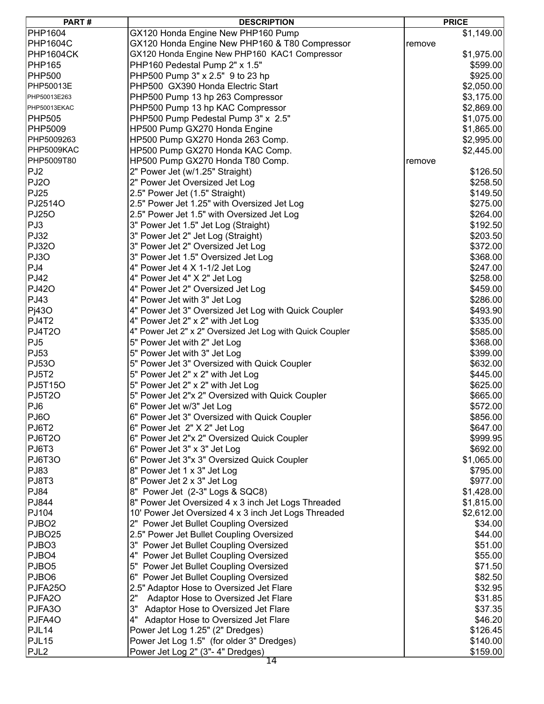| PART#             | <b>DESCRIPTION</b>                                        | <b>PRICE</b> |
|-------------------|-----------------------------------------------------------|--------------|
| PHP1604           | GX120 Honda Engine New PHP160 Pump                        | \$1,149.00   |
| <b>PHP1604C</b>   | GX120 Honda Engine New PHP160 & T80 Compressor            | remove       |
| PHP1604CK         | GX120 Honda Engine New PHP160 KAC1 Compressor             | \$1,975.00   |
| PHP165            | PHP160 Pedestal Pump 2" x 1.5"                            | \$599.00     |
| <b>PHP500</b>     | PHP500 Pump 3" x 2.5" 9 to 23 hp                          | \$925.00     |
| PHP50013E         | PHP500 GX390 Honda Electric Start                         |              |
|                   |                                                           | \$2,050.00]  |
| PHP50013E263      | PHP500 Pump 13 hp 263 Compressor                          | \$3,175.00   |
| PHP50013EKAC      | PHP500 Pump 13 hp KAC Compressor                          | \$2,869.00   |
| <b>PHP505</b>     | PHP500 Pump Pedestal Pump 3" x 2.5"                       | \$1,075.00   |
| PHP5009           | HP500 Pump GX270 Honda Engine                             | \$1,865.00   |
| PHP5009263        | HP500 Pump GX270 Honda 263 Comp.                          | \$2,995.00   |
| PHP5009KAC        | HP500 Pump GX270 Honda KAC Comp.                          | \$2,445.00   |
| PHP5009T80        | HP500 Pump GX270 Honda T80 Comp.                          | remove       |
| PJ2               | 2" Power Jet (w/1.25" Straight)                           | \$126.50     |
| PJ2O              | 2" Power Jet Oversized Jet Log                            | \$258.50     |
| PJ25              | 2.5" Power Jet (1.5" Straight)                            | \$149.50     |
| PJ25140           | 2.5" Power Jet 1.25" with Oversized Jet Log               | \$275.00     |
| <b>PJ250</b>      | 2.5" Power Jet 1.5" with Oversized Jet Log                | \$264.00     |
| PJ3               | 3" Power Jet 1.5" Jet Log (Straight)                      | \$192.50     |
| PJ32              | 3" Power Jet 2" Jet Log (Straight)                        | \$203.50     |
| PJ320             | 3" Power Jet 2" Oversized Jet Log                         | \$372.00     |
| PJ3O              | 3" Power Jet 1.5" Oversized Jet Log                       | \$368.00     |
| PJ4               | 4" Power Jet 4 X 1-1/2 Jet Log                            | \$247.00     |
| PJ42              | 4" Power Jet 4" X 2" Jet Log                              | \$258.00     |
| <b>PJ420</b>      | 4" Power Jet 2" Oversized Jet Log                         | \$459.00     |
| PJ43              | 4" Power Jet with 3" Jet Log                              | \$286.00     |
| Pj430             | 4" Power Jet 3" Oversized Jet Log with Quick Coupler      | \$493.90     |
| PJ4T2             | 4" Power Jet 2" x 2" with Jet Log                         | \$335.00     |
| PJ4T2O            | 4" Power Jet 2" x 2" Oversized Jet Log with Quick Coupler | \$585.00     |
|                   |                                                           |              |
| PJ5               | 5" Power Jet with 2" Jet Log                              | \$368.00     |
| PJ53              | 5" Power Jet with 3" Jet Log                              | \$399.00     |
| PJ530             | 5" Power Jet 3" Oversized with Quick Coupler              | \$632.00     |
| PJ5T2             | 5" Power Jet 2" x 2" with Jet Log                         | \$445.00     |
| <b>PJ5T150</b>    | 5" Power Jet 2" x 2" with Jet Log                         | \$625.00     |
| <b>PJ5T20</b>     | 5" Power Jet 2"x 2" Oversized with Quick Coupler          | \$665.00     |
| PJ6               | 6" Power Jet w/3" Jet Log                                 | \$572.00     |
| PJ6O              | 6" Power Jet 3" Oversized with Quick Coupler              | \$856.00     |
| PJ6T2             | 6" Power Jet 2" X 2" Jet Log                              | \$647.00     |
| PJ6T2O            | 6" Power Jet 2"x 2" Oversized Quick Coupler               | \$999.95     |
| PJ6T3             | 6" Power Jet 3" x 3" Jet Log                              | \$692.00     |
| PJ6T3O            | 6" Power Jet 3"x 3" Oversized Quick Coupler               | \$1,065.00   |
| PJ83              | 8" Power Jet 1 x 3" Jet Log                               | \$795.00     |
| PJ8T3             | 8" Power Jet 2 x 3" Jet Log                               | \$977.00     |
| PJ84              | 8" Power Jet (2-3" Logs & SQC8)                           | \$1,428.00   |
| PJ844             | 8" Power Jet Oversized 4 x 3 inch Jet Logs Threaded       | \$1,815.00   |
| PJ104             | 10' Power Jet Oversized 4 x 3 inch Jet Logs Threaded      | \$2,612.00   |
| PJBO <sub>2</sub> | 2" Power Jet Bullet Coupling Oversized                    | \$34.00      |
| PJBO25            | 2.5" Power Jet Bullet Coupling Oversized                  | \$44.00]     |
| PJBO3             | 3" Power Jet Bullet Coupling Oversized                    | \$51.00      |
| PJBO4             | 4" Power Jet Bullet Coupling Oversized                    | \$55.00      |
| PJBO5             | 5" Power Jet Bullet Coupling Oversized                    | \$71.50      |
| PJBO6             | 6" Power Jet Bullet Coupling Oversized                    | \$82.50]     |
| PJFA250           | 2.5" Adaptor Hose to Oversized Jet Flare                  | \$32.95      |
| PJFA20            | 2"<br>Adaptor Hose to Oversized Jet Flare                 | \$31.85      |
| PJFA3O            | 3"                                                        |              |
|                   | Adaptor Hose to Oversized Jet Flare                       | \$37.35]     |
| PJFA40            | 4" Adaptor Hose to Oversized Jet Flare                    | \$46.20]     |
| PJL14             | Power Jet Log 1.25" (2" Dredges)                          | \$126.45     |
| PJL15             | Power Jet Log 1.5" (for older 3" Dredges)                 | \$140.00     |
| PJL2              | Power Jet Log 2" (3"- 4" Dredges)                         | \$159.00     |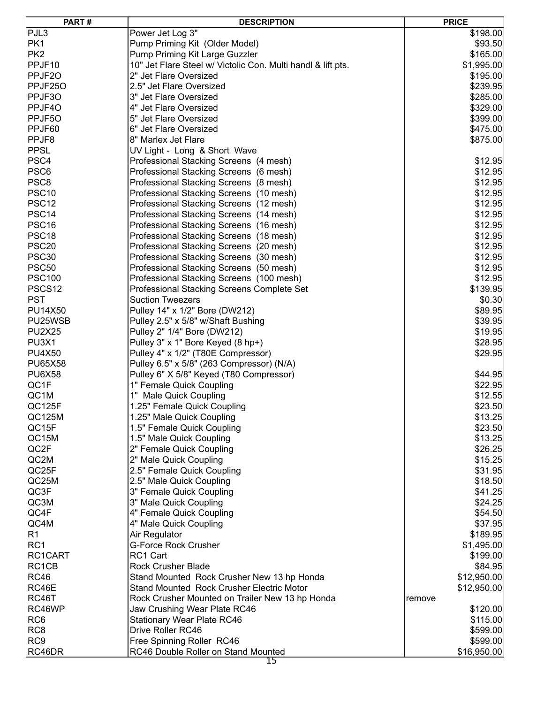| PART#             | <b>DESCRIPTION</b>                                           | <b>PRICE</b> |
|-------------------|--------------------------------------------------------------|--------------|
| PJL3              | Power Jet Log 3"                                             | \$198.00     |
| PK1               | Pump Priming Kit (Older Model)                               | \$93.50      |
| PK <sub>2</sub>   | Pump Priming Kit Large Guzzler                               | \$165.00     |
| PPJF10            | 10" Jet Flare Steel w/ Victolic Con. Multi handl & lift pts. | \$1,995.00   |
| PPJF20            | 2" Jet Flare Oversized                                       | \$195.00     |
| PPJF250           | 2.5" Jet Flare Oversized                                     | \$239.95     |
| PPJF30            |                                                              |              |
|                   | 3" Jet Flare Oversized                                       | \$285.00     |
| PPJF40            | 4" Jet Flare Oversized                                       | \$329.00     |
| PPJF50            | 5" Jet Flare Oversized                                       | \$399.00     |
| PPJF60            | 6" Jet Flare Oversized                                       | \$475.00     |
| PPJF8             | 8" Marlex Jet Flare                                          | \$875.00     |
| <b>PPSL</b>       | UV Light - Long & Short Wave                                 |              |
| PSC4              | Professional Stacking Screens (4 mesh)                       | \$12.95      |
| PSC6              | Professional Stacking Screens (6 mesh)                       | \$12.95      |
| PSC8              | Professional Stacking Screens (8 mesh)                       | \$12.95      |
| PSC <sub>10</sub> | Professional Stacking Screens (10 mesh)                      | \$12.95      |
| PSC <sub>12</sub> | Professional Stacking Screens (12 mesh)                      | \$12.95      |
| PSC <sub>14</sub> | Professional Stacking Screens (14 mesh)                      | \$12.95      |
| PSC <sub>16</sub> | Professional Stacking Screens (16 mesh)                      | \$12.95      |
| PSC <sub>18</sub> | Professional Stacking Screens (18 mesh)                      | \$12.95      |
| PSC <sub>20</sub> | Professional Stacking Screens (20 mesh)                      | \$12.95      |
| PSC30             | Professional Stacking Screens (30 mesh)                      | \$12.95      |
| PSC50             | Professional Stacking Screens (50 mesh)                      | \$12.95      |
| PSC100            |                                                              |              |
|                   | Professional Stacking Screens (100 mesh)                     | \$12.95      |
| PSCS12            | Professional Stacking Screens Complete Set                   | \$139.95     |
| PST               | <b>Suction Tweezers</b>                                      | \$0.30       |
| PU14X50           | Pulley 14" x 1/2" Bore (DW212)                               | \$89.95      |
| PU25WSB           | Pulley 2.5" x 5/8" w/Shaft Bushing                           | \$39.95      |
| <b>PU2X25</b>     | Pulley 2" 1/4" Bore (DW212)                                  | \$19.95      |
| PU3X1             | Pulley 3" x 1" Bore Keyed (8 hp+)                            | \$28.95      |
| <b>PU4X50</b>     | Pulley 4" x 1/2" (T80E Compressor)                           | \$29.95      |
| PU65X58           | Pulley 6.5" x 5/8" (263 Compressor) (N/A)                    |              |
| <b>PU6X58</b>     | Pulley 6" X 5/8" Keyed (T80 Compressor)                      | \$44.95      |
| QC1F              | 1" Female Quick Coupling                                     | \$22.95      |
| QC1M              | 1" Male Quick Coupling                                       | \$12.55      |
| QC125F            | 1.25" Female Quick Coupling                                  | \$23.50      |
| QC125M            | 1.25" Male Quick Coupling                                    | \$13.25      |
| QC15F             | 1.5" Female Quick Coupling                                   | \$23.50      |
| QC15M             | 1.5" Male Quick Coupling                                     | \$13.25      |
| QC2F              | 2" Female Quick Coupling                                     | \$26.25      |
| QC2M              | 2" Male Quick Coupling                                       | \$15.25      |
|                   |                                                              |              |
| QC25F             | 2.5" Female Quick Coupling                                   | \$31.95]     |
| QC25M             | 2.5" Male Quick Coupling                                     | \$18.50      |
| QC3F              | 3" Female Quick Coupling                                     | \$41.25]     |
| QC3M              | 3" Male Quick Coupling                                       | \$24.25      |
| QC4F              | 4" Female Quick Coupling                                     | \$54.50      |
| QC4M              | 4" Male Quick Coupling                                       | \$37.95      |
| R1                | Air Regulator                                                | \$189.95     |
| RC1               | <b>G-Force Rock Crusher</b>                                  | \$1,495.00   |
| RC1CART           | RC1 Cart                                                     | \$199.00     |
| RC1CB             | <b>Rock Crusher Blade</b>                                    | \$84.95      |
| RC46              | Stand Mounted Rock Crusher New 13 hp Honda                   | \$12,950.00  |
| RC46E             | Stand Mounted Rock Crusher Electric Motor                    | \$12,950.00  |
| RC46T             | Rock Crusher Mounted on Trailer New 13 hp Honda              | remove       |
| RC46WP            | Jaw Crushing Wear Plate RC46                                 | \$120.00     |
| RC6               | <b>Stationary Wear Plate RC46</b>                            | \$115.00     |
| RC8               | Drive Roller RC46                                            | \$599.00     |
|                   |                                                              |              |
| RC9               | Free Spinning Roller RC46                                    | \$599.00     |
| RC46DR            | RC46 Double Roller on Stand Mounted                          | \$16,950.00  |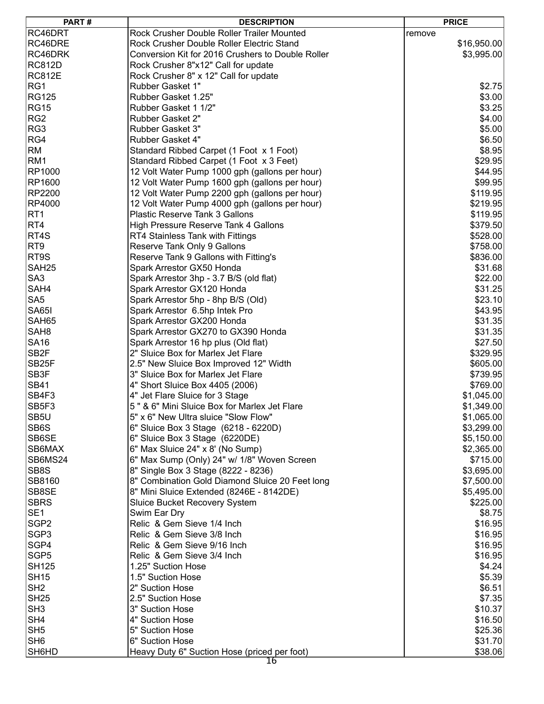| PART#              | <b>DESCRIPTION</b>                                | <b>PRICE</b> |
|--------------------|---------------------------------------------------|--------------|
| RC46DRT            | Rock Crusher Double Roller Trailer Mounted        | remove       |
| RC46DRE            | Rock Crusher Double Roller Electric Stand         | \$16,950.00  |
| RC46DRK            | Conversion Kit for 2016 Crushers to Double Roller | \$3,995.00   |
| <b>RC812D</b>      | Rock Crusher 8"x12" Call for update               |              |
| <b>RC812E</b>      | Rock Crusher 8" x 12" Call for update             |              |
| RG1                | Rubber Gasket 1"                                  | \$2.75       |
| <b>RG125</b>       | Rubber Gasket 1.25"                               | \$3.00       |
| <b>RG15</b>        | Rubber Gasket 1 1/2"                              | \$3.25       |
| RG <sub>2</sub>    | Rubber Gasket 2"                                  | \$4.00]      |
| RG3                | Rubber Gasket 3"                                  | \$5.00       |
| RG4                | Rubber Gasket 4"                                  | \$6.50       |
| <b>RM</b>          | Standard Ribbed Carpet (1 Foot x 1 Foot)          | \$8.95       |
| RM <sub>1</sub>    | Standard Ribbed Carpet (1 Foot x 3 Feet)          | \$29.95      |
| RP1000             |                                                   | \$44.95      |
|                    | 12 Volt Water Pump 1000 gph (gallons per hour)    |              |
| RP1600             | 12 Volt Water Pump 1600 gph (gallons per hour)    | \$99.95      |
| <b>RP2200</b>      | 12 Volt Water Pump 2200 gph (gallons per hour)    | \$119.95     |
| RP4000             | 12 Volt Water Pump 4000 gph (gallons per hour)    | \$219.95     |
| RT1                | <b>Plastic Reserve Tank 3 Gallons</b>             | \$119.95     |
| RT4                | <b>High Pressure Reserve Tank 4 Gallons</b>       | \$379.50     |
| RT4S               | RT4 Stainless Tank with Fittings                  | \$528.00     |
| RT9                | Reserve Tank Only 9 Gallons                       | \$758.00     |
| RT9S               | Reserve Tank 9 Gallons with Fitting's             | \$836.00     |
| SAH <sub>25</sub>  | Spark Arrestor GX50 Honda                         | \$31.68      |
| SA <sub>3</sub>    | Spark Arrestor 3hp - 3.7 B/S (old flat)           | \$22.00      |
| SAH4               | Spark Arrestor GX120 Honda                        | \$31.25      |
| SA <sub>5</sub>    | Spark Arrestor 5hp - 8hp B/S (Old)                | \$23.10      |
| <b>SA65I</b>       | Spark Arrestor 6.5hp Intek Pro                    | \$43.95      |
| SAH65              | Spark Arrestor GX200 Honda                        | \$31.35      |
| SAH <sub>8</sub>   | Spark Arrestor GX270 to GX390 Honda               | \$31.35      |
| <b>SA16</b>        | Spark Arrestor 16 hp plus (Old flat)              | \$27.50      |
| SB <sub>2</sub> F  | 2" Sluice Box for Marlex Jet Flare                | \$329.95     |
| SB <sub>25</sub> F | 2.5" New Sluice Box Improved 12" Width            | \$605.00     |
| SB <sub>3</sub> F  | 3" Sluice Box for Marlex Jet Flare                | \$739.95     |
| <b>SB41</b>        | 4" Short Sluice Box 4405 (2006)                   | \$769.00     |
| SB4F3              | 4" Jet Flare Sluice for 3 Stage                   | \$1,045.00   |
| SB5F3              | 5" & 6" Mini Sluice Box for Marlex Jet Flare      | \$1,349.00   |
| SB5U               | 5" x 6" New Ultra sluice "Slow Flow"              | \$1,065.00   |
| SB6S               | 6" Sluice Box 3 Stage (6218 - 6220D)              | \$3,299.00   |
| SB6SE              | 6" Sluice Box 3 Stage (6220DE)                    | \$5,150.00   |
| SB6MAX             | 6" Max Sluice 24" x 8' (No Sump)                  | \$2,365.00   |
| SB6MS24            | 6" Max Sump (Only) 24" w/ 1/8" Woven Screen       | \$715.00     |
| SB8S               | 8" Single Box 3 Stage (8222 - 8236)               | \$3,695.00   |
| SB8160             | 8" Combination Gold Diamond Sluice 20 Feet long   | \$7,500.00   |
| SB8SE              | 8" Mini Sluice Extended (8246E - 8142DE)          | \$5,495.00   |
| <b>SBRS</b>        | <b>Sluice Bucket Recovery System</b>              | \$225.00     |
| SE <sub>1</sub>    | Swim Ear Dry                                      | \$8.75       |
| SGP2               | Relic & Gem Sieve 1/4 Inch                        | \$16.95      |
| SGP <sub>3</sub>   | Relic & Gem Sieve 3/8 Inch                        | \$16.95      |
| SGP4               | Relic & Gem Sieve 9/16 Inch                       | \$16.95      |
| SGP <sub>5</sub>   | Relic & Gem Sieve 3/4 Inch                        | \$16.95      |
| <b>SH125</b>       | 1.25" Suction Hose                                | \$4.24]      |
| SH <sub>15</sub>   | 1.5" Suction Hose                                 | \$5.39       |
| SH <sub>2</sub>    | 2" Suction Hose                                   | \$6.51]      |
| <b>SH25</b>        | 2.5" Suction Hose                                 | \$7.35       |
| SH <sub>3</sub>    | 3" Suction Hose                                   | \$10.37      |
| SH4                | 4" Suction Hose                                   | \$16.50      |
| SH <sub>5</sub>    | 5" Suction Hose                                   | \$25.36      |
| SH <sub>6</sub>    | 6" Suction Hose                                   | \$31.70      |
| SH6HD              | Heavy Duty 6" Suction Hose (priced per foot)      | \$38.06      |
|                    | 16                                                |              |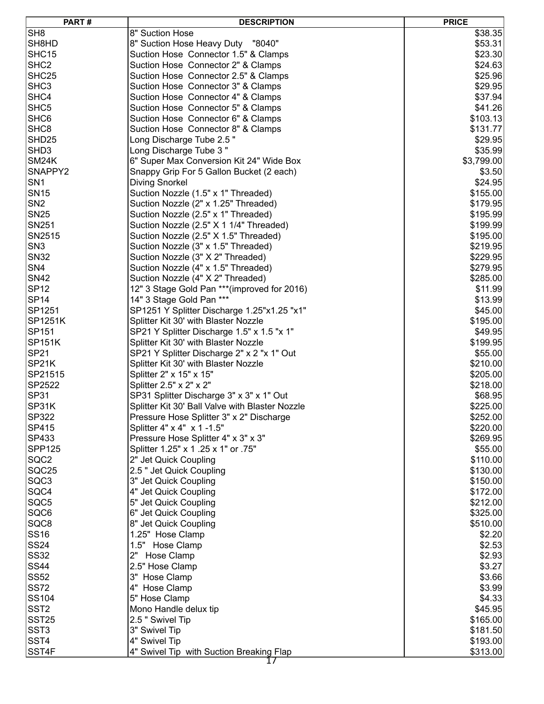| PART#               | <b>DESCRIPTION</b>                              | <b>PRICE</b> |
|---------------------|-------------------------------------------------|--------------|
| SH8                 | 8" Suction Hose                                 | \$38.35      |
| SH8HD               | 8" Suction Hose Heavy Duty "8040"               | \$53.31]     |
| SHC <sub>15</sub>   | Suction Hose Connector 1.5" & Clamps            | \$23.30      |
| SHC <sub>2</sub>    | Suction Hose Connector 2" & Clamps              | \$24.63]     |
| SHC <sub>25</sub>   | Suction Hose Connector 2.5" & Clamps            | \$25.96      |
| SHC <sub>3</sub>    | Suction Hose Connector 3" & Clamps              | \$29.95      |
| SHC4                | Suction Hose Connector 4" & Clamps              | \$37.94]     |
| SHC5                | Suction Hose Connector 5" & Clamps              | \$41.26]     |
| SHC6                | Suction Hose Connector 6" & Clamps              | \$103.13]    |
| SHC8                | Suction Hose Connector 8" & Clamps              | \$131.77     |
|                     |                                                 |              |
| SHD <sub>25</sub>   | Long Discharge Tube 2.5"                        | \$29.95      |
| SHD3                | Long Discharge Tube 3"                          | \$35.99      |
| SM <sub>24</sub> K  | 6" Super Max Conversion Kit 24" Wide Box        | \$3,799.00   |
| SNAPPY2             | Snappy Grip For 5 Gallon Bucket (2 each)        | \$3.50       |
| SN1                 | <b>Diving Snorkel</b>                           | \$24.95      |
| SN15                | Suction Nozzle (1.5" x 1" Threaded)             | \$155.00     |
| $ $ SN2             | Suction Nozzle (2" x 1.25" Threaded)            | \$179.95     |
| SN25                | Suction Nozzle (2.5" x 1" Threaded)             | \$195.99     |
| SN251               | Suction Nozzle (2.5" X 1 1/4" Threaded)         | \$199.99     |
| SN2515              | Suction Nozzle (2.5" X 1.5" Threaded)           | \$195.00     |
| SN3                 | Suction Nozzle (3" x 1.5" Threaded)             | \$219.95     |
| <b>SN32</b>         | Suction Nozzle (3" X 2" Threaded)               | \$229.95     |
| SN4                 | Suction Nozzle (4" x 1.5" Threaded)             | \$279.95     |
| SN42                | Suction Nozzle (4" X 2" Threaded)               | \$285.00     |
| SP <sub>12</sub>    | 12" 3 Stage Gold Pan *** (improved for 2016)    | \$11.99      |
| SP <sub>14</sub>    | 14" 3 Stage Gold Pan ***                        | \$13.99      |
| SP1251              | SP1251 Y Splitter Discharge 1.25"x1.25 "x1"     | \$45.00]     |
| SP1251K             | Splitter Kit 30' with Blaster Nozzle            | \$195.00     |
| SP151               | SP21 Y Splitter Discharge 1.5" x 1.5 "x 1"      | \$49.95      |
| SP <sub>151</sub> K | Splitter Kit 30' with Blaster Nozzle            | \$199.95     |
| SP21                | SP21 Y Splitter Discharge 2" x 2 "x 1" Out      | \$55.00      |
| SP <sub>21</sub> K  |                                                 |              |
|                     | Splitter Kit 30' with Blaster Nozzle            | \$210.00     |
| SP21515             | Splitter 2" x 15" x 15"                         | \$205.00     |
| SP2522              | Splitter 2.5" x 2" x 2"                         | \$218.00     |
| SP31                | SP31 Splitter Discharge 3" x 3" x 1" Out        | \$68.95      |
| SP31K               | Splitter Kit 30' Ball Valve with Blaster Nozzle | \$225.00     |
| SP322               | Pressure Hose Splitter 3" x 2" Discharge        | \$252.00     |
| SP415               | Splitter 4" x 4" x 1 -1.5"                      | \$220.00     |
| SP433               | Pressure Hose Splitter 4" x 3" x 3"             | \$269.95     |
| SPP125              | Splitter 1.25" x 1 .25 x 1" or .75"             | \$55.00      |
| SQC2                | 2" Jet Quick Coupling                           | \$110.00     |
| SQC25               | 2.5 " Jet Quick Coupling                        | \$130.00     |
| SQC3                | 3" Jet Quick Coupling                           | \$150.00     |
| SQC4                | 4" Jet Quick Coupling                           | \$172.00     |
| SQC5                | 5" Jet Quick Coupling                           | \$212.00     |
| SQC6                | 6" Jet Quick Coupling                           | \$325.00     |
| SQC8                | 8" Jet Quick Coupling                           | \$510.00     |
| SS16                | 1.25" Hose Clamp                                | \$2.20       |
| SS24                | 1.5" Hose Clamp                                 | \$2.53       |
| SS32                | 2"<br>Hose Clamp                                | \$2.93]      |
| SS44                | 2.5" Hose Clamp                                 | \$3.27       |
| SS52                | 3" Hose Clamp                                   | \$3.66       |
| SS72                | 4" Hose Clamp                                   | \$3.99       |
| SS104               | 5" Hose Clamp                                   | \$4.33]      |
| SST <sub>2</sub>    | Mono Handle delux tip                           | \$45.95      |
|                     |                                                 |              |
| SST <sub>25</sub>   | 2.5 " Swivel Tip                                | \$165.00     |
| SST3                | 3" Swivel Tip                                   | \$181.50     |
| SST4                | 4" Swivel Tip                                   | \$193.00     |
| SST4F               | 4" Swivel Tip with Suction Breaking Flap        | \$313.00     |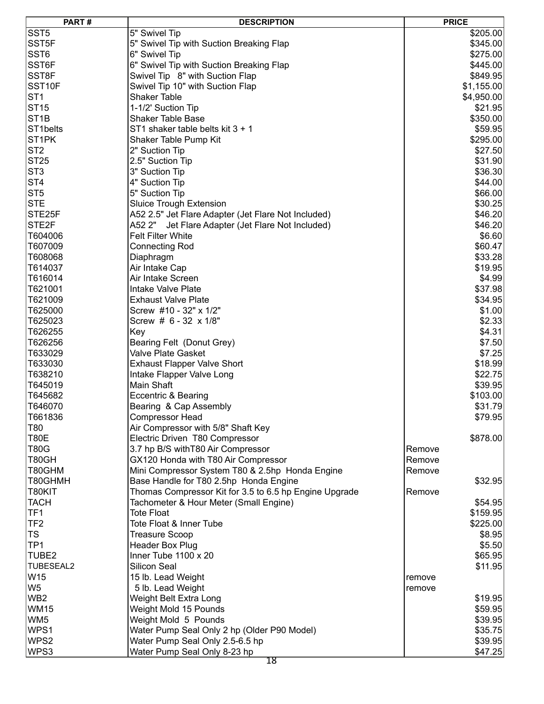| PART#                 | <b>DESCRIPTION</b>                                     | <b>PRICE</b> |
|-----------------------|--------------------------------------------------------|--------------|
| SST5                  | 5" Swivel Tip                                          | \$205.00     |
| SST5F                 | 5" Swivel Tip with Suction Breaking Flap               | \$345.00     |
| SST6                  | 6" Swivel Tip                                          | \$275.00     |
| SST6F                 | 6" Swivel Tip with Suction Breaking Flap               | \$445.00     |
|                       |                                                        |              |
| SST8F                 | Swivel Tip 8" with Suction Flap                        | \$849.95     |
| SST10F                | Swivel Tip 10" with Suction Flap                       | \$1,155.00   |
| ST1                   | <b>Shaker Table</b>                                    | \$4,950.00   |
| ST15                  | 1-1/2' Suction Tip                                     | \$21.95      |
| ST1B                  | <b>Shaker Table Base</b>                               | \$350.00     |
| ST <sub>1</sub> belts | ST1 shaker table belts kit 3 + 1                       | \$59.95      |
| ST1PK                 | Shaker Table Pump Kit                                  | \$295.00     |
| ST2                   | 2" Suction Tip                                         | \$27.50      |
| ST <sub>25</sub>      | 2.5" Suction Tip                                       | \$31.90      |
| ST3                   | 3" Suction Tip                                         | \$36.30      |
| ST4                   | 4" Suction Tip                                         | \$44.00      |
| ST5                   | 5" Suction Tip                                         | \$66.00      |
| <b>STE</b>            | <b>Sluice Trough Extension</b>                         | \$30.25]     |
| STE25F                | A52 2.5" Jet Flare Adapter (Jet Flare Not Included)    | \$46.20      |
| STE2F                 | A52 2"                                                 | \$46.20]     |
|                       | Jet Flare Adapter (Jet Flare Not Included)             |              |
| T604006               | <b>Felt Filter White</b>                               | \$6.60       |
| T607009               | <b>Connecting Rod</b>                                  | \$60.47]     |
| T608068               | Diaphragm                                              | \$33.28      |
| T614037               | Air Intake Cap                                         | \$19.95      |
| T616014               | Air Intake Screen                                      | \$4.99       |
| T621001               | Intake Valve Plate                                     | \$37.98      |
| T621009               | <b>Exhaust Valve Plate</b>                             | \$34.95      |
| T625000               | Screw #10 - 32" x 1/2"                                 | \$1.00       |
| T625023               | Screw # 6 - 32 x 1/8"                                  | \$2.33       |
| T626255               | Key                                                    | \$4.31]      |
| T626256               | Bearing Felt (Donut Grey)                              | \$7.50       |
| T633029               | Valve Plate Gasket                                     | \$7.25       |
| T633030               | <b>Exhaust Flapper Valve Short</b>                     | \$18.99      |
| T638210               | Intake Flapper Valve Long                              | \$22.75      |
| T645019               | <b>Main Shaft</b>                                      | \$39.95      |
| T645682               | Eccentric & Bearing                                    | \$103.00     |
| T646070               | Bearing & Cap Assembly                                 | \$31.79      |
|                       |                                                        |              |
| Г661836<br>T80        | Compressor Head<br>Air Compressor with 5/8" Shaft Key  | \$79.95      |
|                       |                                                        |              |
| <b>T80E</b>           | Electric Driven T80 Compressor                         | \$878.00     |
| <b>T80G</b>           | 3.7 hp B/S with T80 Air Compressor                     | Remove       |
| <b>T80GH</b>          | GX120 Honda with T80 Air Compressor                    | Remove       |
| T80GHM                | Mini Compressor System T80 & 2.5hp Honda Engine        | Remove       |
| T80GHMH               | Base Handle for T80 2.5hp Honda Engine                 | \$32.95      |
| T80KIT                | Thomas Compressor Kit for 3.5 to 6.5 hp Engine Upgrade | Remove       |
| <b>TACH</b>           | Tachometer & Hour Meter (Small Engine)                 | \$54.95      |
| TF1                   | <b>Tote Float</b>                                      | \$159.95     |
| TF <sub>2</sub>       | Tote Float & Inner Tube                                | \$225.00     |
| <b>TS</b>             | Treasure Scoop                                         | \$8.95       |
| TP1                   | Header Box Plug                                        | \$5.50       |
| TUBE2                 | Inner Tube $1100 \times 20$                            | \$65.95      |
| TUBESEAL2             | Silicon Seal                                           | \$11.95      |
| W15                   | 15 lb. Lead Weight                                     | remove       |
| W5                    | 5 lb. Lead Weight                                      |              |
| WB2                   |                                                        | remove       |
|                       | Weight Belt Extra Long                                 | \$19.95      |
| WM15                  | Weight Mold 15 Pounds                                  | \$59.95      |
| WM5                   | Weight Mold 5 Pounds                                   | \$39.95      |
| WPS1                  | Water Pump Seal Only 2 hp (Older P90 Model)            | \$35.75      |
| WPS2                  | Water Pump Seal Only 2.5-6.5 hp                        | \$39.95      |
| WPS3                  | Water Pump Seal Only 8-23 hp                           | \$47.25      |